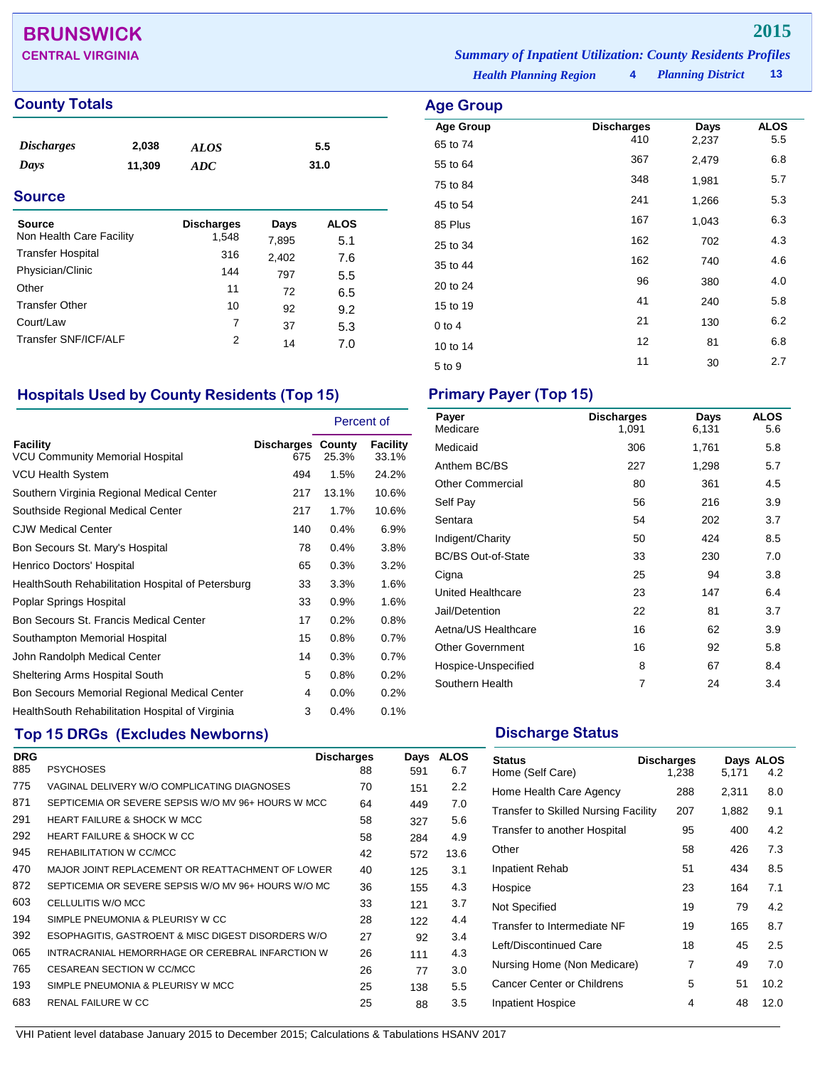## **BRUNSWICK 2015**

### **County Totals Age Group Age Group Age Group**

| <b>Discharges</b><br>Days<br><b>Source</b> | 2,038<br>11,309 | <b>ALOS</b><br>ADC |       | 5.5<br>31.0 |  |
|--------------------------------------------|-----------------|--------------------|-------|-------------|--|
|                                            |                 |                    |       |             |  |
| <b>Source</b>                              |                 | <b>Discharges</b>  | Days  | <b>ALOS</b> |  |
| Non Health Care Facility                   |                 | 1,548              | 7,895 | 5.1         |  |
| <b>Transfer Hospital</b>                   |                 | 316                | 2,402 | 7.6         |  |
| Physician/Clinic                           |                 | 144                | 797   | 5.5         |  |

*Health Planning Region* **4 CENTRAL VIRGINIA** *Summary of Inpatient Utilization: County Residents Profiles*

*Planning District* **13**

| Age Group        |                   |       |             |
|------------------|-------------------|-------|-------------|
| <b>Age Group</b> | <b>Discharges</b> | Days  | <b>ALOS</b> |
| 65 to 74         | 410               | 2,237 | 5.5         |
| 55 to 64         | 367               | 2,479 | 6.8         |
| 75 to 84         | 348               | 1,981 | 5.7         |
| 45 to 54         | 241               | 1,266 | 5.3         |
| 85 Plus          | 167               | 1,043 | 6.3         |
| 25 to 34         | 162               | 702   | 4.3         |
| 35 to 44         | 162               | 740   | 4.6         |
| 20 to 24         | 96                | 380   | 4.0         |
| 15 to 19         | 41                | 240   | 5.8         |
| $0$ to 4         | 21                | 130   | 6.2         |
| 10 to 14         | 12                | 81    | 6.8         |
| 5 to 9           | 11                | 30    | 2.7         |
|                  |                   |       |             |

### **Hospitals Used by County Residents (Top 15) Primary Payer (Top 15)**

Other 11 72 6.5 Transfer Other 10  $92$   $9.2$ <br>Court/Law 7  $37$  5.3 Court/Law 7 37 5.3 Transfer SNF/ICF/ALF 2 14 7.0

|                                                           |                                 | Percent of |                   |
|-----------------------------------------------------------|---------------------------------|------------|-------------------|
| <b>Facility</b><br><b>VCU Community Memorial Hospital</b> | <b>Discharges County</b><br>675 | 25.3%      | Facility<br>33.1% |
| VCU Health System                                         | 494                             | 1.5%       | 24.2%             |
| Southern Virginia Regional Medical Center                 | 217                             | 13.1%      | 10.6%             |
| Southside Regional Medical Center                         | 217                             | 1.7%       | 10.6%             |
| <b>CJW Medical Center</b>                                 | 140                             | 0.4%       | 6.9%              |
| Bon Secours St. Mary's Hospital                           | 78                              | 0.4%       | 3.8%              |
| Henrico Doctors' Hospital                                 | 65                              | 0.3%       | 3.2%              |
| HealthSouth Rehabilitation Hospital of Petersburg         | 33                              | 3.3%       | 1.6%              |
| Poplar Springs Hospital                                   | 33                              | 0.9%       | 1.6%              |
| Bon Secours St. Francis Medical Center                    | 17                              | 0.2%       | $0.8\%$           |
| Southampton Memorial Hospital                             | 15                              | 0.8%       | 0.7%              |
| John Randolph Medical Center                              | 14                              | 0.3%       | 0.7%              |
| Sheltering Arms Hospital South                            | 5                               | 0.8%       | 0.2%              |
| Bon Secours Memorial Regional Medical Center              | 4                               | $0.0\%$    | $0.2\%$           |
| Health South Rehabilitation Hospital of Virginia          | 3                               | 0.4%       | 0.1%              |

### **Top 15 DRGs (Excludes Newborns) Discharge Status Discharge Status**

| <b>DRG</b> |                                                     | <b>Discharges</b> | Days | <b>ALOS</b> |
|------------|-----------------------------------------------------|-------------------|------|-------------|
| 885        | <b>PSYCHOSES</b>                                    | 88                | 591  | 6.7         |
| 775        | VAGINAL DELIVERY W/O COMPLICATING DIAGNOSES         | 70                | 151  | 2.2         |
| 871        | SEPTICEMIA OR SEVERE SEPSIS W/O MV 96+ HOURS W MCC  | 64                | 449  | 7.0         |
| 291        | <b>HEART FAILURE &amp; SHOCK W MCC</b>              | 58                | 327  | 5.6         |
| 292        | HEART FAILURE & SHOCK W CC                          | 58                | 284  | 4.9         |
| 945        | REHABILITATION W CC/MCC                             | 42                | 572  | 13.6        |
| 470        | MAJOR JOINT REPLACEMENT OR REATTACHMENT OF LOWER    | 40                | 125  | 3.1         |
| 872        | SEPTICEMIA OR SEVERE SEPSIS W/O MV 96+ HOURS W/O MC | 36                | 155  | 4.3         |
| 603        | CELLULITIS W/O MCC                                  | 33                | 121  | 3.7         |
| 194        | SIMPLE PNEUMONIA & PLEURISY W CC                    | 28                | 122  | 4.4         |
| 392        | ESOPHAGITIS, GASTROENT & MISC DIGEST DISORDERS W/O  | 27                | 92   | 3.4         |
| 065        | INTRACRANIAL HEMORRHAGE OR CEREBRAL INFARCTION W    | 26                | 111  | 4.3         |
| 765        | CESAREAN SECTION W CC/MCC                           | 26                | 77   | 3.0         |
| 193        | SIMPLE PNEUMONIA & PLEURISY W MCC                   | 25                | 138  | 5.5         |
| 683        | RENAL FAILURE W CC                                  | 25                | 88   | 3.5         |

| Payer<br>Medicare         | <b>Discharges</b><br>1,091 | Days<br>6,131 | <b>ALOS</b><br>5.6 |
|---------------------------|----------------------------|---------------|--------------------|
| Medicaid                  | 306                        | 1,761         | 5.8                |
| Anthem BC/BS              | 227                        | 1,298         | 5.7                |
| <b>Other Commercial</b>   | 80                         | 361           | 4.5                |
| Self Pay                  | 56                         | 216           | 3.9                |
| Sentara                   | 54                         | 202           | 3.7                |
| Indigent/Charity          | 50                         | 424           | 8.5                |
| <b>BC/BS Out-of-State</b> | 33                         | 230           | 7.0                |
| Cigna                     | 25                         | 94            | 3.8                |
| United Healthcare         | 23                         | 147           | 6.4                |
| Jail/Detention            | 22                         | 81            | 3.7                |
| Aetna/US Healthcare       | 16                         | 62            | 3.9                |
| <b>Other Government</b>   | 16                         | 92            | 5.8                |
| Hospice-Unspecified       | 8                          | 67            | 8.4                |
| Southern Health           | 7                          | 24            | 3.4                |

| <b>Status</b><br>Home (Self Care)           | <b>Discharges</b><br>1,238 | 5,171 | Days ALOS<br>4.2 |
|---------------------------------------------|----------------------------|-------|------------------|
| Home Health Care Agency                     | 288                        | 2,311 | 8.0              |
| <b>Transfer to Skilled Nursing Facility</b> | 207                        | 1,882 | 9.1              |
| Transfer to another Hospital                | 95                         | 400   | 4.2              |
| Other                                       | 58                         | 426   | 7.3              |
| Inpatient Rehab                             | 51                         | 434   | 8.5              |
| Hospice                                     | 23                         | 164   | 7.1              |
| Not Specified                               | 19                         | 79    | 4.2              |
| Transfer to Intermediate NF                 | 19                         | 165   | 8.7              |
| Left/Discontinued Care                      | 18                         | 45    | 2.5              |
| Nursing Home (Non Medicare)                 | 7                          | 49    | 7.0              |
| Cancer Center or Childrens                  | 5                          | 51    | 10.2             |
| <b>Inpatient Hospice</b>                    | 4                          | 48    | 12.0             |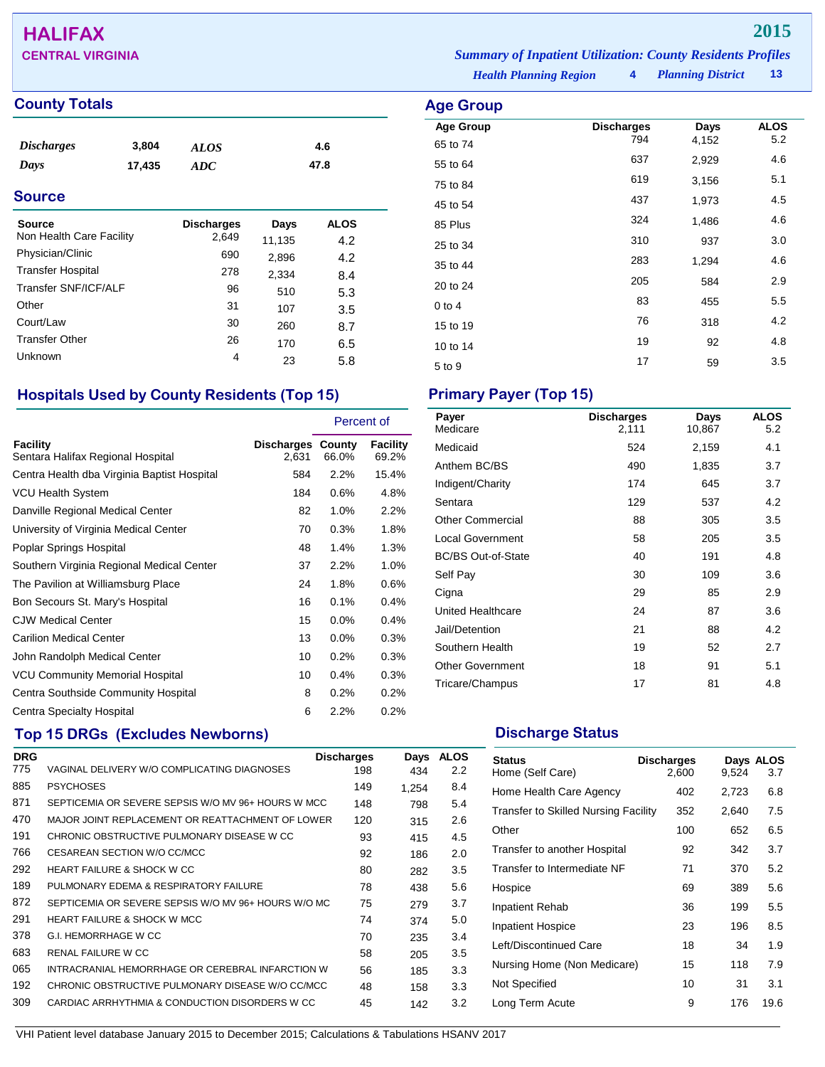## **HALIFAX 2015**

### **County Totals Age Group**

| <i>Discharges</i> | 3,804  | <b>ALOS</b> | 4.6  |
|-------------------|--------|-------------|------|
| Days              | 17,435 | ADC         | 47.8 |

### **Source**

| Source<br>Non Health Care Facility | <b>Discharges</b><br>2,649 | Days<br>11,135 | <b>ALOS</b><br>4.2 |
|------------------------------------|----------------------------|----------------|--------------------|
| Physician/Clinic                   | 690                        | 2,896          | 4.2                |
| <b>Transfer Hospital</b>           | 278                        | 2,334          | 8.4                |
| Transfer SNF/ICF/ALF               | 96                         | 510            | 5.3                |
| Other                              | 31                         | 107            | 3.5                |
| Court/Law                          | 30                         | 260            | 8.7                |
| <b>Transfer Other</b>              | 26                         | 170            | 6.5                |
| Unknown                            | 4                          | 23             | 5.8                |

### **Hospitals Used by County Residents (Top 15) Primary Payer (Top 15)**

|                                               |                                   | Percent of |                   |
|-----------------------------------------------|-----------------------------------|------------|-------------------|
| Facility<br>Sentara Halifax Regional Hospital | <b>Discharges County</b><br>2,631 | 66.0%      | Facility<br>69.2% |
| Centra Health dba Virginia Baptist Hospital   | 584                               | 2.2%       | 15.4%             |
| <b>VCU Health System</b>                      | 184                               | 0.6%       | 4.8%              |
| Danville Regional Medical Center              | 82                                | 1.0%       | 2.2%              |
| University of Virginia Medical Center         | 70                                | 0.3%       | 1.8%              |
| Poplar Springs Hospital                       | 48                                | 1.4%       | 1.3%              |
| Southern Virginia Regional Medical Center     | 37                                | 2.2%       | 1.0%              |
| The Pavilion at Williamsburg Place            | 24                                | 1.8%       | 0.6%              |
| Bon Secours St. Mary's Hospital               | 16                                | 0.1%       | 0.4%              |
| <b>CJW Medical Center</b>                     | 15                                | $0.0\%$    | 0.4%              |
| <b>Carilion Medical Center</b>                | 13                                | $0.0\%$    | 0.3%              |
| John Randolph Medical Center                  | 10                                | 0.2%       | 0.3%              |
| <b>VCU Community Memorial Hospital</b>        | 10                                | 0.4%       | 0.3%              |
| Centra Southside Community Hospital           | 8                                 | 0.2%       | $0.2\%$           |
| Centra Specialty Hospital                     | 6                                 | 2.2%       | $0.2\%$           |

### **Top 15 DRGs (Excludes Newborns) Discharge Status Discharge Status**

| <b>DRG</b> |                                                     | <b>Discharges</b> | Days  | <b>ALOS</b>   |
|------------|-----------------------------------------------------|-------------------|-------|---------------|
| 775        | VAGINAL DELIVERY W/O COMPLICATING DIAGNOSES         | 198               | 434   | $2.2^{\circ}$ |
| 885        | <b>PSYCHOSES</b>                                    | 149               | 1,254 | 8.4           |
| 871        | SEPTICEMIA OR SEVERE SEPSIS W/O MV 96+ HOURS W MCC  | 148               | 798   | 5.4           |
| 470        | MAJOR JOINT REPLACEMENT OR REATTACHMENT OF LOWER    | 120               | 315   | 2.6           |
| 191        | CHRONIC OBSTRUCTIVE PULMONARY DISEASE W CC          | 93                | 415   | 4.5           |
| 766        | CESAREAN SECTION W/O CC/MCC                         | 92                | 186   | 2.0           |
| 292        | <b>HEART FAILURE &amp; SHOCK W CC</b>               | 80                | 282   | 3.5           |
| 189        | PULMONARY EDEMA & RESPIRATORY FAILURE               | 78                | 438   | 5.6           |
| 872        | SEPTICEMIA OR SEVERE SEPSIS W/O MV 96+ HOURS W/O MC | 75                | 279   | 3.7           |
| 291        | <b>HEART FAILURE &amp; SHOCK W MCC</b>              | 74                | 374   | 5.0           |
| 378        | <b>G.I. HEMORRHAGE W CC</b>                         | 70                | 235   | 3.4           |
| 683        | <b>RENAL FAILURE W CC</b>                           | 58                | 205   | 3.5           |
| 065        | INTRACRANIAL HEMORRHAGE OR CEREBRAL INFARCTION W    | 56                | 185   | 3.3           |
| 192        | CHRONIC OBSTRUCTIVE PULMONARY DISEASE W/O CC/MCC    | 48                | 158   | 3.3           |
| 309        | CARDIAC ARRHYTHMIA & CONDUCTION DISORDERS W CC      | 45                | 142   | 3.2           |
|            |                                                     |                   |       |               |

VHI Patient level database January 2015 to December 2015; Calculations & Tabulations HSANV 2017

**CENTRAL VIRGINIA** *Summary of Inpatient Utilization: County Residents Profiles*

*Health Planning Region* **4**

*Planning District* **13**

| ge Group.                    |                          |               |                    |
|------------------------------|--------------------------|---------------|--------------------|
| <b>Age Group</b><br>65 to 74 | <b>Discharges</b><br>794 | Days<br>4,152 | <b>ALOS</b><br>5.2 |
| 55 to 64                     | 637                      | 2,929         | 4.6                |
| 75 to 84                     | 619                      | 3,156         | 5.1                |
| 45 to 54                     | 437                      | 1,973         | 4.5                |
| 85 Plus                      | 324                      | 1,486         | 4.6                |
| 25 to 34                     | 310                      | 937           | 3.0                |
| 35 to 44                     | 283                      | 1,294         | 4.6                |
| 20 to 24                     | 205                      | 584           | 2.9                |
| 0 to 4                       | 83                       | 455           | 5.5                |
| 15 to 19                     | 76                       | 318           | 4.2                |
| 10 to 14                     | 19                       | 92            | 4.8                |
| 5 to 9                       | 17                       | 59            | 3.5                |
|                              |                          |               |                    |

| Payer<br>Medicare         | <b>Discharges</b><br>2,111 | Days<br>10,867 | <b>ALOS</b><br>5.2 |
|---------------------------|----------------------------|----------------|--------------------|
| Medicaid                  | 524                        | 2,159          | 4.1                |
| Anthem BC/BS              | 490                        | 1,835          | 3.7                |
| Indigent/Charity          | 174                        | 645            | 3.7                |
| Sentara                   | 129                        | 537            | 4.2                |
| <b>Other Commercial</b>   | 88                         | 305            | 3.5                |
| <b>Local Government</b>   | 58                         | 205            | 3.5                |
| <b>BC/BS Out-of-State</b> | 40                         | 191            | 4.8                |
| Self Pay                  | 30                         | 109            | 3.6                |
| Cigna                     | 29                         | 85             | 2.9                |
| United Healthcare         | 24                         | 87             | 3.6                |
| Jail/Detention            | 21                         | 88             | 4.2                |
| Southern Health           | 19                         | 52             | 2.7                |
| <b>Other Government</b>   | 18                         | 91             | 5.1                |
| Tricare/Champus           | 17                         | 81             | 4.8                |

| <b>Status</b><br>Home (Self Care)           | <b>Discharges</b><br>2,600 | 9,524 | Days ALOS<br>3.7 |
|---------------------------------------------|----------------------------|-------|------------------|
| Home Health Care Agency                     | 402                        | 2,723 | 6.8              |
| <b>Transfer to Skilled Nursing Facility</b> | 352                        | 2,640 | 7.5              |
| Other                                       | 100                        | 652   | 6.5              |
| Transfer to another Hospital                | 92                         | 342   | 3.7              |
| Transfer to Intermediate NF                 | 71                         | 370   | 5.2              |
| Hospice                                     | 69                         | 389   | 5.6              |
| Inpatient Rehab                             | 36                         | 199   | 5.5              |
| <b>Inpatient Hospice</b>                    | 23                         | 196   | 8.5              |
| Left/Discontinued Care                      | 18                         | 34    | 1.9              |
| Nursing Home (Non Medicare)                 | 15                         | 118   | 7.9              |
| Not Specified                               | 10                         | 31    | 3.1              |
| Long Term Acute                             | 9                          | 176   | 19.6             |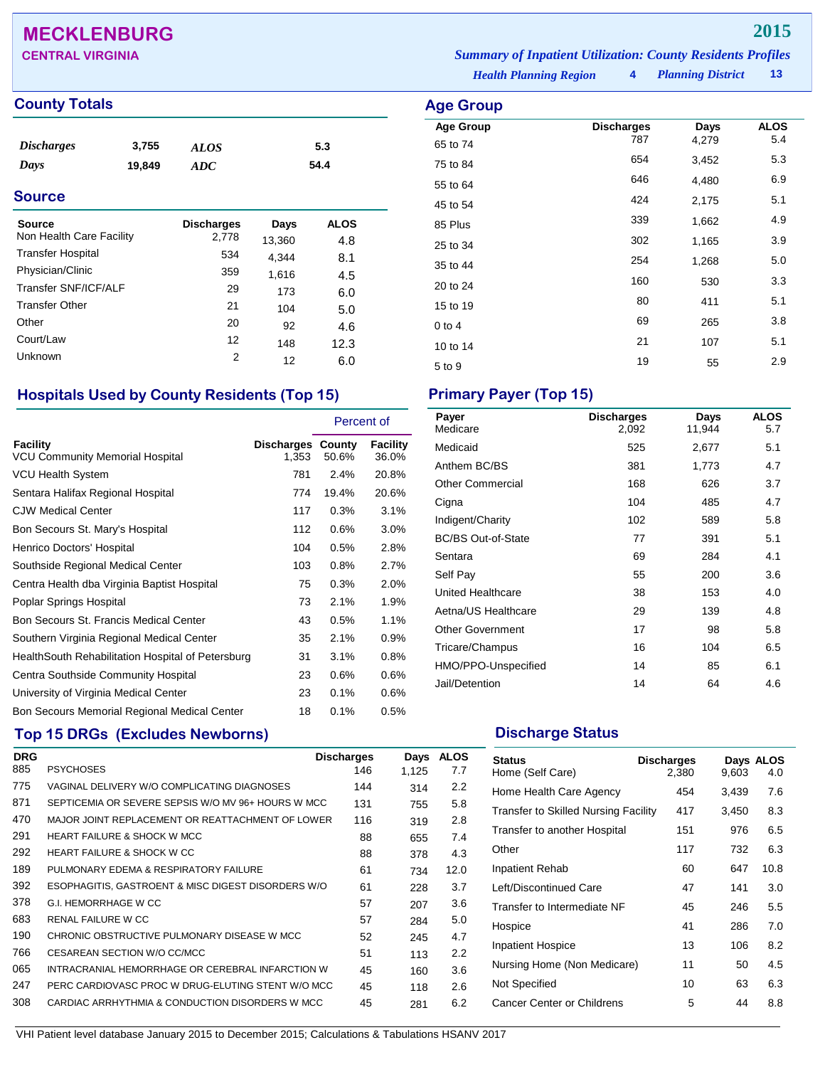## **MECKLENBURG 2015**

### **County Totals Age Group Age Group**

| <i>Discharges</i> | 3,755  | ALOS | 5.3  |
|-------------------|--------|------|------|
| Days              | 19,849 | ADC  | 54.4 |

### **Source**

| Source<br>Non Health Care Facility | <b>Discharges</b><br>2,778 | Days<br>13,360 | ALOS<br>4.8 |
|------------------------------------|----------------------------|----------------|-------------|
| <b>Transfer Hospital</b>           | 534                        | 4,344          | 8.1         |
| Physician/Clinic                   | 359                        | 1,616          | 4.5         |
| Transfer SNF/ICF/ALF               | 29                         | 173            | 6.0         |
| <b>Transfer Other</b>              | 21                         | 104            | 5.0         |
| Other                              | 20                         | 92             | 4.6         |
| Court/Law                          | 12                         | 148            | 12.3        |
| Unknown                            | 2                          | 12             | 6.0         |

### **Hospitals Used by County Residents (Top 15) Primary Payer (Top 15)**

|                                                    |                                   | Percent of |                          |
|----------------------------------------------------|-----------------------------------|------------|--------------------------|
| Facility<br><b>VCU Community Memorial Hospital</b> | <b>Discharges County</b><br>1,353 | 50.6%      | <b>Facility</b><br>36.0% |
| VCU Health System                                  | 781                               | 2.4%       | 20.8%                    |
| Sentara Halifax Regional Hospital                  | 774                               | 19.4%      | 20.6%                    |
| <b>CJW Medical Center</b>                          | 117                               | 0.3%       | 3.1%                     |
| Bon Secours St. Mary's Hospital                    | 112                               | 0.6%       | 3.0%                     |
| Henrico Doctors' Hospital                          | 104                               | 0.5%       | 2.8%                     |
| Southside Regional Medical Center                  | 103                               | 0.8%       | 2.7%                     |
| Centra Health dba Virginia Baptist Hospital        | 75                                | 0.3%       | 2.0%                     |
| Poplar Springs Hospital                            | 73                                | 2.1%       | 1.9%                     |
| Bon Secours St. Francis Medical Center             | 43                                | 0.5%       | 1.1%                     |
| Southern Virginia Regional Medical Center          | 35                                | 2.1%       | 0.9%                     |
| HealthSouth Rehabilitation Hospital of Petersburg  | 31                                | 3.1%       | 0.8%                     |
| Centra Southside Community Hospital                | 23                                | 0.6%       | 0.6%                     |
| University of Virginia Medical Center              | 23                                | 0.1%       | 0.6%                     |
| Bon Secours Memorial Regional Medical Center       | 18                                | 0.1%       | 0.5%                     |

### **Top 15 DRGs (Excludes Newborns) Discharge Status Discharge Status**

| <b>DRG</b> |                                                    | <b>Discharges</b> | Days  | <b>ALOS</b> |
|------------|----------------------------------------------------|-------------------|-------|-------------|
| 885        | <b>PSYCHOSES</b>                                   | 146               | 1,125 | 7.7         |
| 775        | VAGINAL DELIVERY W/O COMPLICATING DIAGNOSES        | 144               | 314   | 2.2         |
| 871        | SEPTICEMIA OR SEVERE SEPSIS W/O MV 96+ HOURS W MCC | 131               | 755   | 5.8         |
| 470        | MAJOR JOINT REPLACEMENT OR REATTACHMENT OF LOWER   | 116               | 319   | 2.8         |
| 291        | <b>HEART FAILURE &amp; SHOCK W MCC</b>             | 88                | 655   | 7.4         |
| 292        | <b>HEART FAILURE &amp; SHOCK W CC</b>              | 88                | 378   | 4.3         |
| 189        | PULMONARY EDEMA & RESPIRATORY FAILURE              | 61                | 734   | 12.0        |
| 392        | ESOPHAGITIS, GASTROENT & MISC DIGEST DISORDERS W/O | 61                | 228   | 3.7         |
| 378        | <b>G.I. HEMORRHAGE W CC</b>                        | 57                | 207   | 3.6         |
| 683        | RENAL FAILURE W CC                                 | 57                | 284   | 5.0         |
| 190        | CHRONIC OBSTRUCTIVE PULMONARY DISEASE W MCC        | 52                | 245   | 4.7         |
| 766        | CESAREAN SECTION W/O CC/MCC                        | 51                | 113   | 2.2         |
| 065        | INTRACRANIAL HEMORRHAGE OR CEREBRAL INFARCTION W   | 45                | 160   | 3.6         |
| 247        | PERC CARDIOVASC PROC W DRUG-ELUTING STENT W/O MCC  | 45                | 118   | 2.6         |
| 308        | CARDIAC ARRHYTHMIA & CONDUCTION DISORDERS W MCC    | 45                | 281   | 6.2         |

*Health Planning Region* **4** *Planning District* **13 CENTRAL VIRGINIA** *Summary of Inpatient Utilization: County Residents Profiles*

| ge Group         |                   |       |             |
|------------------|-------------------|-------|-------------|
| <b>Age Group</b> | <b>Discharges</b> | Days  | <b>ALOS</b> |
| 65 to 74         | 787               | 4,279 | 5.4         |
| 75 to 84         | 654               | 3,452 | 5.3         |
| 55 to 64         | 646               | 4,480 | 6.9         |
| 45 to 54         | 424               | 2,175 | 5.1         |
| 85 Plus          | 339               | 1,662 | 4.9         |
| 25 to 34         | 302               | 1,165 | 3.9         |
| 35 to 44         | 254               | 1,268 | 5.0         |
| 20 to 24         | 160               | 530   | 3.3         |
| 15 to 19         | 80                | 411   | 5.1         |
| $0$ to $4$       | 69                | 265   | 3.8         |

| Payer<br>Medicare         | <b>Discharges</b><br>2,092 | Days<br>11,944 | <b>ALOS</b><br>5.7 |
|---------------------------|----------------------------|----------------|--------------------|
| Medicaid                  | 525                        | 2,677          | 5.1                |
| Anthem BC/BS              | 381                        | 1,773          | 4.7                |
| <b>Other Commercial</b>   | 168                        | 626            | 3.7                |
| Cigna                     | 104                        | 485            | 4.7                |
| Indigent/Charity          | 102                        | 589            | 5.8                |
| <b>BC/BS Out-of-State</b> | 77                         | 391            | 5.1                |
| Sentara                   | 69                         | 284            | 4.1                |
| Self Pay                  | 55                         | 200            | 3.6                |
| United Healthcare         | 38                         | 153            | 4.0                |
| Aetna/US Healthcare       | 29                         | 139            | 4.8                |
| <b>Other Government</b>   | 17                         | 98             | 5.8                |
| Tricare/Champus           | 16                         | 104            | 6.5                |
| HMO/PPO-Unspecified       | 14                         | 85             | 6.1                |
| Jail/Detention            | 14                         | 64             | 4.6                |

10 to 14 21 107 5.1  $5 \text{ to } 9$  19  $55$  2.9

| <b>Status</b><br>Home (Self Care)           | <b>Discharges</b><br>2,380 | 9,603 | Days ALOS<br>4.0 |
|---------------------------------------------|----------------------------|-------|------------------|
| Home Health Care Agency                     | 454                        | 3,439 | 7.6              |
| <b>Transfer to Skilled Nursing Facility</b> | 417                        | 3,450 | 8.3              |
| Transfer to another Hospital                | 151                        | 976   | 6.5              |
| Other                                       | 117                        | 732   | 6.3              |
| <b>Inpatient Rehab</b>                      | 60                         | 647   | 10.8             |
| Left/Discontinued Care                      | 47                         | 141   | 3.0              |
| Transfer to Intermediate NF                 | 45                         | 246   | 5.5              |
| Hospice                                     | 41                         | 286   | 7.0              |
| <b>Inpatient Hospice</b>                    | 13                         | 106   | 8.2              |
| Nursing Home (Non Medicare)                 | 11                         | 50    | 4.5              |
| Not Specified                               | 10                         | 63    | 6.3              |
| Cancer Center or Childrens                  | 5                          | 44    | 8.8              |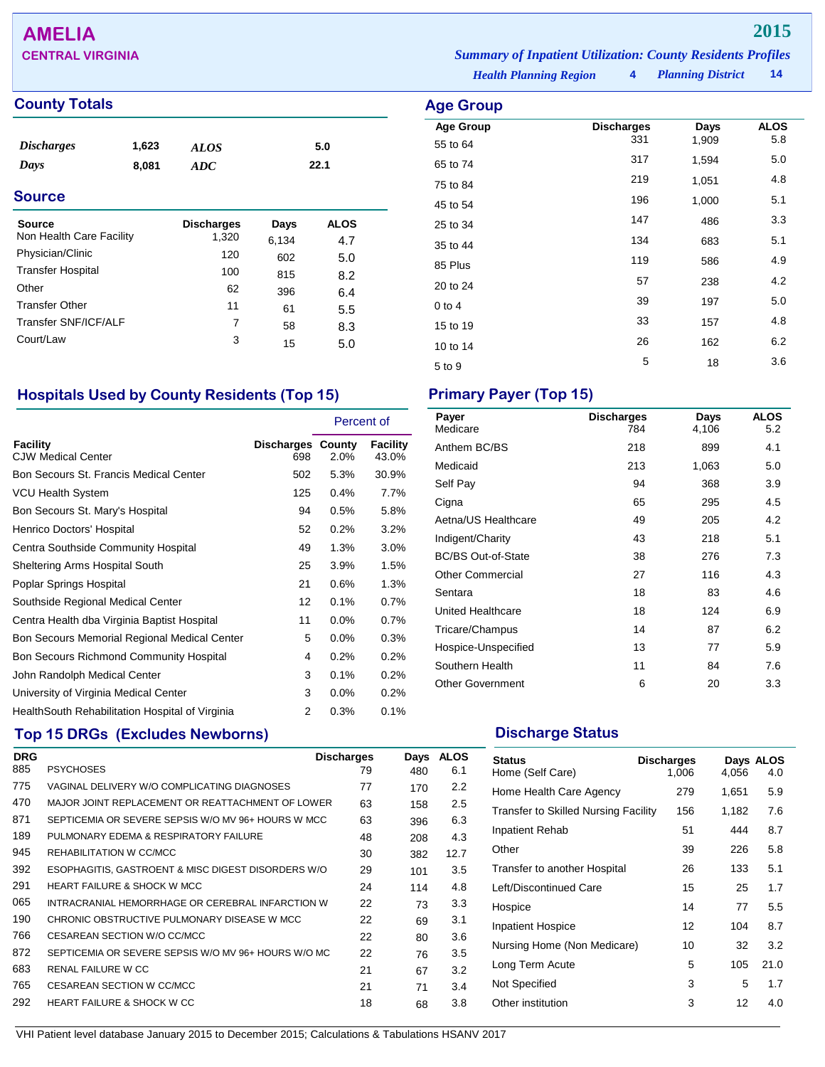## **AMELIA 2015**

## **County Totals Age Group**

| <i><b>Discharges</b></i><br>Days | 1,623<br>8,081 | <b>ALOS</b><br><b>ADC</b> |       | 5.0<br>22.1 |  |
|----------------------------------|----------------|---------------------------|-------|-------------|--|
| <b>Source</b>                    |                |                           |       |             |  |
| <b>Source</b>                    |                | <b>Discharges</b>         | Days  | <b>ALOS</b> |  |
| Non Health Care Facility         |                | 1,320                     | 6,134 | 4.7         |  |
| Physician/Clinic                 |                | 120                       | 602   | 5.0         |  |
| <b>Transfer Hospital</b>         |                | 100                       | 815   | 8.2         |  |
| Other                            |                | 62                        | 396   | 6.4         |  |
| <b>Transfer Other</b>            |                | 11                        | 61    | 5.5         |  |
| Transfer SNF/ICF/ALF             |                | 7                         | 58    | 8.3         |  |
| Court/Law                        |                | 3                         | 15    | 5.0         |  |

### **Hospitals Used by County Residents (Top 15) Primary Payer (Top 15)**

|                                                  |                                 | Percent of |                   |
|--------------------------------------------------|---------------------------------|------------|-------------------|
| <b>Facility</b><br><b>CJW Medical Center</b>     | <b>Discharges County</b><br>698 | 2.0%       | Facility<br>43.0% |
| Bon Secours St. Francis Medical Center           | 502                             | 5.3%       | 30.9%             |
| VCU Health System                                | 125                             | 0.4%       | 7.7%              |
| Bon Secours St. Mary's Hospital                  | 94                              | 0.5%       | 5.8%              |
| Henrico Doctors' Hospital                        | 52                              | 0.2%       | 3.2%              |
| Centra Southside Community Hospital              | 49                              | 1.3%       | $3.0\%$           |
| Sheltering Arms Hospital South                   | 25                              | 3.9%       | 1.5%              |
| Poplar Springs Hospital                          | 21                              | 0.6%       | 1.3%              |
| Southside Regional Medical Center                | 12                              | 0.1%       | 0.7%              |
| Centra Health dba Virginia Baptist Hospital      | 11                              | 0.0%       | 0.7%              |
| Bon Secours Memorial Regional Medical Center     | 5                               | $0.0\%$    | 0.3%              |
| Bon Secours Richmond Community Hospital          | 4                               | 0.2%       | 0.2%              |
| John Randolph Medical Center                     | 3                               | 0.1%       | 0.2%              |
| University of Virginia Medical Center            | 3                               | 0.0%       | 0.2%              |
| Health South Rehabilitation Hospital of Virginia | 2                               | 0.3%       | 0.1%              |

### **Top 15 DRGs (Excludes Newborns) Discharge Status Discharge Status**

| <b>DRG</b> |                                                     | <b>Discharges</b> | Days | <b>ALOS</b> |
|------------|-----------------------------------------------------|-------------------|------|-------------|
| 885        | <b>PSYCHOSES</b>                                    | 79                | 480  | 6.1         |
| 775        | VAGINAL DELIVERY W/O COMPLICATING DIAGNOSES         | 77                | 170  | 2.2         |
| 470        | MAJOR JOINT REPLACEMENT OR REATTACHMENT OF LOWER    | 63                | 158  | 2.5         |
| 871        | SEPTICEMIA OR SEVERE SEPSIS W/O MV 96+ HOURS W MCC  | 63                | 396  | 6.3         |
| 189        | PULMONARY EDEMA & RESPIRATORY FAILURE               | 48                | 208  | 4.3         |
| 945        | REHABILITATION W CC/MCC                             | 30                | 382  | 12.7        |
| 392        | ESOPHAGITIS, GASTROENT & MISC DIGEST DISORDERS W/O  | 29                | 101  | 3.5         |
| 291        | <b>HEART FAILURE &amp; SHOCK W MCC</b>              | 24                | 114  | 4.8         |
| 065        | INTRACRANIAL HEMORRHAGE OR CEREBRAL INFARCTION W    | 22                | 73   | 3.3         |
| 190        | CHRONIC OBSTRUCTIVE PULMONARY DISEASE W MCC         | 22                | 69   | 3.1         |
| 766        | CESAREAN SECTION W/O CC/MCC                         | 22                | 80   | 3.6         |
| 872        | SEPTICEMIA OR SEVERE SEPSIS W/O MV 96+ HOURS W/O MC | 22                | 76   | 3.5         |
| 683        | RENAL FAILURE W CC                                  | 21                | 67   | 3.2         |
| 765        | CESAREAN SECTION W CC/MCC                           | 21                | 71   | 3.4         |
| 292        | HEART FAILURE & SHOCK W CC                          | 18                | 68   | 3.8         |

| Payer<br>Medicare         | <b>Discharges</b><br>784 | Days<br>4,106 | ALOS<br>5.2 |
|---------------------------|--------------------------|---------------|-------------|
| Anthem BC/BS              | 218                      | 899           | 4.1         |
| Medicaid                  | 213                      | 1,063         | 5.0         |
| Self Pay                  | 94                       | 368           | 3.9         |
| Cigna                     | 65                       | 295           | 4.5         |
| Aetna/US Healthcare       | 49                       | 205           | 4.2         |
| Indigent/Charity          | 43                       | 218           | 5.1         |
| <b>BC/BS Out-of-State</b> | 38                       | 276           | 7.3         |
| <b>Other Commercial</b>   | 27                       | 116           | 4.3         |
| Sentara                   | 18                       | 83            | 4.6         |
| United Healthcare         | 18                       | 124           | 6.9         |
| Tricare/Champus           | 14                       | 87            | 6.2         |
| Hospice-Unspecified       | 13                       | 77            | 5.9         |
| Southern Health           | 11                       | 84            | 7.6         |
| <b>Other Government</b>   | 6                        | 20            | 3.3         |

| <b>Status</b><br>Home (Self Care)           | <b>Discharges</b><br>1,006 | 4,056 | Days ALOS<br>4.0 |
|---------------------------------------------|----------------------------|-------|------------------|
| Home Health Care Agency                     | 279                        | 1,651 | 5.9              |
| <b>Transfer to Skilled Nursing Facility</b> | 156                        | 1,182 | 7.6              |
| Inpatient Rehab                             | 51                         | 444   | 8.7              |
| Other                                       | 39                         | 226   | 5.8              |
| Transfer to another Hospital                | 26                         | 133   | 5.1              |
| Left/Discontinued Care                      | 15                         | 25    | 1.7              |
| Hospice                                     | 14                         | 77    | 5.5              |
| <b>Inpatient Hospice</b>                    | 12                         | 104   | 8.7              |
| Nursing Home (Non Medicare)                 | 10                         | 32    | 3.2              |
| Long Term Acute                             | 5                          | 105   | 21.0             |
| Not Specified                               | 3                          | 5     | 1.7              |
| Other institution                           | 3                          | 12    | 4.0              |

*Health Planning Region* **4 CENTRAL VIRGINIA** *Summary of Inpatient Utilization: County Residents Profiles*

*Planning District* **14**

| <b>Age Group</b>             |                          |               |                    |
|------------------------------|--------------------------|---------------|--------------------|
| <b>Age Group</b><br>55 to 64 | <b>Discharges</b><br>331 | Days<br>1,909 | <b>ALOS</b><br>5.8 |
| 65 to 74                     | 317                      | 1,594         | 5.0                |
| 75 to 84                     | 219                      | 1,051         | 4.8                |
| 45 to 54                     | 196                      | 1,000         | 5.1                |
| 25 to 34                     | 147                      | 486           | 3.3                |
| 35 to 44                     | 134                      | 683           | 5.1                |
| 85 Plus                      | 119                      | 586           | 4.9                |
| 20 to 24                     | 57                       | 238           | 4.2                |
| $0$ to 4                     | 39                       | 197           | 5.0                |
| 15 to 19                     | 33                       | 157           | 4.8                |
| 10 to 14                     | 26                       | 162           | 6.2                |
| 5 to 9                       | 5                        | 18            | 3.6                |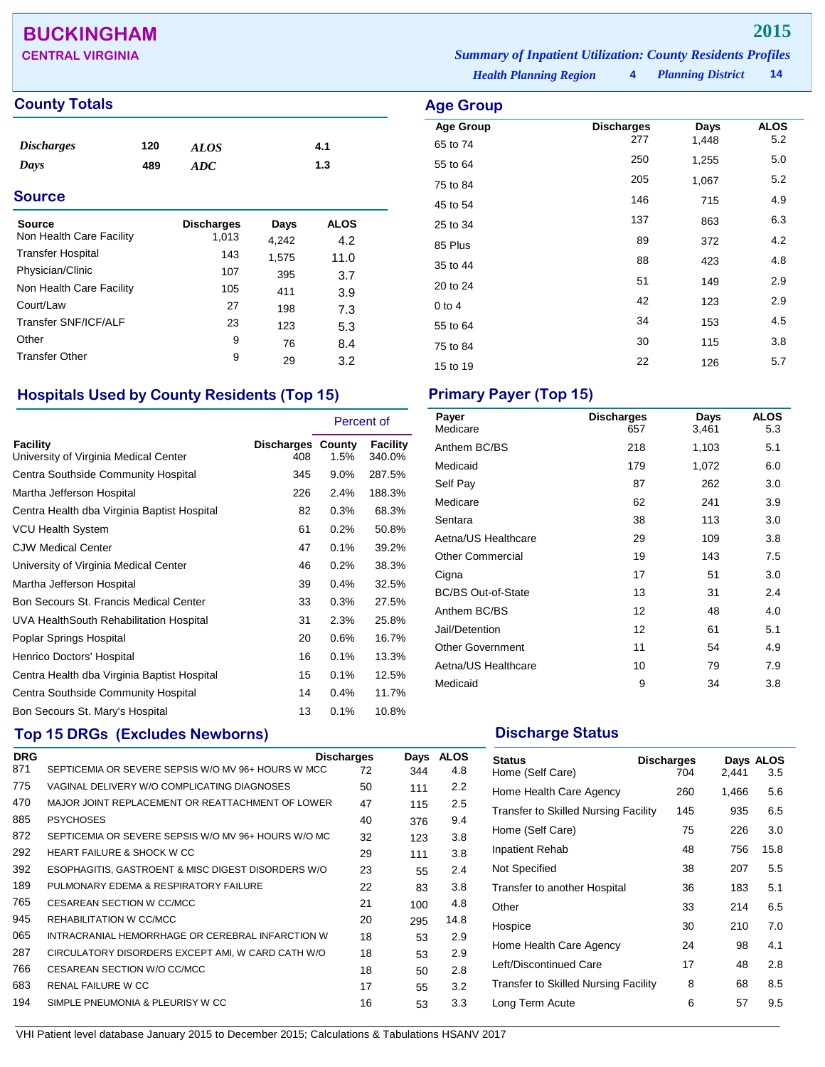## **BUCKINGHAM 2015**

### **County Totals Age Group Age Group**

| <b>Discharges</b> | 120 | <b>ALOS</b> | 4.1 |  |
|-------------------|-----|-------------|-----|--|
| Days              | 489 | ADC         | 1.3 |  |
| ~                 |     |             |     |  |

| <b>Source</b>                             |                            |               |                    |  |
|-------------------------------------------|----------------------------|---------------|--------------------|--|
| <b>Source</b><br>Non Health Care Facility | <b>Discharges</b><br>1,013 | Days<br>4,242 | <b>ALOS</b><br>4.2 |  |
| <b>Transfer Hospital</b>                  | 143                        | 1,575         | 11.0               |  |
| Physician/Clinic                          | 107                        | 395           | 3.7                |  |
| Non Health Care Facility                  | 105                        | 411           | 3.9                |  |
| Court/Law                                 | 27                         | 198           | 7.3                |  |
| Transfer SNF/ICF/ALF                      | 23                         | 123           | 5.3                |  |
| Other                                     | 9                          | 76            | 8.4                |  |
| <b>Transfer Other</b>                     | 9                          | 29            | 3.2                |  |

## **Hospitals Used by County Residents (Top 15) Primary Payer (Top 15)**

|                                                   |                                 | Percent of |                    |
|---------------------------------------------------|---------------------------------|------------|--------------------|
| Facility<br>University of Virginia Medical Center | <b>Discharges County</b><br>408 | 1.5%       | Facility<br>340.0% |
| Centra Southside Community Hospital               | 345                             | $9.0\%$    | 287.5%             |
| Martha Jefferson Hospital                         | 226                             | 2.4%       | 188.3%             |
| Centra Health dba Virginia Baptist Hospital       | 82                              | 0.3%       | 68.3%              |
| <b>VCU Health System</b>                          | 61                              | 0.2%       | 50.8%              |
| <b>CJW Medical Center</b>                         | 47                              | 0.1%       | 39.2%              |
| University of Virginia Medical Center             | 46                              | 0.2%       | 38.3%              |
| Martha Jefferson Hospital                         | 39                              | 0.4%       | 32.5%              |
| Bon Secours St. Francis Medical Center            | 33                              | 0.3%       | 27.5%              |
| UVA HealthSouth Rehabilitation Hospital           | 31                              | 2.3%       | 25.8%              |
| Poplar Springs Hospital                           | 20                              | 0.6%       | 16.7%              |
| Henrico Doctors' Hospital                         | 16                              | 0.1%       | 13.3%              |
| Centra Health dba Virginia Baptist Hospital       | 15                              | 0.1%       | 12.5%              |
| Centra Southside Community Hospital               | 14                              | 0.4%       | 11.7%              |
| Bon Secours St. Mary's Hospital                   | 13                              | 0.1%       | 10.8%              |

## **Top 15 DRGs (Excludes Newborns) Discharge Status Discharge Status**

| <b>DRG</b> |                                                     | <b>Discharges</b> | Days | <b>ALOS</b> |
|------------|-----------------------------------------------------|-------------------|------|-------------|
| 871        | SEPTICEMIA OR SEVERE SEPSIS W/O MV 96+ HOURS W MCC  | 72                | 344  | 4.8         |
| 775        | VAGINAL DELIVERY W/O COMPLICATING DIAGNOSES         | 50                | 111  | 2.2         |
| 470        | MAJOR JOINT REPLACEMENT OR REATTACHMENT OF LOWER    | 47                | 115  | 2.5         |
| 885        | <b>PSYCHOSES</b>                                    | 40                | 376  | 9.4         |
| 872        | SEPTICEMIA OR SEVERE SEPSIS W/O MV 96+ HOURS W/O MC | 32                | 123  | 3.8         |
| 292        | <b>HEART FAILURE &amp; SHOCK W CC</b>               | 29                | 111  | 3.8         |
| 392        | ESOPHAGITIS, GASTROENT & MISC DIGEST DISORDERS W/O  | 23                | 55   | 2.4         |
| 189        | PULMONARY EDEMA & RESPIRATORY FAILURE               | 22                | 83   | 3.8         |
| 765        | CESAREAN SECTION W CC/MCC                           | 21                | 100  | 4.8         |
| 945        | REHABILITATION W CC/MCC                             | 20                | 295  | 14.8        |
| 065        | INTRACRANIAL HEMORRHAGE OR CEREBRAL INFARCTION W    | 18                | 53   | 2.9         |
| 287        | CIRCULATORY DISORDERS EXCEPT AMI, W CARD CATH W/O   | 18                | 53   | 2.9         |
| 766        | CESAREAN SECTION W/O CC/MCC                         | 18                | 50   | 2.8         |
| 683        | RENAL FAILURE W CC                                  | 17                | 55   | 3.2         |
| 194        | SIMPLE PNEUMONIA & PLEURISY W CC                    | 16                | 53   | 3.3         |
|            |                                                     |                   |      |             |

**CENTRAL VIRGINIA** *Summary of Inpatient Utilization: County Residents Profiles*

*Health Planning Region* **4**

| Age Group        |                          |               |                    |
|------------------|--------------------------|---------------|--------------------|
| <b>Age Group</b> | <b>Discharges</b><br>277 | Days<br>1,448 | <b>ALOS</b><br>5.2 |
| 65 to 74         | 250                      | 1,255         | 5.0                |
| 55 to 64         |                          |               |                    |
| 75 to 84         | 205                      | 1,067         | 5.2                |
| 45 to 54         | 146                      | 715           | 4.9                |
| 25 to 34         | 137                      | 863           | 6.3                |
| 85 Plus          | 89                       | 372           | 4.2                |
| 35 to 44         | 88                       | 423           | 4.8                |
| 20 to 24         | 51                       | 149           | 2.9                |
| $0$ to 4         | 42                       | 123           | 2.9                |
| 55 to 64         | 34                       | 153           | 4.5                |
| 75 to 84         | 30                       | 115           | 3.8                |
| 15 to 19         | 22                       | 126           | 5.7                |

| Payer<br>Medicare         | <b>Discharges</b><br>657 | Days<br>3,461 | <b>ALOS</b><br>5.3 |
|---------------------------|--------------------------|---------------|--------------------|
| Anthem BC/BS              | 218                      | 1,103         | 5.1                |
| Medicaid                  | 179                      | 1,072         | 6.0                |
| Self Pay                  | 87                       | 262           | 3.0                |
| Medicare                  | 62                       | 241           | 3.9                |
| Sentara                   | 38                       | 113           | 3.0                |
| Aetna/US Healthcare       | 29                       | 109           | 3.8                |
| <b>Other Commercial</b>   | 19                       | 143           | 7.5                |
| Cigna                     | 17                       | 51            | 3.0                |
| <b>BC/BS Out-of-State</b> | 13                       | 31            | 2.4                |
| Anthem BC/BS              | 12                       | 48            | 4.0                |
| Jail/Detention            | 12                       | 61            | 5.1                |
| <b>Other Government</b>   | 11                       | 54            | 4.9                |
| Aetna/US Healthcare       | 10                       | 79            | 7.9                |
| Medicaid                  | 9                        | 34            | 3.8                |

| <b>Status</b><br>Home (Self Care)           | <b>Discharges</b><br>704 | 2,441 | Days ALOS<br>3.5 |
|---------------------------------------------|--------------------------|-------|------------------|
| Home Health Care Agency                     | 260                      | 1,466 | 5.6              |
| <b>Transfer to Skilled Nursing Facility</b> | 145                      | 935   | 6.5              |
| Home (Self Care)                            | 75                       | 226   | 3.0              |
| Inpatient Rehab                             | 48                       | 756   | 15.8             |
| Not Specified                               | 38                       | 207   | 5.5              |
| Transfer to another Hospital                | 36                       | 183   | 5.1              |
| Other                                       | 33                       | 214   | 6.5              |
| Hospice                                     | 30                       | 210   | 7.0              |
| Home Health Care Agency                     | 24                       | 98    | 4.1              |
| Left/Discontinued Care                      | 17                       | 48    | 2.8              |
| <b>Transfer to Skilled Nursing Facility</b> | 8                        | 68    | 8.5              |
| Long Term Acute                             | 6                        | 57    | 9.5              |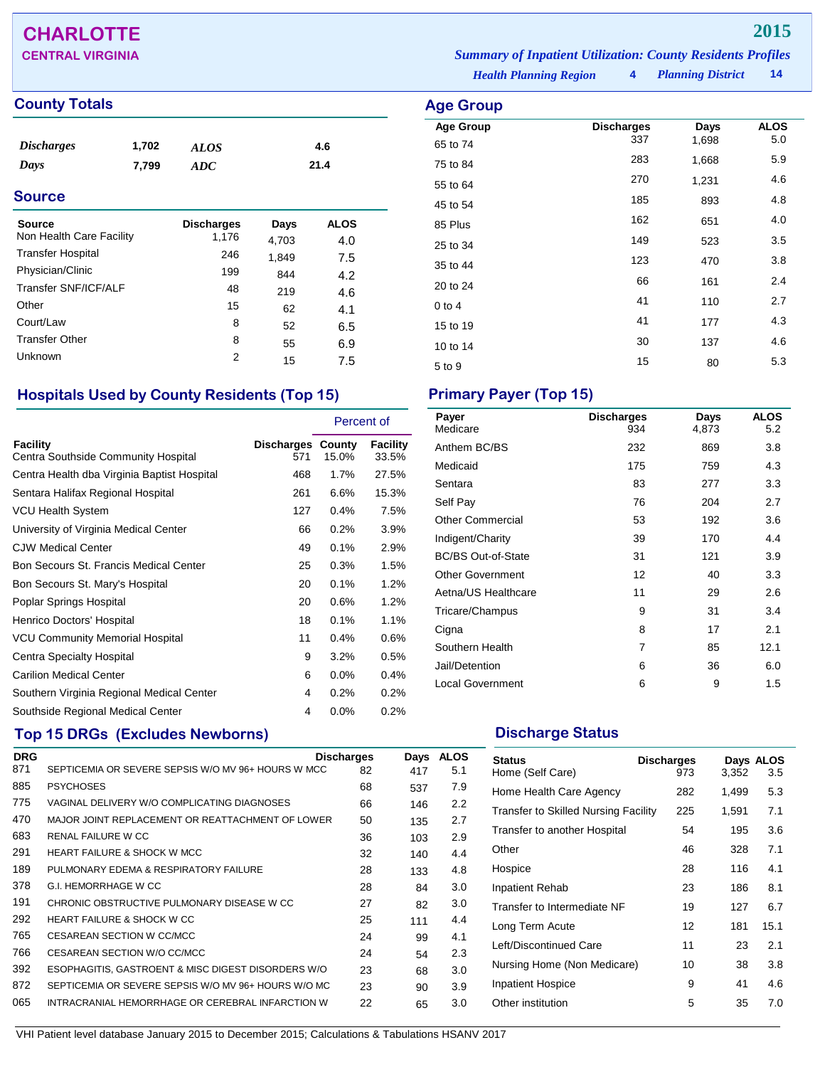## **CHARLOTTE 2015**

## **County Totals Age Group**

| <i>Discharges</i> | 1,702 | <b>ALOS</b> | 4.6  |  |
|-------------------|-------|-------------|------|--|
| Days              | 7.799 | ADC         | 21.4 |  |
| <b>Source</b>     |       |             |      |  |

| Source                   | <b>Discharges</b> | Days  | <b>ALOS</b> |
|--------------------------|-------------------|-------|-------------|
| Non Health Care Facility | 1,176             | 4,703 | 4.0         |
| <b>Transfer Hospital</b> | 246               | 1,849 | 7.5         |
| Physician/Clinic         | 199               | 844   | 4.2         |
| Transfer SNF/ICF/ALF     | 48                | 219   | 4.6         |
| Other                    | 15                | 62    | 4.1         |
| Court/Law                | 8                 | 52    | 6.5         |
| <b>Transfer Other</b>    | 8                 | 55    | 6.9         |
| Unknown                  | 2                 | 15    | 7.5         |

### **Hospitals Used by County Residents (Top 15) Primary Payer (Top 15)**

|                                                        |                                 | Percent of |                   |
|--------------------------------------------------------|---------------------------------|------------|-------------------|
| <b>Facility</b><br>Centra Southside Community Hospital | <b>Discharges County</b><br>571 | 15.0%      | Facility<br>33.5% |
| Centra Health dba Virginia Baptist Hospital            | 468                             | 1.7%       | 27.5%             |
| Sentara Halifax Regional Hospital                      | 261                             | 6.6%       | 15.3%             |
| <b>VCU Health System</b>                               | 127                             | 0.4%       | 7.5%              |
| University of Virginia Medical Center                  | 66                              | 0.2%       | 3.9%              |
| <b>CJW Medical Center</b>                              | 49                              | 0.1%       | 2.9%              |
| Bon Secours St. Francis Medical Center                 | 25                              | 0.3%       | 1.5%              |
| Bon Secours St. Mary's Hospital                        | 20                              | 0.1%       | 1.2%              |
| Poplar Springs Hospital                                | 20                              | 0.6%       | 1.2%              |
| Henrico Doctors' Hospital                              | 18                              | 0.1%       | 1.1%              |
| <b>VCU Community Memorial Hospital</b>                 | 11                              | 0.4%       | 0.6%              |
| Centra Specialty Hospital                              | 9                               | 3.2%       | 0.5%              |
| <b>Carilion Medical Center</b>                         | 6                               | 0.0%       | 0.4%              |
| Southern Virginia Regional Medical Center              | 4                               | 0.2%       | 0.2%              |
| Southside Regional Medical Center                      | 4                               | $0.0\%$    | 0.2%              |

## **Top 15 DRGs (Excludes Newborns) Discharge Status Discharge Status**

| <b>DRG</b> |                                                     | <b>Discharges</b> | Days | <b>ALOS</b> |  |
|------------|-----------------------------------------------------|-------------------|------|-------------|--|
| 871        | SEPTICEMIA OR SEVERE SEPSIS W/O MV 96+ HOURS W MCC  | 82                | 417  | 5.1         |  |
| 885        | <b>PSYCHOSES</b>                                    | 68                | 537  | 7.9         |  |
| 775        | VAGINAL DELIVERY W/O COMPLICATING DIAGNOSES         | 66                | 146  | 2.2         |  |
| 470        | MAJOR JOINT REPLACEMENT OR REATTACHMENT OF LOWER    | 50                | 135  | 2.7         |  |
| 683        | RENAL FAILURE W CC                                  | 36                | 103  | 2.9         |  |
| 291        | <b>HEART FAILURE &amp; SHOCK W MCC</b>              | 32                | 140  | 4.4         |  |
| 189        | PULMONARY EDEMA & RESPIRATORY FAILURE               | 28                | 133  | 4.8         |  |
| 378        | G.I. HEMORRHAGE W CC                                | 28                | 84   | 3.0         |  |
| 191        | CHRONIC OBSTRUCTIVE PULMONARY DISEASE W CC          | 27                | 82   | 3.0         |  |
| 292        | HEART FAILURE & SHOCK W CC                          | 25                | 111  | 4.4         |  |
| 765        | <b>CESAREAN SECTION W CC/MCC</b>                    | 24                | 99   | 4.1         |  |
| 766        | CESAREAN SECTION W/O CC/MCC                         | 24                | 54   | 2.3         |  |
| 392        | ESOPHAGITIS, GASTROENT & MISC DIGEST DISORDERS W/O  | 23                | 68   | 3.0         |  |
| 872        | SEPTICEMIA OR SEVERE SEPSIS W/O MV 96+ HOURS W/O MC | 23                | 90   | 3.9         |  |
| 065        | INTRACRANIAL HEMORRHAGE OR CEREBRAL INFARCTION W    | 22                | 65   | 3.0         |  |
|            |                                                     |                   |      |             |  |

*Health Planning Region* **4** *Planning District* **14 CENTRAL VIRGINIA** *Summary of Inpatient Utilization: County Residents Profiles*

| Age Group        |                          |               |                    |
|------------------|--------------------------|---------------|--------------------|
| <b>Age Group</b> | <b>Discharges</b><br>337 | Days<br>1,698 | <b>ALOS</b><br>5.0 |
| 65 to 74         | 283                      | 1,668         | 5.9                |
| 75 to 84         | 270                      |               | 4.6                |
| 55 to 64         |                          | 1,231         |                    |
| 45 to 54         | 185                      | 893           | 4.8                |
| 85 Plus          | 162                      | 651           | 4.0                |
| 25 to 34         | 149                      | 523           | 3.5                |
| 35 to 44         | 123                      | 470           | 3.8                |
| 20 to 24         | 66                       | 161           | 2.4                |
| $0$ to 4         | 41                       | 110           | 2.7                |
| 15 to 19         | 41                       | 177           | 4.3                |
| 10 to 14         | 30                       | 137           | 4.6                |
| 5 to 9           | 15                       | 80            | 5.3                |

| Payer<br>Medicare         | <b>Discharges</b><br>934 | Days<br>4,873 | <b>ALOS</b><br>5.2 |
|---------------------------|--------------------------|---------------|--------------------|
| Anthem BC/BS              | 232                      | 869           | 3.8                |
| Medicaid                  | 175                      | 759           | 4.3                |
| Sentara                   | 83                       | 277           | 3.3                |
| Self Pay                  | 76                       | 204           | 2.7                |
| <b>Other Commercial</b>   | 53                       | 192           | 3.6                |
| Indigent/Charity          | 39                       | 170           | 4.4                |
| <b>BC/BS Out-of-State</b> | 31                       | 121           | 3.9                |
| <b>Other Government</b>   | 12                       | 40            | 3.3                |
| Aetna/US Healthcare       | 11                       | 29            | 2.6                |
| Tricare/Champus           | 9                        | 31            | 3.4                |
| Cigna                     | 8                        | 17            | 2.1                |
| Southern Health           | 7                        | 85            | 12.1               |
| Jail/Detention            | 6                        | 36            | 6.0                |
| <b>Local Government</b>   | 6                        | 9             | 1.5                |

| <b>Status</b><br>Home (Self Care)           | <b>Discharges</b><br>973 | 3,352 | Days ALOS<br>3.5 |
|---------------------------------------------|--------------------------|-------|------------------|
| Home Health Care Agency                     | 282                      | 1,499 | 5.3              |
| <b>Transfer to Skilled Nursing Facility</b> | 225                      | 1,591 | 7.1              |
| Transfer to another Hospital                | 54                       | 195   | 3.6              |
| Other                                       | 46                       | 328   | 7.1              |
| Hospice                                     | 28                       | 116   | 4.1              |
| <b>Inpatient Rehab</b>                      | 23                       | 186   | 8.1              |
| Transfer to Intermediate NF                 | 19                       | 127   | 6.7              |
| Long Term Acute                             | 12                       | 181   | 15.1             |
| Left/Discontinued Care                      | 11                       | 23    | 2.1              |
| Nursing Home (Non Medicare)                 | 10                       | 38    | 3.8              |
| <b>Inpatient Hospice</b>                    | 9                        | 41    | 4.6              |
| Other institution                           | 5                        | 35    | 7.0              |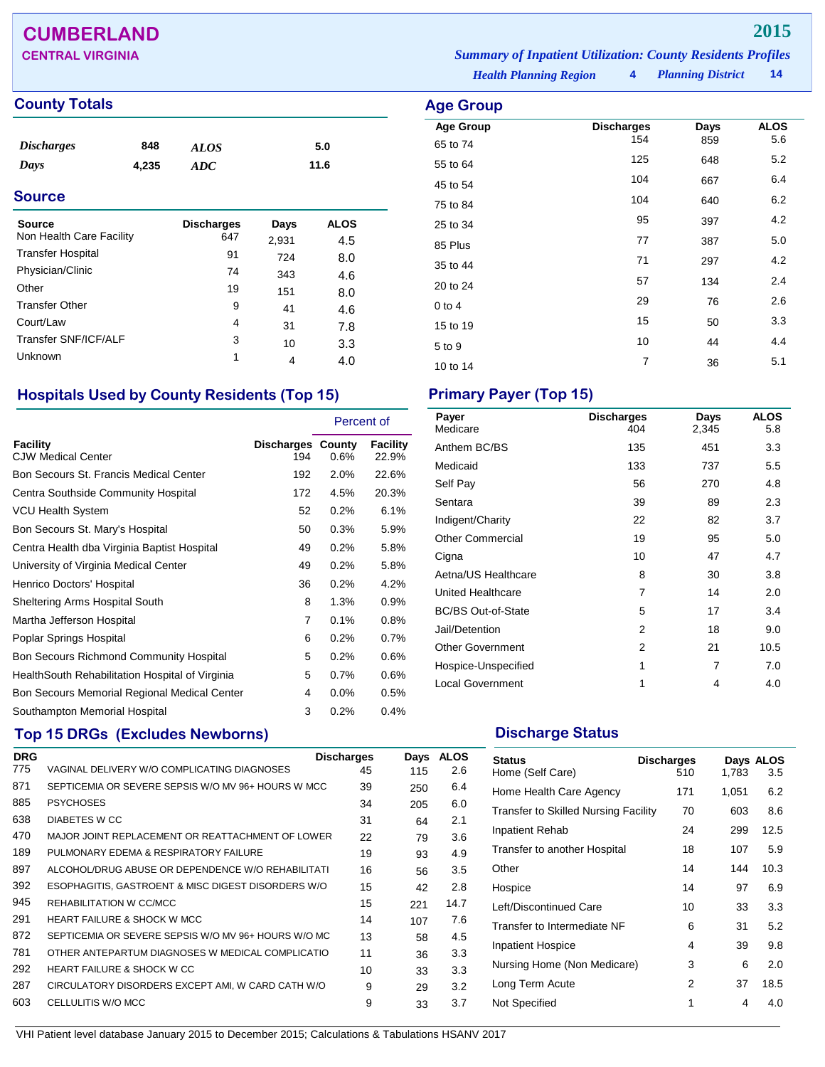## **CUMBERLAND 2015**

### **County Totals Age Group**

| <b>Discharges</b> | 848   | <b>ALOS</b> | 5.0  |  |
|-------------------|-------|-------------|------|--|
| Days              | 4,235 | ADC.        | 11.6 |  |
| <b>Source</b>     |       |             |      |  |

| Source<br>Non Health Care Facility | <b>Discharges</b><br>647 | Days<br>2,931 | <b>ALOS</b><br>4.5 |
|------------------------------------|--------------------------|---------------|--------------------|
| <b>Transfer Hospital</b>           | 91                       | 724           | 8.0                |
| Physician/Clinic                   | 74                       | 343           | 4.6                |
| Other                              | 19                       | 151           | 8.0                |
| <b>Transfer Other</b>              | 9                        | 41            | 4.6                |
| Court/Law                          | 4                        | 31            | 7.8                |
| Transfer SNF/ICF/ALF               | 3                        | 10            | 3.3                |
| Unknown                            | 1                        | 4             | 4.0                |

### **Hospitals Used by County Residents (Top 15) Primary Payer (Top 15)**

|                                                  |                                 | Percent of |                          |
|--------------------------------------------------|---------------------------------|------------|--------------------------|
| Facility<br><b>CJW Medical Center</b>            | <b>Discharges County</b><br>194 | 0.6%       | <b>Facility</b><br>22.9% |
| Bon Secours St. Francis Medical Center           | 192                             | 2.0%       | 22.6%                    |
| Centra Southside Community Hospital              | 172                             | 4.5%       | 20.3%                    |
| VCU Health System                                | 52                              | 0.2%       | 6.1%                     |
| Bon Secours St. Mary's Hospital                  | 50                              | 0.3%       | 5.9%                     |
| Centra Health dba Virginia Baptist Hospital      | 49                              | 0.2%       | 5.8%                     |
| University of Virginia Medical Center            | 49                              | 0.2%       | 5.8%                     |
| Henrico Doctors' Hospital                        | 36                              | 0.2%       | 4.2%                     |
| Sheltering Arms Hospital South                   | 8                               | 1.3%       | 0.9%                     |
| Martha Jefferson Hospital                        | $\overline{7}$                  | 0.1%       | 0.8%                     |
| Poplar Springs Hospital                          | 6                               | 0.2%       | 0.7%                     |
| <b>Bon Secours Richmond Community Hospital</b>   | 5                               | 0.2%       | 0.6%                     |
| Health South Rehabilitation Hospital of Virginia | 5                               | 0.7%       | 0.6%                     |
| Bon Secours Memorial Regional Medical Center     | 4                               | $0.0\%$    | 0.5%                     |
| Southampton Memorial Hospital                    | 3                               | 0.2%       | 0.4%                     |

### **Top 15 DRGs (Excludes Newborns) Discharge Status Discharge Status**

| <b>DRG</b> |                                                     | <b>Discharges</b> | Days | <b>ALOS</b> |
|------------|-----------------------------------------------------|-------------------|------|-------------|
| 775        | VAGINAL DELIVERY W/O COMPLICATING DIAGNOSES         | 45                | 115  | 2.6         |
| 871        | SEPTICEMIA OR SEVERE SEPSIS W/O MV 96+ HOURS W MCC  | 39                | 250  | 6.4         |
| 885        | <b>PSYCHOSES</b>                                    | 34                | 205  | 6.0         |
| 638        | <b>DIABETES W CC</b>                                | 31                | 64   | 2.1         |
| 470        | MAJOR JOINT REPLACEMENT OR REATTACHMENT OF LOWER    | 22                | 79   | 3.6         |
| 189        | PULMONARY EDEMA & RESPIRATORY FAILURE               | 19                | 93   | 4.9         |
| 897        | ALCOHOL/DRUG ABUSE OR DEPENDENCE W/O REHABILITATI   | 16                | 56   | 3.5         |
| 392        | ESOPHAGITIS, GASTROENT & MISC DIGEST DISORDERS W/O  | 15                | 42   | 2.8         |
| 945        | REHABILITATION W CC/MCC                             | 15                | 221  | 14.7        |
| 291        | <b>HEART FAILURE &amp; SHOCK W MCC</b>              | 14                | 107  | 7.6         |
| 872        | SEPTICEMIA OR SEVERE SEPSIS W/O MV 96+ HOURS W/O MC | 13                | 58   | 4.5         |
| 781        | OTHER ANTEPARTUM DIAGNOSES W MEDICAL COMPLICATIO    | 11                | 36   | 3.3         |
| 292        | <b>HEART FAILURE &amp; SHOCK W CC</b>               | 10                | 33   | 3.3         |
| 287        | CIRCULATORY DISORDERS EXCEPT AMI, W CARD CATH W/O   | 9                 | 29   | 3.2         |
| 603        | CELLULITIS W/O MCC                                  | 9                 | 33   | 3.7         |
|            |                                                     |                   |      |             |

**CENTRAL VIRGINIA** *Summary of Inpatient Utilization: County Residents Profiles*

*Health Planning Region* **4**

| Age Group        |                   |      |      |
|------------------|-------------------|------|------|
| <b>Age Group</b> | <b>Discharges</b> | Days | ALOS |
| 65 to 74         | 154               | 859  | 5.6  |
| 55 to 64         | 125               | 648  | 5.2  |
| 45 to 54         | 104               | 667  | 6.4  |
| 75 to 84         | 104               | 640  | 6.2  |
| 25 to 34         | 95                | 397  | 4.2  |
| 85 Plus          | 77                | 387  | 5.0  |
| 35 to 44         | 71                | 297  | 4.2  |
| 20 to 24         | 57                | 134  | 2.4  |
| $0$ to $4$       | 29                | 76   | 2.6  |
| 15 to 19         | 15                | 50   | 3.3  |
| 5 to 9           | 10                | 44   | 4.4  |
| 10 to 14         | $\overline{7}$    | 36   | 5.1  |
|                  |                   |      |      |

| Payer<br>Medicare         | <b>Discharges</b><br>404 | Days<br>2,345 | <b>ALOS</b><br>5.8 |
|---------------------------|--------------------------|---------------|--------------------|
| Anthem BC/BS              | 135                      | 451           | 3.3                |
| Medicaid                  | 133                      | 737           | 5.5                |
| Self Pay                  | 56                       | 270           | 4.8                |
| Sentara                   | 39                       | 89            | 2.3                |
| Indigent/Charity          | 22                       | 82            | 3.7                |
| <b>Other Commercial</b>   | 19                       | 95            | 5.0                |
| Cigna                     | 10                       | 47            | 4.7                |
| Aetna/US Healthcare       | 8                        | 30            | 3.8                |
| United Healthcare         | 7                        | 14            | 2.0                |
| <b>BC/BS Out-of-State</b> | 5                        | 17            | 3.4                |
| Jail/Detention            | 2                        | 18            | 9.0                |
| <b>Other Government</b>   | 2                        | 21            | 10.5               |
| Hospice-Unspecified       | 1                        | 7             | 7.0                |
| <b>Local Government</b>   | 1                        | 4             | 4.0                |

| <b>Status</b><br>Home (Self Care)           | <b>Discharges</b><br>510 | 1,783 | Days ALOS<br>3.5 |
|---------------------------------------------|--------------------------|-------|------------------|
| Home Health Care Agency                     | 171                      | 1,051 | 6.2              |
| <b>Transfer to Skilled Nursing Facility</b> | 70                       | 603   | 8.6              |
| Inpatient Rehab                             | 24                       | 299   | 12.5             |
| Transfer to another Hospital                | 18                       | 107   | 5.9              |
| Other                                       | 14                       | 144   | 10.3             |
| Hospice                                     | 14                       | 97    | 6.9              |
| Left/Discontinued Care                      | 10                       | 33    | 3.3              |
| Transfer to Intermediate NF                 | 6                        | 31    | 5.2              |
| <b>Inpatient Hospice</b>                    | 4                        | 39    | 9.8              |
| Nursing Home (Non Medicare)                 | 3                        | 6     | 2.0              |
| Long Term Acute                             | 2                        | 37    | 18.5             |
| Not Specified                               | 1                        | 4     | 4.0              |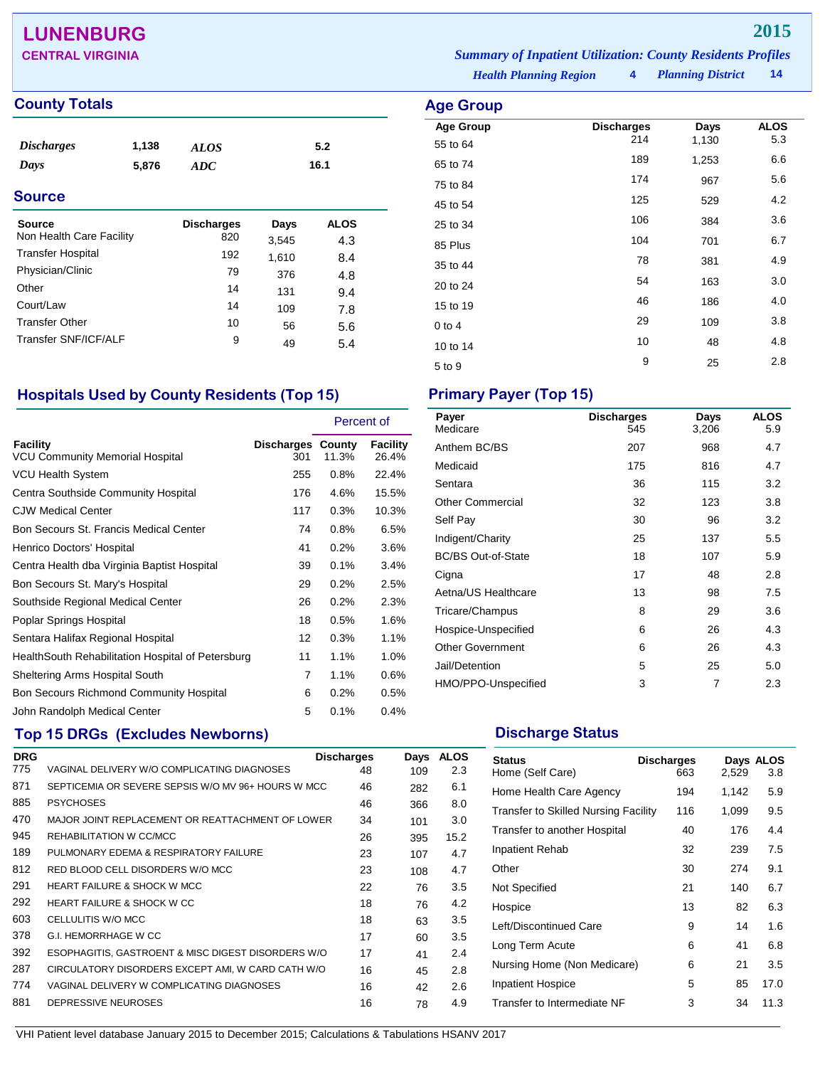## **LUNENBURG 2015**

### **County Totals Age Group**

| <b>Discharges</b>        | 1,138 | <b>ALOS</b>       | 5.2   |             |  |
|--------------------------|-------|-------------------|-------|-------------|--|
| Days                     | 5,876 | ADC               | 16.1  |             |  |
| <b>Source</b>            |       |                   |       |             |  |
| <b>Source</b>            |       | <b>Discharges</b> | Days  | <b>ALOS</b> |  |
| Non Health Care Facility |       | 820               | 3,545 | 4.3         |  |

|                          | ◡▃◡ | ა.ა4ა | 4.3 |
|--------------------------|-----|-------|-----|
| <b>Transfer Hospital</b> | 192 | 1,610 | 8.4 |
| Physician/Clinic         | 79  | 376   | 4.8 |
| Other                    | 14  | 131   | 9.4 |
| Court/Law                | 14  | 109   | 7.8 |
| <b>Transfer Other</b>    | 10  | 56    | 5.6 |
| Transfer SNF/ICF/ALF     | 9   | 49    | 5.4 |
|                          |     |       |     |

### **Hospitals Used by County Residents (Top 15) Primary Payer (Top 15)**

|                                                           |                                 | Percent of |                   |
|-----------------------------------------------------------|---------------------------------|------------|-------------------|
| <b>Facility</b><br><b>VCU Community Memorial Hospital</b> | <b>Discharges County</b><br>301 | 11.3%      | Facility<br>26.4% |
| VCU Health System                                         | 255                             | 0.8%       | 22.4%             |
| Centra Southside Community Hospital                       | 176                             | 4.6%       | 15.5%             |
| <b>CJW Medical Center</b>                                 | 117                             | 0.3%       | 10.3%             |
| Bon Secours St. Francis Medical Center                    | 74                              | 0.8%       | 6.5%              |
| Henrico Doctors' Hospital                                 | 41                              | 0.2%       | 3.6%              |
| Centra Health dba Virginia Baptist Hospital               | 39                              | 0.1%       | 3.4%              |
| Bon Secours St. Mary's Hospital                           | 29                              | 0.2%       | 2.5%              |
| Southside Regional Medical Center                         | 26                              | 0.2%       | 2.3%              |
| Poplar Springs Hospital                                   | 18                              | 0.5%       | 1.6%              |
| Sentara Halifax Regional Hospital                         | 12                              | 0.3%       | $1.1\%$           |
| HealthSouth Rehabilitation Hospital of Petersburg         | 11                              | 1.1%       | 1.0%              |
| Sheltering Arms Hospital South                            | 7                               | 1.1%       | 0.6%              |
| Bon Secours Richmond Community Hospital                   | 6                               | 0.2%       | 0.5%              |
| John Randolph Medical Center                              | 5                               | 0.1%       | 0.4%              |

## **Top 15 DRGs (Excludes Newborns) Discharge Status Discharge Status**

| <b>DRG</b> |                                                    | <b>Discharges</b> | Days | <b>ALOS</b> |
|------------|----------------------------------------------------|-------------------|------|-------------|
| 775        | VAGINAL DELIVERY W/O COMPLICATING DIAGNOSES        | 48                | 109  | 2.3         |
| 871        | SEPTICEMIA OR SEVERE SEPSIS W/O MV 96+ HOURS W MCC | 46                | 282  | 6.1         |
| 885        | <b>PSYCHOSES</b>                                   | 46                | 366  | 8.0         |
| 470        | MAJOR JOINT REPLACEMENT OR REATTACHMENT OF LOWER   | 34                | 101  | 3.0         |
| 945        | REHABILITATION W CC/MCC                            | 26                | 395  | 15.2        |
| 189        | PULMONARY EDEMA & RESPIRATORY FAILURE              | 23                | 107  | 4.7         |
| 812        | RED BLOOD CELL DISORDERS W/O MCC                   | 23                | 108  | 4.7         |
| 291        | <b>HEART FAILURE &amp; SHOCK W MCC</b>             | 22                | 76   | 3.5         |
| 292        | <b>HEART FAILURE &amp; SHOCK W CC</b>              | 18                | 76   | 4.2         |
| 603        | CELLULITIS W/O MCC                                 | 18                | 63   | 3.5         |
| 378        | <b>G.I. HEMORRHAGE W CC</b>                        | 17                | 60   | 3.5         |
| 392        | ESOPHAGITIS, GASTROENT & MISC DIGEST DISORDERS W/O | 17                | 41   | 2.4         |
| 287        | CIRCULATORY DISORDERS EXCEPT AMI, W CARD CATH W/O  | 16                | 45   | 2.8         |
| 774        | VAGINAL DELIVERY W COMPLICATING DIAGNOSES          | 16                | 42   | 2.6         |
| 881        | DEPRESSIVE NEUROSES                                | 16                | 78   | 4.9         |
|            |                                                    |                   |      |             |

| Payer<br>Medicare         | <b>Discharges</b><br>545 | Days<br>3,206 | <b>ALOS</b><br>5.9 |
|---------------------------|--------------------------|---------------|--------------------|
| Anthem BC/BS              | 207                      | 968           | 4.7                |
| Medicaid                  | 175                      | 816           | 4.7                |
| Sentara                   | 36                       | 115           | 3.2                |
| Other Commercial          | 32                       | 123           | 3.8                |
| Self Pay                  | 30                       | 96            | 3.2                |
| Indigent/Charity          | 25                       | 137           | 5.5                |
| <b>BC/BS Out-of-State</b> | 18                       | 107           | 5.9                |
| Cigna                     | 17                       | 48            | 2.8                |
| Aetna/US Healthcare       | 13                       | 98            | 7.5                |
| Tricare/Champus           | 8                        | 29            | 3.6                |
| Hospice-Unspecified       | 6                        | 26            | 4.3                |
| <b>Other Government</b>   | 6                        | 26            | 4.3                |
| Jail/Detention            | 5                        | 25            | 5.0                |
| HMO/PPO-Unspecified       | 3                        | 7             | 2.3                |

| <b>Status</b><br>Home (Self Care)           | <b>Discharges</b><br>663 | 2,529 | Days ALOS<br>3.8 |
|---------------------------------------------|--------------------------|-------|------------------|
| Home Health Care Agency                     | 194                      | 1,142 | 5.9              |
| <b>Transfer to Skilled Nursing Facility</b> | 116                      | 1,099 | 9.5              |
| Transfer to another Hospital                | 40                       | 176   | 4.4              |
| Inpatient Rehab                             | 32                       | 239   | 7.5              |
| Other                                       | 30                       | 274   | 9.1              |
| Not Specified                               | 21                       | 140   | 6.7              |
| Hospice                                     | 13                       | 82    | 6.3              |
| Left/Discontinued Care                      | 9                        | 14    | 1.6              |
| Long Term Acute                             | 6                        | 41    | 6.8              |
| Nursing Home (Non Medicare)                 | 6                        | 21    | 3.5              |
| Inpatient Hospice                           | 5                        | 85    | 17.0             |
| Transfer to Intermediate NF                 | 3                        | 34    | 11.3             |
|                                             |                          |       |                  |

*Health Planning Region* **4**

| $29 - 125$       |                   |       |             |
|------------------|-------------------|-------|-------------|
| <b>Age Group</b> | <b>Discharges</b> | Days  | <b>ALOS</b> |
| 55 to 64         | 214               | 1,130 | 5.3         |
| 65 to 74         | 189               | 1,253 | 6.6         |
| 75 to 84         | 174               | 967   | 5.6         |
| 45 to 54         | 125               | 529   | 4.2         |
| 25 to 34         | 106               | 384   | 3.6         |
| 85 Plus          | 104               | 701   | 6.7         |
| 35 to 44         | 78                | 381   | 4.9         |
| 20 to 24         | 54                | 163   | 3.0         |
| 15 to 19         | 46                | 186   | 4.0         |
| $0$ to 4         | 29                | 109   | 3.8         |
| 10 to 14         | 10                | 48    | 4.8         |
| 5 to 9           | 9                 | 25    | 2.8         |
|                  |                   |       |             |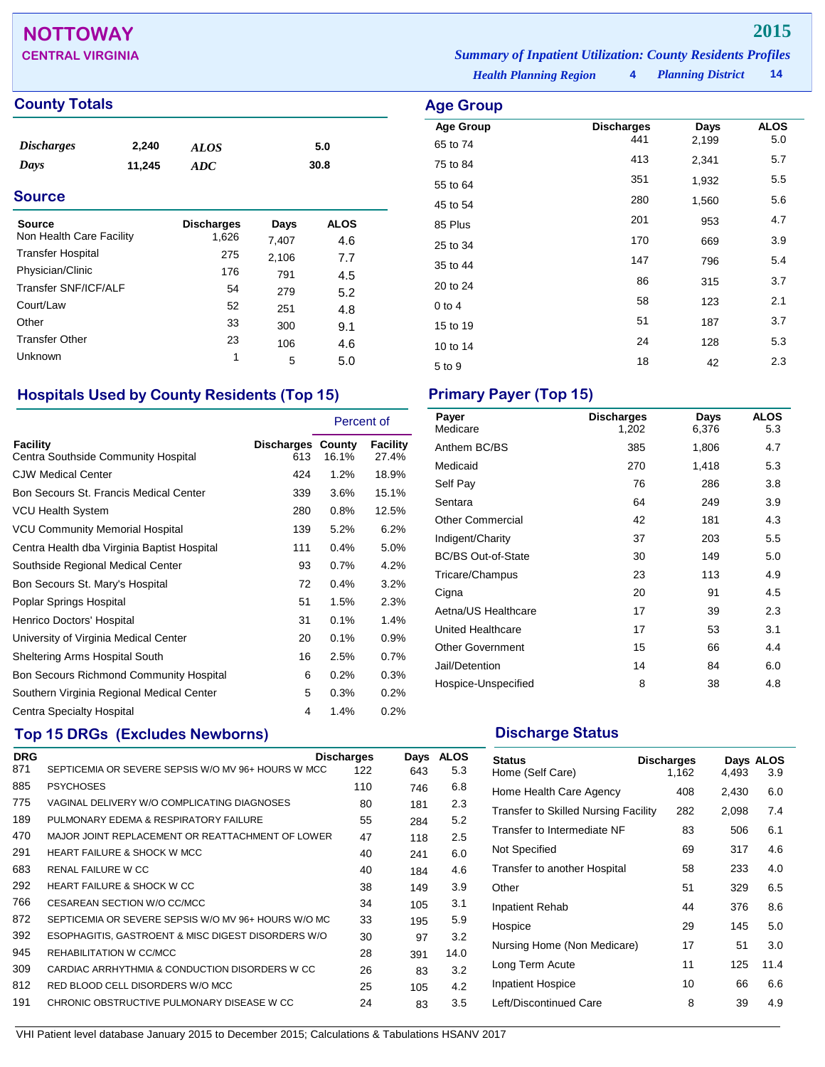## **NOTTOWAY 2015**

### **County Totals Age Group**

| <i>Discharges</i> | 2,240  | <b>ALOS</b> | 5.0  |
|-------------------|--------|-------------|------|
| Days              | 11,245 | ADC         | 30.8 |
|                   |        |             |      |

### **Source**

| <b>Source</b><br>Non Health Care Facility | <b>Discharges</b><br>1,626 | Days<br>7,407 | ALOS<br>4.6 |
|-------------------------------------------|----------------------------|---------------|-------------|
| <b>Transfer Hospital</b>                  | 275                        | 2,106         | 7.7         |
| Physician/Clinic                          | 176                        | 791           | 4.5         |
| Transfer SNF/ICF/ALF                      | 54                         | 279           | 5.2         |
| Court/Law                                 | 52                         | 251           | 4.8         |
| Other                                     | 33                         | 300           | 9.1         |
| <b>Transfer Other</b>                     | 23                         | 106           | 4.6         |
| Unknown                                   | 1                          | 5             | 5.0         |

### **Hospitals Used by County Residents (Top 15) Primary Payer (Top 15)**

|                                                 |                                 | Percent of |                          |
|-------------------------------------------------|---------------------------------|------------|--------------------------|
| Facility<br>Centra Southside Community Hospital | <b>Discharges County</b><br>613 | 16.1%      | <b>Facility</b><br>27.4% |
| <b>CJW Medical Center</b>                       | 424                             | $1.2\%$    | 18.9%                    |
| Bon Secours St. Francis Medical Center          | 339                             | $3.6\%$    | 15.1%                    |
| VCU Health System                               | 280                             | 0.8%       | 12.5%                    |
| <b>VCU Community Memorial Hospital</b>          | 139                             | 5.2%       | 6.2%                     |
| Centra Health dba Virginia Baptist Hospital     | 111                             | 0.4%       | 5.0%                     |
| Southside Regional Medical Center               | 93                              | $0.7\%$    | 4.2%                     |
| Bon Secours St. Mary's Hospital                 | 72                              | 0.4%       | 3.2%                     |
| Poplar Springs Hospital                         | 51                              | 1.5%       | 2.3%                     |
| Henrico Doctors' Hospital                       | 31                              | 0.1%       | 1.4%                     |
| University of Virginia Medical Center           | 20                              | 0.1%       | 0.9%                     |
| Sheltering Arms Hospital South                  | 16                              | 2.5%       | 0.7%                     |
| Bon Secours Richmond Community Hospital         | 6                               | 0.2%       | 0.3%                     |
| Southern Virginia Regional Medical Center       | 5                               | 0.3%       | 0.2%                     |
| Centra Specialty Hospital                       | 4                               | 1.4%       | 0.2%                     |

## **Top 15 DRGs (Excludes Newborns) Discharge Status Discharge Status**

| <b>DRG</b> |                                                     | <b>Discharges</b> | Days | <b>ALOS</b> |
|------------|-----------------------------------------------------|-------------------|------|-------------|
| 871        | SEPTICEMIA OR SEVERE SEPSIS W/O MV 96+ HOURS W MCC  | 122               | 643  | 5.3         |
| 885        | <b>PSYCHOSES</b>                                    | 110               | 746  | 6.8         |
| 775        | VAGINAL DELIVERY W/O COMPLICATING DIAGNOSES         | 80                | 181  | 2.3         |
| 189        | PULMONARY EDEMA & RESPIRATORY FAILURE               | 55                | 284  | 5.2         |
| 470        | MAJOR JOINT REPLACEMENT OR REATTACHMENT OF LOWER    | 47                | 118  | 2.5         |
| 291        | <b>HEART FAILURE &amp; SHOCK W MCC</b>              | 40                | 241  | 6.0         |
| 683        | <b>RENAL FAILURE W CC</b>                           | 40                | 184  | 4.6         |
| 292        | <b>HEART FAILURE &amp; SHOCK W CC</b>               | 38                | 149  | 3.9         |
| 766        | CESAREAN SECTION W/O CC/MCC                         | 34                | 105  | 3.1         |
| 872        | SEPTICEMIA OR SEVERE SEPSIS W/O MV 96+ HOURS W/O MC | 33                | 195  | 5.9         |
| 392        | ESOPHAGITIS, GASTROENT & MISC DIGEST DISORDERS W/O  | 30                | 97   | 3.2         |
| 945        | REHABILITATION W CC/MCC                             | 28                | 391  | 14.0        |
| 309        | CARDIAC ARRHYTHMIA & CONDUCTION DISORDERS W CC      | 26                | 83   | 3.2         |
| 812        | RED BLOOD CELL DISORDERS W/O MCC                    | 25                | 105  | 4.2         |
| 191        | CHRONIC OBSTRUCTIVE PULMONARY DISEASE W CC          | 24                | 83   | 3.5         |

*Health Planning Region* **4** *Planning District* **14 CENTRAL VIRGINIA** *Summary of Inpatient Utilization: County Residents Profiles*

| <b>Discharges</b> | Days       | ALOS           |
|-------------------|------------|----------------|
|                   |            | 5.0            |
|                   |            | 5.7            |
| 351               | 1,932      | 5.5            |
| 280               | 1,560      | 5.6            |
| 201               | 953        | 4.7            |
| 170               | 669        | 3.9            |
| 147               | 796        | 5.4            |
| 86                | 315        | 3.7            |
| 58                | 123        | 2.1            |
| 51                | 187        | 3.7            |
| 24                | 128        | 5.3            |
| 18                | 42         | 2.3            |
|                   | 441<br>413 | 2,199<br>2,341 |

| Payer<br>Medicare         | <b>Discharges</b><br>1,202 | Days<br>6,376 | <b>ALOS</b><br>5.3 |
|---------------------------|----------------------------|---------------|--------------------|
| Anthem BC/BS              | 385                        | 1,806         | 4.7                |
| Medicaid                  | 270                        | 1,418         | 5.3                |
| Self Pay                  | 76                         | 286           | 3.8                |
| Sentara                   | 64                         | 249           | 3.9                |
| <b>Other Commercial</b>   | 42                         | 181           | 4.3                |
| Indigent/Charity          | 37                         | 203           | 5.5                |
| <b>BC/BS Out-of-State</b> | 30                         | 149           | 5.0                |
| Tricare/Champus           | 23                         | 113           | 4.9                |
| Cigna                     | 20                         | 91            | 4.5                |
| Aetna/US Healthcare       | 17                         | 39            | 2.3                |
| United Healthcare         | 17                         | 53            | 3.1                |
| <b>Other Government</b>   | 15                         | 66            | 4.4                |
| Jail/Detention            | 14                         | 84            | 6.0                |
| Hospice-Unspecified       | 8                          | 38            | 4.8                |

| <b>Status</b><br>Home (Self Care)           | <b>Discharges</b><br>1,162 | 4,493 | Days ALOS<br>3.9 |
|---------------------------------------------|----------------------------|-------|------------------|
| Home Health Care Agency                     | 408                        | 2,430 | 6.0              |
| <b>Transfer to Skilled Nursing Facility</b> | 282                        | 2,098 | 7.4              |
| Transfer to Intermediate NF                 | 83                         | 506   | 6.1              |
| Not Specified                               | 69                         | 317   | 4.6              |
| Transfer to another Hospital                | 58                         | 233   | 4.0              |
| Other                                       | 51                         | 329   | 6.5              |
| Inpatient Rehab                             | 44                         | 376   | 8.6              |
| Hospice                                     | 29                         | 145   | 5.0              |
| Nursing Home (Non Medicare)                 | 17                         | 51    | 3.0              |
| Long Term Acute                             | 11                         | 125   | 11.4             |
| <b>Inpatient Hospice</b>                    | 10                         | 66    | 6.6              |
| Left/Discontinued Care                      | 8                          | 39    | 4.9              |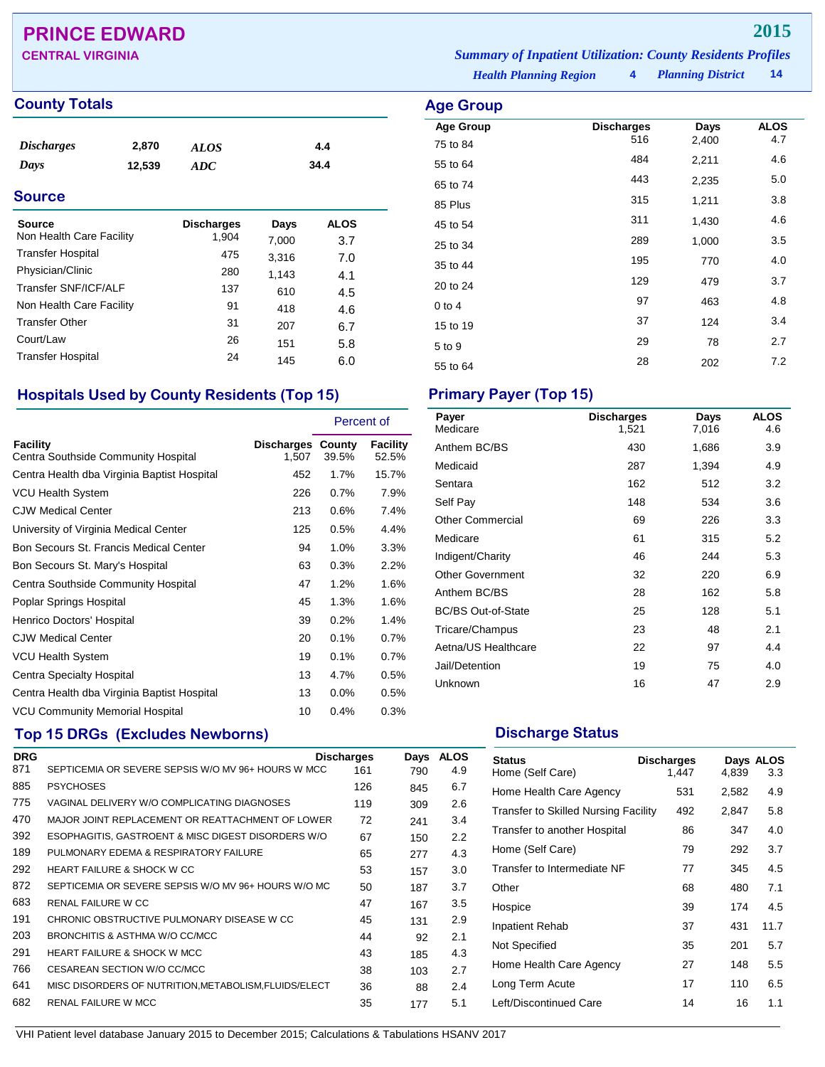## **PRINCE EDWARD 2015**

### **County Totals Age Group**

| <i>Discharges</i> | 2,870  | <b>ALOS</b> | 4.4  |
|-------------------|--------|-------------|------|
| Days              | 12,539 | ADC         | 34.4 |
|                   |        |             |      |

### **Source**

| Source                   | <b>Discharges</b> | Days  | <b>ALOS</b> |
|--------------------------|-------------------|-------|-------------|
| Non Health Care Facility | 1,904             | 7,000 | 3.7         |
| <b>Transfer Hospital</b> | 475               | 3,316 | 7.0         |
| Physician/Clinic         | 280               | 1,143 | 4.1         |
| Transfer SNF/ICF/ALF     | 137               | 610   | 4.5         |
| Non Health Care Facility | 91                | 418   | 4.6         |
| <b>Transfer Other</b>    | 31                | 207   | 6.7         |
| Court/Law                | 26                | 151   | 5.8         |
| <b>Transfer Hospital</b> | 24                | 145   | 6.0         |

### **Hospitals Used by County Residents (Top 15) Primary Payer (Top 15)**

|                                                        |                                   | Percent of |                          |
|--------------------------------------------------------|-----------------------------------|------------|--------------------------|
| <b>Facility</b><br>Centra Southside Community Hospital | <b>Discharges County</b><br>1,507 | 39.5%      | <b>Facility</b><br>52.5% |
| Centra Health dba Virginia Baptist Hospital            | 452                               | 1.7%       | 15.7%                    |
| VCU Health System                                      | 226                               | 0.7%       | 7.9%                     |
| <b>CJW Medical Center</b>                              | 213                               | 0.6%       | 7.4%                     |
| University of Virginia Medical Center                  | 125                               | 0.5%       | 4.4%                     |
| Bon Secours St. Francis Medical Center                 | 94                                | 1.0%       | 3.3%                     |
| Bon Secours St. Mary's Hospital                        | 63                                | 0.3%       | 2.2%                     |
| Centra Southside Community Hospital                    | 47                                | 1.2%       | 1.6%                     |
| Poplar Springs Hospital                                | 45                                | 1.3%       | 1.6%                     |
| Henrico Doctors' Hospital                              | 39                                | 0.2%       | 1.4%                     |
| <b>CJW Medical Center</b>                              | 20                                | 0.1%       | 0.7%                     |
| <b>VCU Health System</b>                               | 19                                | 0.1%       | 0.7%                     |
| Centra Specialty Hospital                              | 13                                | 4.7%       | $0.5\%$                  |
| Centra Health dba Virginia Baptist Hospital            | 13                                | $0.0\%$    | $0.5\%$                  |
| <b>VCU Community Memorial Hospital</b>                 | 10                                | 0.4%       | 0.3%                     |

### **Top 15 DRGs (Excludes Newborns) Discharge Status Discharge Status**

| <b>DRG</b> |                                                       | <b>Discharges</b> | Days | <b>ALOS</b> |
|------------|-------------------------------------------------------|-------------------|------|-------------|
| 871        | SEPTICEMIA OR SEVERE SEPSIS W/O MV 96+ HOURS W MCC    | 161               | 790  | 4.9         |
| 885        | <b>PSYCHOSES</b>                                      | 126               | 845  | 6.7         |
| 775        | VAGINAL DELIVERY W/O COMPLICATING DIAGNOSES           | 119               | 309  | 2.6         |
| 470        | MAJOR JOINT REPLACEMENT OR REATTACHMENT OF LOWER      | 72                | 241  | 3.4         |
| 392        | ESOPHAGITIS, GASTROENT & MISC DIGEST DISORDERS W/O    | 67                | 150  | 2.2         |
| 189        | PULMONARY EDEMA & RESPIRATORY FAILURE                 | 65                | 277  | 4.3         |
| 292        | <b>HEART FAILURE &amp; SHOCK W CC</b>                 | 53                | 157  | 3.0         |
| 872        | SEPTICEMIA OR SEVERE SEPSIS W/O MV 96+ HOURS W/O MC   | 50                | 187  | 3.7         |
| 683        | RENAL FAILURE W CC                                    | 47                | 167  | 3.5         |
| 191        | CHRONIC OBSTRUCTIVE PULMONARY DISEASE W CC            | 45                | 131  | 2.9         |
| 203        | BRONCHITIS & ASTHMA W/O CC/MCC                        | 44                | 92   | 2.1         |
| 291        | <b>HEART FAILURE &amp; SHOCK W MCC</b>                | 43                | 185  | 4.3         |
| 766        | CESAREAN SECTION W/O CC/MCC                           | 38                | 103  | 2.7         |
| 641        | MISC DISORDERS OF NUTRITION, METABOLISM, FLUIDS/ELECT | 36                | 88   | 2.4         |
| 682        | <b>RENAL FAILURE W MCC</b>                            | 35                | 177  | 5.1         |
|            |                                                       |                   |      |             |

*Planning District* **14 CENTRAL VIRGINIA** *Summary of Inpatient Utilization: County Residents Profiles*

*Health Planning Region* **4**

| Age Group        |                          |               |                    |
|------------------|--------------------------|---------------|--------------------|
| <b>Age Group</b> | <b>Discharges</b><br>516 | Days<br>2,400 | <b>ALOS</b><br>4.7 |
| 75 to 84         | 484                      |               |                    |
| 55 to 64         |                          | 2,211         | 4.6                |
| 65 to 74         | 443                      | 2,235         | 5.0                |
| 85 Plus          | 315                      | 1,211         | 3.8                |
| 45 to 54         | 311                      | 1,430         | 4.6                |
| 25 to 34         | 289                      | 1,000         | 3.5                |
| 35 to 44         | 195                      | 770           | 4.0                |
| 20 to 24         | 129                      | 479           | 3.7                |
| $0$ to 4         | 97                       | 463           | 4.8                |
| 15 to 19         | 37                       | 124           | 3.4                |
| 5 to 9           | 29                       | 78            | 2.7                |
| 55 to 64         | 28                       | 202           | 7.2                |

| Payer<br>Medicare         | <b>Discharges</b><br>1,521 | Days<br>7,016 | <b>ALOS</b><br>4.6 |
|---------------------------|----------------------------|---------------|--------------------|
| Anthem BC/BS              | 430                        | 1,686         | 3.9                |
| Medicaid                  | 287                        | 1,394         | 4.9                |
| Sentara                   | 162                        | 512           | 3.2                |
| Self Pay                  | 148                        | 534           | 3.6                |
| <b>Other Commercial</b>   | 69                         | 226           | 3.3                |
| Medicare                  | 61                         | 315           | 5.2                |
| Indigent/Charity          | 46                         | 244           | 5.3                |
| <b>Other Government</b>   | 32                         | 220           | 6.9                |
| Anthem BC/BS              | 28                         | 162           | 5.8                |
| <b>BC/BS Out-of-State</b> | 25                         | 128           | 5.1                |
| Tricare/Champus           | 23                         | 48            | 2.1                |
| Aetna/US Healthcare       | 22                         | 97            | 4.4                |
| Jail/Detention            | 19                         | 75            | 4.0                |
| Unknown                   | 16                         | 47            | 2.9                |

| <b>Status</b><br>Home (Self Care)           | <b>Discharges</b><br>1,447 | 4.839 | Days ALOS<br>3.3 |
|---------------------------------------------|----------------------------|-------|------------------|
| Home Health Care Agency                     | 531                        | 2,582 | 4.9              |
| <b>Transfer to Skilled Nursing Facility</b> | 492                        | 2,847 | 5.8              |
| Transfer to another Hospital                | 86                         | 347   | 4.0              |
| Home (Self Care)                            | 79                         | 292   | 3.7              |
| Transfer to Intermediate NF                 | 77                         | 345   | 4.5              |
| Other                                       | 68                         | 480   | 7.1              |
| Hospice                                     | 39                         | 174   | 4.5              |
| Inpatient Rehab                             | 37                         | 431   | 11.7             |
| Not Specified                               | 35                         | 201   | 5.7              |
| Home Health Care Agency                     | 27                         | 148   | 5.5              |
| Long Term Acute                             | 17                         | 110   | 6.5              |
| Left/Discontinued Care                      | 14                         | 16    | 1.1              |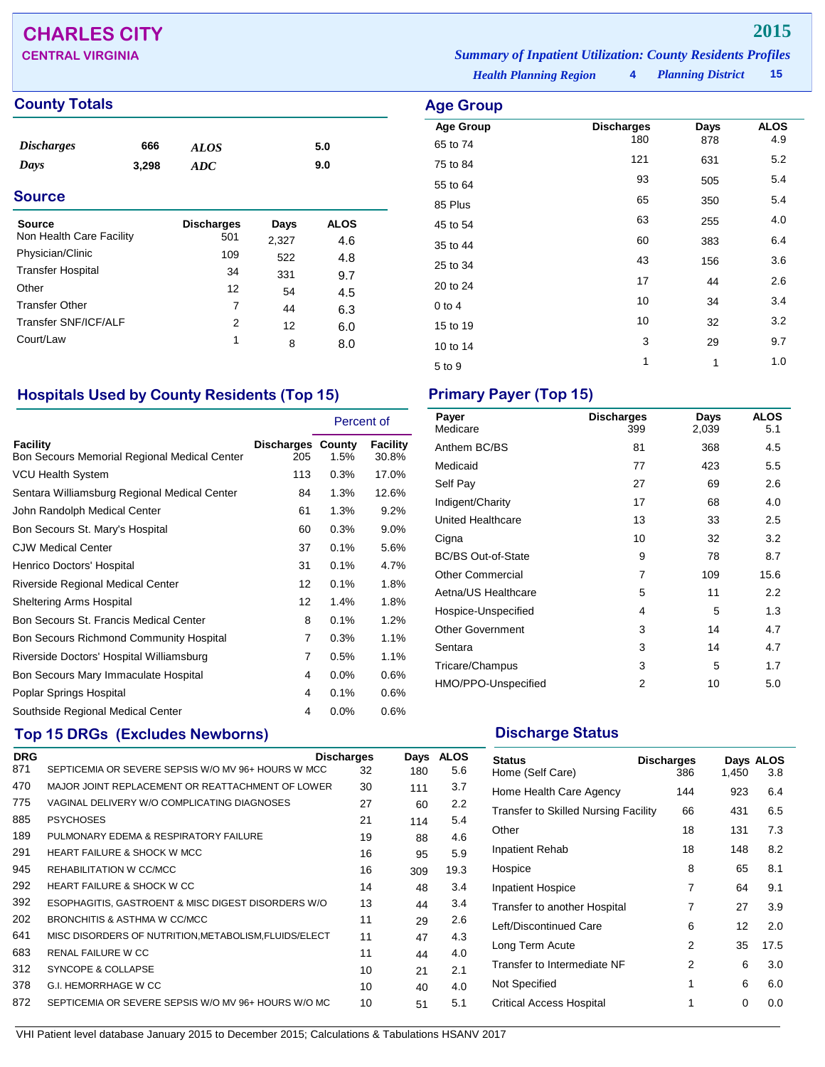## **CHARLES CITY 2015**

### **County Totals Age Group**

| <b>Source</b><br>$\mathbf{M}$ and $\mathbf{M}$ are $\mathbf{M}$ and $\mathbf{M}$ and $\mathbf{M}$ are $\mathbf{M}$ and $\mathbf{M}$ are $\mathbf{M}$ |       | <b>Discharges</b><br>-- - | Days | <b>ALOS</b> |  |
|------------------------------------------------------------------------------------------------------------------------------------------------------|-------|---------------------------|------|-------------|--|
| <b>Source</b>                                                                                                                                        |       |                           |      |             |  |
| Days                                                                                                                                                 | 3.298 | ADC                       |      | 9.0         |  |
| <b>Discharges</b>                                                                                                                                    | 666   | <b>ALOS</b>               |      | 5.0         |  |
|                                                                                                                                                      |       |                           |      |             |  |

| Non Health Care Facility | 501 | 2,327 | 4.6 |  |
|--------------------------|-----|-------|-----|--|
| Physician/Clinic         | 109 | 522   | 4.8 |  |
| <b>Transfer Hospital</b> | 34  | 331   | 9.7 |  |
| Other                    | 12  | 54    | 4.5 |  |
| <b>Transfer Other</b>    | 7   | 44    | 6.3 |  |
| Transfer SNF/ICF/ALF     | 2   | 12    | 6.0 |  |
| Court/Law                | 1   | 8     | 8.0 |  |
|                          |     |       |     |  |

### **Hospitals Used by County Residents (Top 15) Primary Payer (Top 15)**

|                                                                 |                                 | Percent of |                   |
|-----------------------------------------------------------------|---------------------------------|------------|-------------------|
| <b>Facility</b><br>Bon Secours Memorial Regional Medical Center | <b>Discharges County</b><br>205 | $1.5\%$    | Facility<br>30.8% |
| VCU Health System                                               | 113                             | 0.3%       | 17.0%             |
| Sentara Williamsburg Regional Medical Center                    | 84                              | 1.3%       | 12.6%             |
| John Randolph Medical Center                                    | 61                              | 1.3%       | 9.2%              |
| Bon Secours St. Mary's Hospital                                 | 60                              | 0.3%       | $9.0\%$           |
| <b>CJW Medical Center</b>                                       | 37                              | 0.1%       | 5.6%              |
| Henrico Doctors' Hospital                                       | 31                              | 0.1%       | 4.7%              |
| Riverside Regional Medical Center                               | 12                              | 0.1%       | 1.8%              |
| Sheltering Arms Hospital                                        | 12                              | 1.4%       | 1.8%              |
| Bon Secours St. Francis Medical Center                          | 8                               | 0.1%       | 1.2%              |
| <b>Bon Secours Richmond Community Hospital</b>                  | 7                               | 0.3%       | 1.1%              |
| Riverside Doctors' Hospital Williamsburg                        | $\overline{7}$                  | 0.5%       | 1.1%              |
| Bon Secours Mary Immaculate Hospital                            | 4                               | $0.0\%$    | 0.6%              |
| Poplar Springs Hospital                                         | 4                               | 0.1%       | $0.6\%$           |
| Southside Regional Medical Center                               | 4                               | $0.0\%$    | 0.6%              |

## **Top 15 DRGs (Excludes Newborns) Discharge Status Discharge Status**

| <b>DRG</b> |                                                       | <b>Discharges</b> | Days | ALOS |
|------------|-------------------------------------------------------|-------------------|------|------|
| 871        | SEPTICEMIA OR SEVERE SEPSIS W/O MV 96+ HOURS W MCC    | 32                | 180  | 5.6  |
| 470        | MAJOR JOINT REPLACEMENT OR REATTACHMENT OF LOWER      | 30                | 111  | 3.7  |
| 775        | VAGINAL DELIVERY W/O COMPLICATING DIAGNOSES           | 27                | 60   | 2.2  |
| 885        | <b>PSYCHOSES</b>                                      | 21                | 114  | 5.4  |
| 189        | PULMONARY EDEMA & RESPIRATORY FAILURE                 | 19                | 88   | 4.6  |
| 291        | <b>HEART FAILURE &amp; SHOCK W MCC</b>                | 16                | 95   | 5.9  |
| 945        | REHABILITATION W CC/MCC                               | 16                | 309  | 19.3 |
| 292        | HEART FAILURE & SHOCK W CC                            | 14                | 48   | 3.4  |
| 392        | ESOPHAGITIS, GASTROENT & MISC DIGEST DISORDERS W/O    | 13                | 44   | 3.4  |
| 202        | BRONCHITIS & ASTHMA W CC/MCC                          | 11                | 29   | 2.6  |
| 641        | MISC DISORDERS OF NUTRITION, METABOLISM, FLUIDS/ELECT | 11                | 47   | 4.3  |
| 683        | RENAL FAILURE W CC                                    | 11                | 44   | 4.0  |
| 312        | SYNCOPE & COLLAPSE                                    | 10                | 21   | 2.1  |
| 378        | <b>G.I. HEMORRHAGE W CC</b>                           | 10                | 40   | 4.0  |
| 872        | SEPTICEMIA OR SEVERE SEPSIS W/O MV 96+ HOURS W/O MC   | 10                | 51   | 5.1  |
|            |                                                       |                   |      |      |

| Payer<br>Medicare         | <b>Discharges</b><br>399 | Days<br>2,039 | <b>ALOS</b><br>5.1 |
|---------------------------|--------------------------|---------------|--------------------|
| Anthem BC/BS              | 81                       | 368           | 4.5                |
| Medicaid                  | 77                       | 423           | 5.5                |
| Self Pay                  | 27                       | 69            | 2.6                |
| Indigent/Charity          | 17                       | 68            | 4.0                |
| United Healthcare         | 13                       | 33            | 2.5                |
| Cigna                     | 10                       | 32            | 3.2                |
| <b>BC/BS Out-of-State</b> | 9                        | 78            | 8.7                |
| <b>Other Commercial</b>   | 7                        | 109           | 15.6               |
| Aetna/US Healthcare       | 5                        | 11            | 2.2                |
| Hospice-Unspecified       | 4                        | 5             | 1.3                |
| <b>Other Government</b>   | 3                        | 14            | 4.7                |
| Sentara                   | 3                        | 14            | 4.7                |
| Tricare/Champus           | 3                        | 5             | 1.7                |
| HMO/PPO-Unspecified       | 2                        | 10            | 5.0                |

| Home (Self Care)                            |     |     | 3.8  |
|---------------------------------------------|-----|-----|------|
| Home Health Care Agency                     | 144 | 923 | 6.4  |
| <b>Transfer to Skilled Nursing Facility</b> | 66  | 431 | 6.5  |
| Other                                       | 18  | 131 | 7.3  |
| <b>Inpatient Rehab</b>                      | 18  | 148 | 8.2  |
| Hospice                                     | 8   | 65  | 8.1  |
| <b>Inpatient Hospice</b>                    | 7   | 64  | 9.1  |
| Transfer to another Hospital                | 7   | 27  | 3.9  |
| Left/Discontinued Care                      | 6   | 12  | 2.0  |
| Long Term Acute                             | 2   | 35  | 17.5 |
| Transfer to Intermediate NF                 | 2   | 6   | 3.0  |
| Not Specified                               | 1   | 6   | 6.0  |
| Critical Access Hospital                    | 1   | ŋ   | 0.0  |

**CENTRAL VIRGINIA** *Summary of Inpatient Utilization: County Residents Profiles*

**Age Group Discharges Days ALOS**<br>65 to 74 **180** 878 4.9

75 to 84 <sup>121</sup> <sup>631</sup> 5.2 55 to 64 505 505 5.4 85 Plus 65 350 5.4 45 to 54 <sup>63</sup> <sup>255</sup> 4.0 35 to 44 <sup>60</sup> <sup>383</sup> 6.4 25 to 34 <sup>43</sup> <sup>156</sup> 3.6 20 to 24 <sup>17</sup> <sup>44</sup> 2.6 0 to 4  $10$   $34$   $3.4$ 15 to 19 10 32 3.2 10 to 14 3 29 9.7  $5 \text{ to } 9$  1 1 1.0

*Health Planning Region* **4**

65 to 74 180 878

*Planning District* **15**

| VHI Patient level database January 2015 to December 2015; Calculations & Tabulations HSANV 2017 |
|-------------------------------------------------------------------------------------------------|
|-------------------------------------------------------------------------------------------------|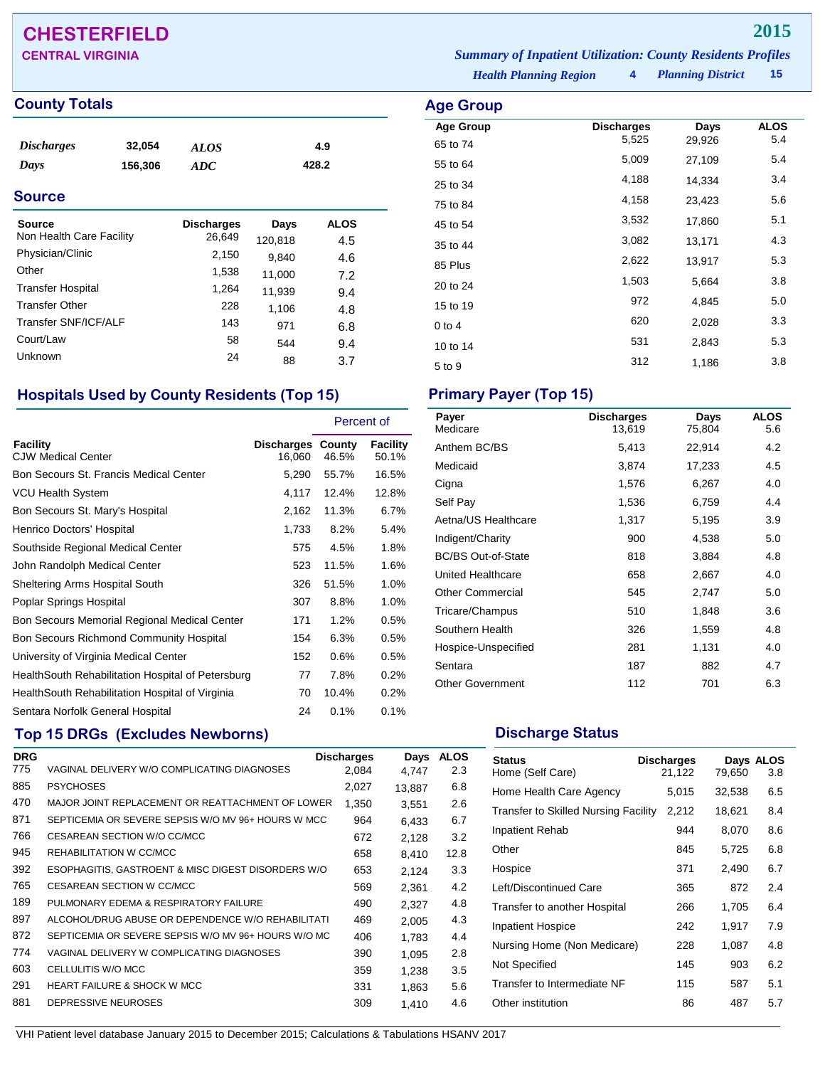## **CHESTERFIELD 2015**

### **County Totals Age Group**

| <i>Discharges</i> | 32,054  | ALOS | 4.9   |
|-------------------|---------|------|-------|
| Days              | 156,306 | ADC  | 428.2 |
|                   |         |      |       |

### **Source**

| Source<br>Non Health Care Facility | <b>Discharges</b><br>26,649 | Days<br>120,818 | ALOS<br>4.5 |
|------------------------------------|-----------------------------|-----------------|-------------|
| Physician/Clinic                   | 2,150                       | 9,840           | 4.6         |
| Other                              | 1,538                       | 11,000          | 7.2         |
| <b>Transfer Hospital</b>           | 1,264                       | 11,939          | 9.4         |
| <b>Transfer Other</b>              | 228                         | 1,106           | 4.8         |
| Transfer SNF/ICF/ALF               | 143                         | 971             | 6.8         |
| Court/Law                          | 58                          | 544             | 9.4         |
| Unknown                            | 24                          | 88              | 3.7         |

### **Hospitals Used by County Residents (Top 15) Primary Payer (Top 15)**

|                                                   |                                    | Percent of |                          |
|---------------------------------------------------|------------------------------------|------------|--------------------------|
| Facility<br><b>CJW Medical Center</b>             | <b>Discharges County</b><br>16,060 | 46.5%      | <b>Facility</b><br>50.1% |
| Bon Secours St. Francis Medical Center            | 5,290                              | 55.7%      | 16.5%                    |
| VCU Health System                                 | 4,117                              | 12.4%      | 12.8%                    |
| Bon Secours St. Mary's Hospital                   | 2,162                              | 11.3%      | 6.7%                     |
| Henrico Doctors' Hospital                         | 1,733                              | 8.2%       | 5.4%                     |
| Southside Regional Medical Center                 | 575                                | 4.5%       | 1.8%                     |
| John Randolph Medical Center                      | 523                                | 11.5%      | 1.6%                     |
| Sheltering Arms Hospital South                    | 326                                | 51.5%      | 1.0%                     |
| Poplar Springs Hospital                           | 307                                | 8.8%       | 1.0%                     |
| Bon Secours Memorial Regional Medical Center      | 171                                | 1.2%       | 0.5%                     |
| <b>Bon Secours Richmond Community Hospital</b>    | 154                                | 6.3%       | 0.5%                     |
| University of Virginia Medical Center             | 152                                | 0.6%       | 0.5%                     |
| HealthSouth Rehabilitation Hospital of Petersburg | 77                                 | 7.8%       | 0.2%                     |
| Health South Rehabilitation Hospital of Virginia  | 70                                 | 10.4%      | 0.2%                     |
| Sentara Norfolk General Hospital                  | 24                                 | 0.1%       | 0.1%                     |

## **Top 15 DRGs (Excludes Newborns) Discharge Status Discharge Status**

| <b>DRG</b> |                                                     | <b>Discharges</b> | Days   | <b>ALOS</b> |
|------------|-----------------------------------------------------|-------------------|--------|-------------|
| 775        | VAGINAL DELIVERY W/O COMPLICATING DIAGNOSES         | 2.084             | 4,747  | 2.3         |
| 885        | <b>PSYCHOSES</b>                                    | 2,027             | 13.887 | 6.8         |
| 470        | MAJOR JOINT REPLACEMENT OR REATTACHMENT OF LOWER    | 1,350             | 3,551  | 2.6         |
| 871        | SEPTICEMIA OR SEVERE SEPSIS W/O MV 96+ HOURS W MCC  | 964               | 6.433  | 6.7         |
| 766        | CESAREAN SECTION W/O CC/MCC                         | 672               | 2,128  | 3.2         |
| 945        | REHABILITATION W CC/MCC                             | 658               | 8.410  | 12.8        |
| 392        | ESOPHAGITIS, GASTROENT & MISC DIGEST DISORDERS W/O  | 653               | 2,124  | 3.3         |
| 765        | <b>CESAREAN SECTION W CC/MCC</b>                    | 569               | 2,361  | 4.2         |
| 189        | PULMONARY EDEMA & RESPIRATORY FAILURE               | 490               | 2,327  | 4.8         |
| 897        | ALCOHOL/DRUG ABUSE OR DEPENDENCE W/O REHABILITATI   | 469               | 2,005  | 4.3         |
| 872        | SEPTICEMIA OR SEVERE SEPSIS W/O MV 96+ HOURS W/O MC | 406               | 1.783  | 4.4         |
| 774        | VAGINAL DELIVERY W COMPLICATING DIAGNOSES           | 390               | 1,095  | 2.8         |
| 603        | CELLULITIS W/O MCC                                  | 359               | 1.238  | 3.5         |
| 291        | <b>HEART FAILURE &amp; SHOCK W MCC</b>              | 331               | 1,863  | 5.6         |
| 881        | DEPRESSIVE NEUROSES                                 | 309               | 1,410  | 4.6         |
|            |                                                     |                   |        |             |

*Health Planning Region* **4** *Planning District* **15 CENTRAL VIRGINIA** *Summary of Inpatient Utilization: County Residents Profiles*

| <b>\ge Group</b> |                   |        |             |
|------------------|-------------------|--------|-------------|
| <b>Age Group</b> | <b>Discharges</b> | Days   | <b>ALOS</b> |
| 65 to 74         | 5,525             | 29,926 | 5.4         |
| 55 to 64         | 5,009             | 27,109 | 5.4         |
| 25 to 34         | 4,188             | 14,334 | 3.4         |
| 75 to 84         | 4,158             | 23,423 | 5.6         |
| 45 to 54         | 3,532             | 17,860 | 5.1         |
| 35 to 44         | 3,082             | 13,171 | 4.3         |
| 85 Plus          | 2,622             | 13,917 | 5.3         |
| 20 to 24         | 1,503             | 5,664  | 3.8         |
| 15 to 19         | 972               | 4,845  | 5.0         |
| $0$ to 4         | 620               | 2,028  | 3.3         |
| 10 to 14         | 531               | 2,843  | 5.3         |
| 5 to 9           | 312               | 1,186  | 3.8         |

| Payer<br>Medicare         | <b>Discharges</b><br>13,619 | Days<br>75,804 | <b>ALOS</b><br>5.6 |
|---------------------------|-----------------------------|----------------|--------------------|
| Anthem BC/BS              | 5,413                       | 22,914         | 4.2                |
| Medicaid                  | 3,874                       | 17,233         | 4.5                |
| Cigna                     | 1,576                       | 6,267          | 4.0                |
| Self Pay                  | 1,536                       | 6,759          | 4.4                |
| Aetna/US Healthcare       | 1,317                       | 5,195          | 3.9                |
| Indigent/Charity          | 900                         | 4,538          | 5.0                |
| <b>BC/BS Out-of-State</b> | 818                         | 3,884          | 4.8                |
| United Healthcare         | 658                         | 2,667          | 4.0                |
| <b>Other Commercial</b>   | 545                         | 2,747          | 5.0                |
| Tricare/Champus           | 510                         | 1,848          | 3.6                |
| Southern Health           | 326                         | 1,559          | 4.8                |
| Hospice-Unspecified       | 281                         | 1,131          | 4.0                |
| Sentara                   | 187                         | 882            | 4.7                |
| <b>Other Government</b>   | 112                         | 701            | 6.3                |

| <b>Status</b><br>Home (Self Care)           | <b>Discharges</b><br>21,122 | 79,650 | Days ALOS<br>3.8 |
|---------------------------------------------|-----------------------------|--------|------------------|
| Home Health Care Agency                     | 5,015                       | 32,538 | 6.5              |
| <b>Transfer to Skilled Nursing Facility</b> | 2,212                       | 18,621 | 8.4              |
| Inpatient Rehab                             | 944                         | 8.070  | 8.6              |
| Other                                       | 845                         | 5,725  | 6.8              |
| Hospice                                     | 371                         | 2,490  | 6.7              |
| Left/Discontinued Care                      | 365                         | 872    | 2.4              |
| Transfer to another Hospital                | 266                         | 1,705  | 6.4              |
| <b>Inpatient Hospice</b>                    | 242                         | 1,917  | 7.9              |
| Nursing Home (Non Medicare)                 | 228                         | 1,087  | 4.8              |
| Not Specified                               | 145                         | 903    | 6.2              |
| Transfer to Intermediate NF                 | 115                         | 587    | 5.1              |
| Other institution                           | 86                          | 487    | 5.7              |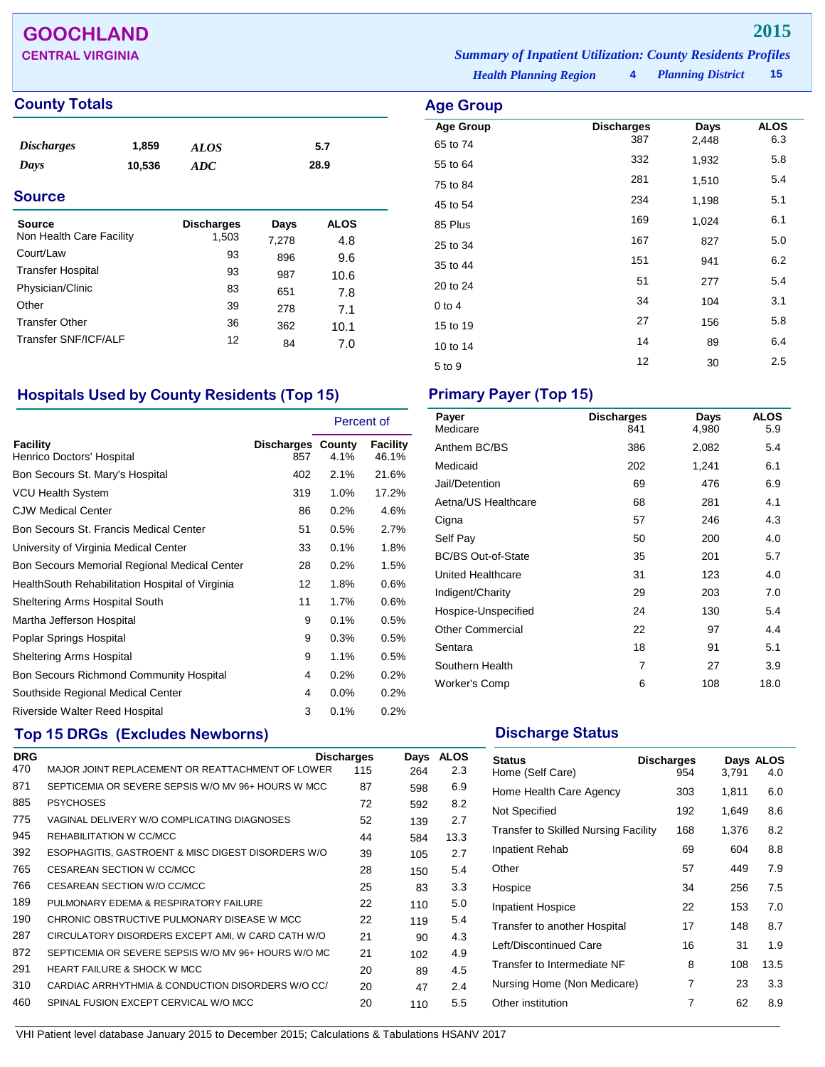## **GOOCHLAND 2015**

### **County Totals Age Group**

| $P_{\text{out}}$  |        | <b>Dicohormon</b> | <b>Doug</b> | $\mathbf{A}$ $\mathbf{A}$ |  |
|-------------------|--------|-------------------|-------------|---------------------------|--|
| <b>Source</b>     |        |                   |             |                           |  |
| Days              | 10,536 | ADC               |             | 28.9                      |  |
| <b>Discharges</b> | 1,859  | <b>ALOS</b>       |             | 5.7                       |  |
|                   |        |                   |             |                           |  |

| Source                   | <b>Discharges</b> | Days  | <b>ALOS</b> |  |
|--------------------------|-------------------|-------|-------------|--|
| Non Health Care Facility | 1,503             | 7,278 | 4.8         |  |
| Court/Law                | 93                | 896   | 9.6         |  |
| <b>Transfer Hospital</b> | 93                | 987   | 10.6        |  |
| Physician/Clinic         | 83                | 651   | 7.8         |  |
| Other                    | 39                | 278   | 7.1         |  |
| <b>Transfer Other</b>    | 36                | 362   | 10.1        |  |
| Transfer SNF/ICF/ALF     | 12                | 84    | 7.0         |  |
|                          |                   |       |             |  |

### **Hospitals Used by County Residents (Top 15) Primary Payer (Top 15)**

|                                                  |                                 | Percent of |                   |
|--------------------------------------------------|---------------------------------|------------|-------------------|
| Facility<br>Henrico Doctors' Hospital            | <b>Discharges County</b><br>857 | $4.1\%$    | Facility<br>46.1% |
| Bon Secours St. Mary's Hospital                  | 402                             | 2.1%       | 21.6%             |
| <b>VCU Health System</b>                         | 319                             | 1.0%       | 17.2%             |
| <b>CJW Medical Center</b>                        | 86                              | 0.2%       | 4.6%              |
| Bon Secours St. Francis Medical Center           | 51                              | 0.5%       | 2.7%              |
| University of Virginia Medical Center            | 33                              | 0.1%       | 1.8%              |
| Bon Secours Memorial Regional Medical Center     | 28                              | 0.2%       | 1.5%              |
| Health South Rehabilitation Hospital of Virginia | 12                              | 1.8%       | 0.6%              |
| Sheltering Arms Hospital South                   | 11                              | 1.7%       | 0.6%              |
| Martha Jefferson Hospital                        | 9                               | 0.1%       | 0.5%              |
| Poplar Springs Hospital                          | 9                               | 0.3%       | 0.5%              |
| <b>Sheltering Arms Hospital</b>                  | 9                               | 1.1%       | 0.5%              |
| <b>Bon Secours Richmond Community Hospital</b>   | 4                               | 0.2%       | 0.2%              |
| Southside Regional Medical Center                | 4                               | 0.0%       | 0.2%              |
| Riverside Walter Reed Hospital                   | 3                               | 0.1%       | 0.2%              |

## **Top 15 DRGs (Excludes Newborns) Discharge Status Discharge Status**

| <b>DRG</b> |                                                     | <b>Discharges</b> | Days | <b>ALOS</b> |
|------------|-----------------------------------------------------|-------------------|------|-------------|
| 470        | MAJOR JOINT REPLACEMENT OR REATTACHMENT OF LOWER    | 115               | 264  | 2.3         |
| 871        | SEPTICEMIA OR SEVERE SEPSIS W/O MV 96+ HOURS W MCC  | 87                | 598  | 6.9         |
| 885        | <b>PSYCHOSES</b>                                    | 72                | 592  | 8.2         |
| 775        | VAGINAL DELIVERY W/O COMPLICATING DIAGNOSES         | 52                | 139  | 2.7         |
| 945        | REHABILITATION W CC/MCC                             | 44                | 584  | 13.3        |
| 392        | ESOPHAGITIS, GASTROENT & MISC DIGEST DISORDERS W/O  | 39                | 105  | 2.7         |
| 765        | CESAREAN SECTION W CC/MCC                           | 28                | 150  | 5.4         |
| 766        | CESAREAN SECTION W/O CC/MCC                         | 25                | 83   | 3.3         |
| 189        | PULMONARY EDEMA & RESPIRATORY FAILURE               | 22                | 110  | 5.0         |
| 190        | CHRONIC OBSTRUCTIVE PULMONARY DISEASE W MCC         | 22                | 119  | 5.4         |
| 287        | CIRCULATORY DISORDERS EXCEPT AMI, W CARD CATH W/O   | 21                | 90   | 4.3         |
| 872        | SEPTICEMIA OR SEVERE SEPSIS W/O MV 96+ HOURS W/O MC | 21                | 102  | 4.9         |
| 291        | <b>HEART FAILURE &amp; SHOCK W MCC</b>              | 20                | 89   | 4.5         |
| 310        | CARDIAC ARRHYTHMIA & CONDUCTION DISORDERS W/O CC/   | 20                | 47   | 2.4         |
| 460        | SPINAL FUSION EXCEPT CERVICAL W/O MCC               | 20                | 110  | 5.5         |
|            |                                                     |                   |      |             |

*Health Planning Region* **4** *Planning District* **15 CENTRAL VIRGINIA** *Summary of Inpatient Utilization: County Residents Profiles*

| Age Group        |                   |       |             |
|------------------|-------------------|-------|-------------|
| <b>Age Group</b> | <b>Discharges</b> | Days  | <b>ALOS</b> |
| 65 to 74         | 387               | 2,448 | 6.3         |
| 55 to 64         | 332               | 1,932 | 5.8         |
| 75 to 84         | 281               | 1,510 | 5.4         |
| 45 to 54         | 234               | 1,198 | 5.1         |
| 85 Plus          | 169               | 1,024 | 6.1         |
| 25 to 34         | 167               | 827   | 5.0         |
| 35 to 44         | 151               | 941   | 6.2         |
| 20 to 24         | 51                | 277   | 5.4         |
| $0$ to $4$       | 34                | 104   | 3.1         |
| 15 to 19         | 27                | 156   | 5.8         |
| 10 to 14         | 14                | 89    | 6.4         |
| 5 to 9           | 12                | 30    | 2.5         |
|                  |                   |       |             |

| Payer<br>Medicare         | <b>Discharges</b><br>841 | Days<br>4,980 | <b>ALOS</b><br>5.9 |
|---------------------------|--------------------------|---------------|--------------------|
| Anthem BC/BS              | 386                      | 2,082         | 5.4                |
| Medicaid                  | 202                      | 1,241         | 6.1                |
| Jail/Detention            | 69                       | 476           | 6.9                |
| Aetna/US Healthcare       | 68                       | 281           | 4.1                |
| Cigna                     | 57                       | 246           | 4.3                |
| Self Pay                  | 50                       | 200           | 4.0                |
| <b>BC/BS Out-of-State</b> | 35                       | 201           | 5.7                |
| United Healthcare         | 31                       | 123           | 4.0                |
| Indigent/Charity          | 29                       | 203           | 7.0                |
| Hospice-Unspecified       | 24                       | 130           | 5.4                |
| <b>Other Commercial</b>   | 22                       | 97            | 4.4                |
| Sentara                   | 18                       | 91            | 5.1                |
| Southern Health           | 7                        | 27            | 3.9                |
| Worker's Comp             | 6                        | 108           | 18.0               |

| <b>Status</b><br>Home (Self Care)           | <b>Discharges</b><br>954 | 3,791 | Days ALOS<br>4.0 |
|---------------------------------------------|--------------------------|-------|------------------|
| Home Health Care Agency                     | 303                      | 1,811 | 6.0              |
| Not Specified                               | 192                      | 1,649 | 8.6              |
| <b>Transfer to Skilled Nursing Facility</b> | 168                      | 1,376 | 8.2              |
| Inpatient Rehab                             | 69                       | 604   | 8.8              |
| Other                                       | 57                       | 449   | 7.9              |
| Hospice                                     | 34                       | 256   | 7.5              |
| <b>Inpatient Hospice</b>                    | 22                       | 153   | 7.0              |
| Transfer to another Hospital                | 17                       | 148   | 8.7              |
| Left/Discontinued Care                      | 16                       | 31    | 1.9              |
| Transfer to Intermediate NF                 | 8                        | 108   | 13.5             |
| Nursing Home (Non Medicare)                 | 7                        | 23    | 3.3              |
| Other institution                           | 7                        | 62    | 8.9              |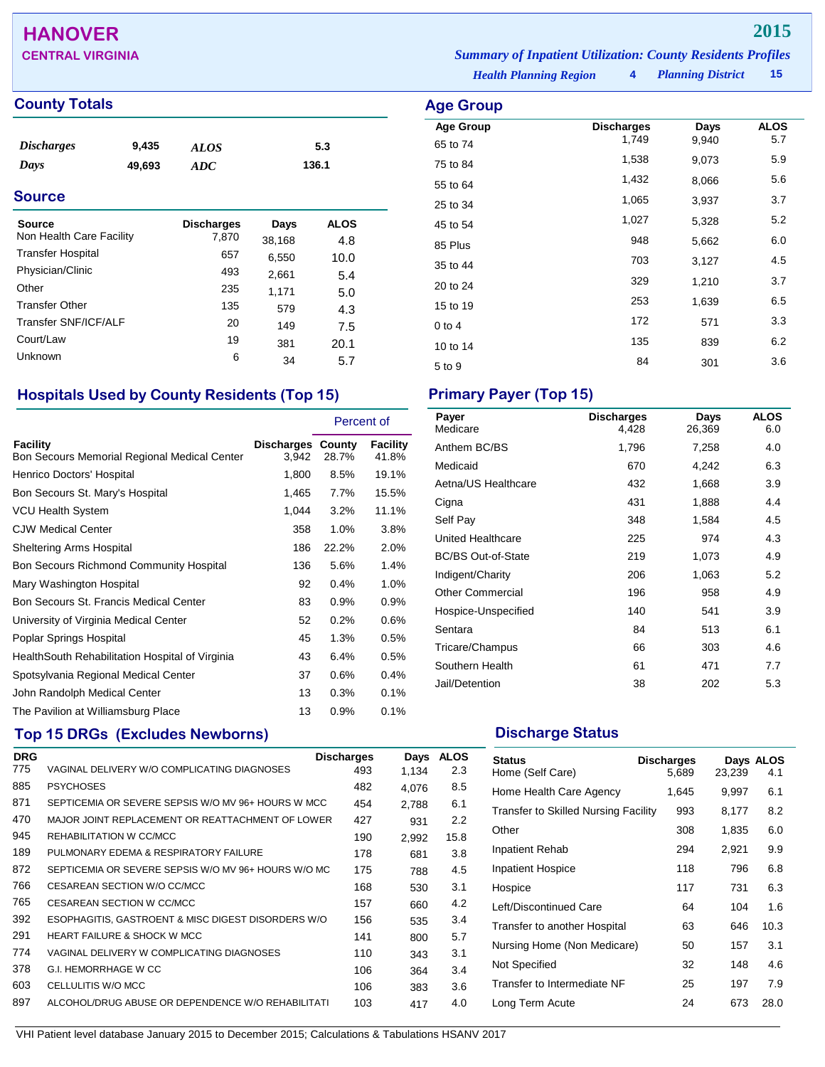## **HANOVER 2015**

### **County Totals Age Group**

| <i>Discharges</i> | 9,435  | <b>ALOS</b> | 5.3   |
|-------------------|--------|-------------|-------|
| Days              | 49,693 | ADC         | 136.1 |

### **Source**

| Source                   | <b>Discharges</b> | Days   | <b>ALOS</b> |
|--------------------------|-------------------|--------|-------------|
| Non Health Care Facility | 7,870             | 38,168 | 4.8         |
| <b>Transfer Hospital</b> | 657               | 6,550  | 10.0        |
| Physician/Clinic         | 493               | 2,661  | 5.4         |
| Other                    | 235               | 1,171  | 5.0         |
| <b>Transfer Other</b>    | 135               | 579    | 4.3         |
| Transfer SNF/ICF/ALF     | 20                | 149    | 7.5         |
| Court/Law                | 19                | 381    | 20.1        |
| Unknown                  | 6                 | 34     | 5.7         |

## **Hospitals Used by County Residents (Top 15) Primary Payer (Top 15)**

|                                                          |                                   | Percent of |                   |
|----------------------------------------------------------|-----------------------------------|------------|-------------------|
| Facility<br>Bon Secours Memorial Regional Medical Center | <b>Discharges County</b><br>3,942 | 28.7%      | Facility<br>41.8% |
| Henrico Doctors' Hospital                                | 1,800                             | 8.5%       | 19.1%             |
| Bon Secours St. Mary's Hospital                          | 1,465                             | 7.7%       | 15.5%             |
| <b>VCU Health System</b>                                 | 1,044                             | 3.2%       | 11.1%             |
| <b>CJW Medical Center</b>                                | 358                               | 1.0%       | 3.8%              |
| Sheltering Arms Hospital                                 | 186                               | 22.2%      | 2.0%              |
| Bon Secours Richmond Community Hospital                  | 136                               | 5.6%       | 1.4%              |
| Mary Washington Hospital                                 | 92                                | 0.4%       | 1.0%              |
| Bon Secours St. Francis Medical Center                   | 83                                | 0.9%       | 0.9%              |
| University of Virginia Medical Center                    | 52                                | 0.2%       | $0.6\%$           |
| Poplar Springs Hospital                                  | 45                                | 1.3%       | 0.5%              |
| Health South Rehabilitation Hospital of Virginia         | 43                                | 6.4%       | 0.5%              |
| Spotsylvania Regional Medical Center                     | 37                                | 0.6%       | 0.4%              |
| John Randolph Medical Center                             | 13                                | 0.3%       | 0.1%              |
| The Pavilion at Williamsburg Place                       | 13                                | 0.9%       | 0.1%              |

## **Top 15 DRGs (Excludes Newborns) Discharge Status Discharge Status**

| <b>DRG</b> |                                                     | <b>Discharges</b> | Days  | <b>ALOS</b> |
|------------|-----------------------------------------------------|-------------------|-------|-------------|
| 775        | VAGINAL DELIVERY W/O COMPLICATING DIAGNOSES         | 493               | 1.134 | 2.3         |
| 885        | <b>PSYCHOSES</b>                                    | 482               | 4.076 | 8.5         |
| 871        | SEPTICEMIA OR SEVERE SEPSIS W/O MV 96+ HOURS W MCC  | 454               | 2,788 | 6.1         |
| 470        | MAJOR JOINT REPLACEMENT OR REATTACHMENT OF LOWER    | 427               | 931   | 2.2         |
| 945        | REHABILITATION W CC/MCC                             | 190               | 2,992 | 15.8        |
| 189        | PULMONARY EDEMA & RESPIRATORY FAILURE               | 178               | 681   | 3.8         |
| 872        | SEPTICEMIA OR SEVERE SEPSIS W/O MV 96+ HOURS W/O MC | 175               | 788   | 4.5         |
| 766        | CESAREAN SECTION W/O CC/MCC                         | 168               | 530   | 3.1         |
| 765        | CESAREAN SECTION W CC/MCC                           | 157               | 660   | 4.2         |
| 392        | ESOPHAGITIS, GASTROENT & MISC DIGEST DISORDERS W/O  | 156               | 535   | 3.4         |
| 291        | <b>HEART FAILURE &amp; SHOCK W MCC</b>              | 141               | 800   | 5.7         |
| 774        | VAGINAL DELIVERY W COMPLICATING DIAGNOSES           | 110               | 343   | 3.1         |
| 378        | <b>G.I. HEMORRHAGE W CC</b>                         | 106               | 364   | 3.4         |
| 603        | CELLULITIS W/O MCC                                  | 106               | 383   | 3.6         |
| 897        | ALCOHOL/DRUG ABUSE OR DEPENDENCE W/O REHABILITATI   | 103               | 417   | 4.0         |

*Health Planning Region* **4** *Planning District* **15 CENTRAL VIRGINIA** *Summary of Inpatient Utilization: County Residents Profiles*

| ge Group                     |                            |               |                    |
|------------------------------|----------------------------|---------------|--------------------|
| <b>Age Group</b><br>65 to 74 | <b>Discharges</b><br>1,749 | Days<br>9,940 | <b>ALOS</b><br>5.7 |
| 75 to 84                     | 1,538                      | 9,073         | 5.9                |
| 55 to 64                     | 1,432                      | 8,066         | 5.6                |
| 25 to 34                     | 1,065                      | 3,937         | 3.7                |
| 45 to 54                     | 1,027                      | 5,328         | 5.2                |
| 85 Plus                      | 948                        | 5,662         | 6.0                |
| 35 to 44                     | 703                        | 3,127         | 4.5                |
| 20 to 24                     | 329                        | 1,210         | 3.7                |
| 15 to 19                     | 253                        | 1,639         | 6.5                |
| 0 to 4                       | 172                        | 571           | 3.3                |
| 10 to 14                     | 135                        | 839           | 6.2                |
| 5 to 9                       | 84                         | 301           | 3.6                |

| Payer<br>Medicare         | <b>Discharges</b><br>4,428 | Days<br>26,369 | <b>ALOS</b><br>6.0 |
|---------------------------|----------------------------|----------------|--------------------|
| Anthem BC/BS              | 1,796                      | 7,258          | 4.0                |
| Medicaid                  | 670                        | 4,242          | 6.3                |
| Aetna/US Healthcare       | 432                        | 1,668          | 3.9                |
| Cigna                     | 431                        | 1,888          | 4.4                |
| Self Pay                  | 348                        | 1,584          | 4.5                |
| United Healthcare         | 225                        | 974            | 4.3                |
| <b>BC/BS Out-of-State</b> | 219                        | 1,073          | 4.9                |
| Indigent/Charity          | 206                        | 1,063          | 5.2                |
| <b>Other Commercial</b>   | 196                        | 958            | 4.9                |
| Hospice-Unspecified       | 140                        | 541            | 3.9                |
| Sentara                   | 84                         | 513            | 6.1                |
| Tricare/Champus           | 66                         | 303            | 4.6                |
| Southern Health           | 61                         | 471            | 7.7                |
| Jail/Detention            | 38                         | 202            | 5.3                |

| <b>Status</b><br>Home (Self Care)           | <b>Discharges</b><br>5,689 | 23,239 | Days ALOS<br>4.1 |
|---------------------------------------------|----------------------------|--------|------------------|
| Home Health Care Agency                     | 1,645                      | 9,997  | 6.1              |
| <b>Transfer to Skilled Nursing Facility</b> | 993                        | 8,177  | 8.2              |
| Other                                       | 308                        | 1,835  | 6.0              |
| <b>Inpatient Rehab</b>                      | 294                        | 2,921  | 9.9              |
| <b>Inpatient Hospice</b>                    | 118                        | 796    | 6.8              |
| Hospice                                     | 117                        | 731    | 6.3              |
| Left/Discontinued Care                      | 64                         | 104    | 1.6              |
| Transfer to another Hospital                | 63                         | 646    | 10.3             |
| Nursing Home (Non Medicare)                 | 50                         | 157    | 3.1              |
| Not Specified                               | 32                         | 148    | 4.6              |
| Transfer to Intermediate NF                 | 25                         | 197    | 7.9              |
| Long Term Acute                             | 24                         | 673    | 28.0             |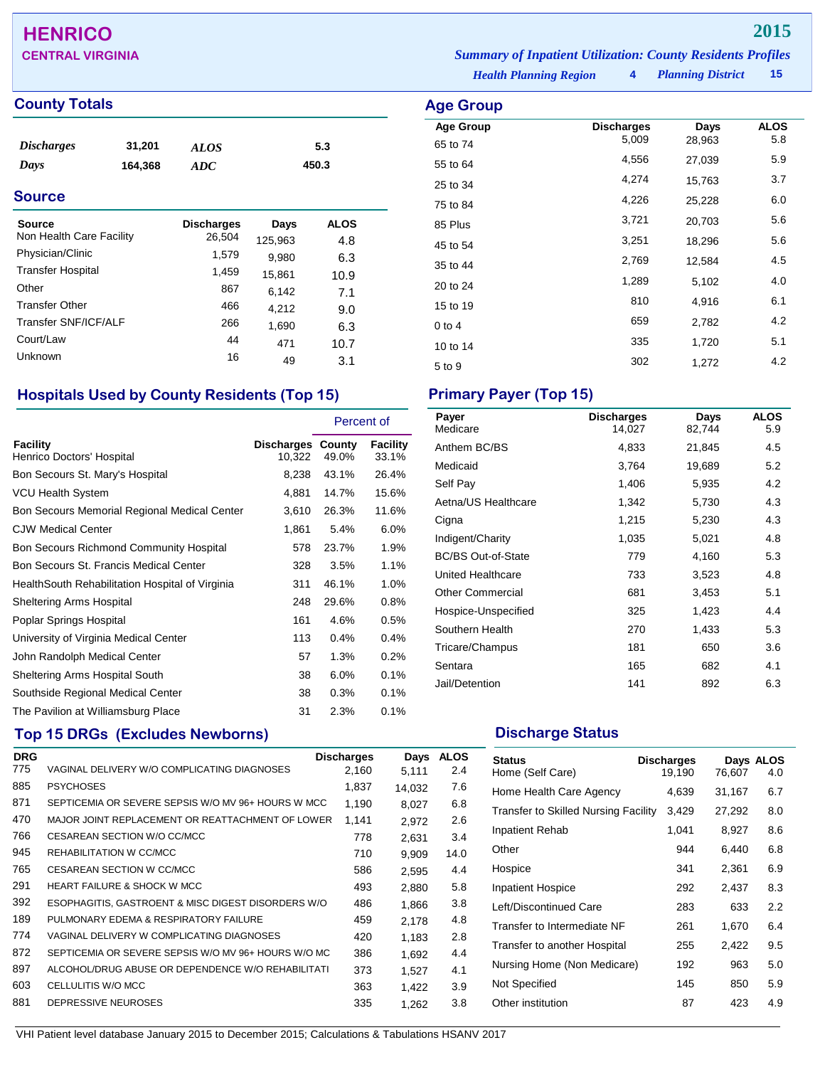## **HENRICO 2015**

### **County Totals Age Group Age Group**

| <i>Discharges</i> | 31,201  | ALOS | 5.3   |
|-------------------|---------|------|-------|
| Days              | 164,368 | ADC  | 450.3 |

### **Source**

| Source<br>Non Health Care Facility | <b>Discharges</b><br>26,504 | Days<br>125,963 | <b>ALOS</b><br>4.8 |
|------------------------------------|-----------------------------|-----------------|--------------------|
| Physician/Clinic                   | 1,579                       | 9,980           | 6.3                |
| <b>Transfer Hospital</b>           | 1,459                       | 15,861          | 10.9               |
| Other                              | 867                         | 6,142           | 7.1                |
| <b>Transfer Other</b>              | 466                         | 4,212           | 9.0                |
| Transfer SNF/ICF/ALF               | 266                         | 1,690           | 6.3                |
| Court/Law                          | 44                          | 471             | 10.7               |
| Unknown                            | 16                          | 49              | 3.1                |

### **Hospitals Used by County Residents (Top 15) Primary Payer (Top 15)**

|                                                  |                                    | Percent of |                          |
|--------------------------------------------------|------------------------------------|------------|--------------------------|
| Facility<br>Henrico Doctors' Hospital            | <b>Discharges County</b><br>10,322 | 49.0%      | <b>Facility</b><br>33.1% |
| Bon Secours St. Mary's Hospital                  | 8,238                              | 43.1%      | 26.4%                    |
| <b>VCU Health System</b>                         | 4,881                              | 14.7%      | 15.6%                    |
| Bon Secours Memorial Regional Medical Center     | 3,610                              | 26.3%      | 11.6%                    |
| <b>CJW Medical Center</b>                        | 1,861                              | 5.4%       | 6.0%                     |
| Bon Secours Richmond Community Hospital          | 578                                | 23.7%      | 1.9%                     |
| Bon Secours St. Francis Medical Center           | 328                                | 3.5%       | 1.1%                     |
| Health South Rehabilitation Hospital of Virginia | 311                                | 46.1%      | 1.0%                     |
| Sheltering Arms Hospital                         | 248                                | 29.6%      | 0.8%                     |
| Poplar Springs Hospital                          | 161                                | 4.6%       | 0.5%                     |
| University of Virginia Medical Center            | 113                                | 0.4%       | 0.4%                     |
| John Randolph Medical Center                     | 57                                 | 1.3%       | 0.2%                     |
| Sheltering Arms Hospital South                   | 38                                 | 6.0%       | 0.1%                     |
| Southside Regional Medical Center                | 38                                 | 0.3%       | 0.1%                     |
| The Pavilion at Williamsburg Place               | 31                                 | 2.3%       | 0.1%                     |

## **Top 15 DRGs (Excludes Newborns) Discharge Status Discharge Status**

| <b>DRG</b> |                                                     | <b>Discharges</b> | Days   | <b>ALOS</b> |
|------------|-----------------------------------------------------|-------------------|--------|-------------|
| 775        | VAGINAL DELIVERY W/O COMPLICATING DIAGNOSES         | 2,160             | 5,111  | 2.4         |
| 885        | <b>PSYCHOSES</b>                                    | 1,837             | 14.032 | 7.6         |
| 871        | SEPTICEMIA OR SEVERE SEPSIS W/O MV 96+ HOURS W MCC  | 1,190             | 8,027  | 6.8         |
| 470        | MAJOR JOINT REPLACEMENT OR REATTACHMENT OF LOWER    | 1,141             | 2.972  | 2.6         |
| 766        | CESAREAN SECTION W/O CC/MCC                         | 778               | 2,631  | 3.4         |
| 945        | REHABILITATION W CC/MCC                             | 710               | 9.909  | 14.0        |
| 765        | CESAREAN SECTION W CC/MCC                           | 586               | 2,595  | 4.4         |
| 291        | <b>HEART FAILURE &amp; SHOCK W MCC</b>              | 493               | 2,880  | 5.8         |
| 392        | ESOPHAGITIS, GASTROENT & MISC DIGEST DISORDERS W/O  | 486               | 1.866  | 3.8         |
| 189        | PULMONARY EDEMA & RESPIRATORY FAILURE               | 459               | 2.178  | 4.8         |
| 774        | VAGINAL DELIVERY W COMPLICATING DIAGNOSES           | 420               | 1,183  | 2.8         |
| 872        | SEPTICEMIA OR SEVERE SEPSIS W/O MV 96+ HOURS W/O MC | 386               | 1,692  | 4.4         |
| 897        | ALCOHOL/DRUG ABUSE OR DEPENDENCE W/O REHABILITATI   | 373               | 1.527  | 4.1         |
| 603        | CELLULITIS W/O MCC                                  | 363               | 1.422  | 3.9         |
| 881        | DEPRESSIVE NEUROSES                                 | 335               | 1,262  | 3.8         |

*Health Planning Region* **4 CENTRAL VIRGINIA** *Summary of Inpatient Utilization: County Residents Profiles*

| Age Group        |                            |        |                    |
|------------------|----------------------------|--------|--------------------|
| <b>Age Group</b> | <b>Discharges</b><br>5,009 | Days   | <b>ALOS</b><br>5.8 |
| 65 to 74         |                            | 28,963 |                    |
| 55 to 64         | 4,556                      | 27,039 | 5.9                |
| 25 to 34         | 4,274                      | 15,763 | 3.7                |
| 75 to 84         | 4,226                      | 25,228 | 6.0                |
| 85 Plus          | 3,721                      | 20,703 | 5.6                |
| 45 to 54         | 3,251                      | 18,296 | 5.6                |
| 35 to 44         | 2,769                      | 12,584 | 4.5                |
| 20 to 24         | 1,289                      | 5,102  | 4.0                |
| 15 to 19         | 810                        | 4,916  | 6.1                |
| $0$ to 4         | 659                        | 2,782  | 4.2                |
| 10 to 14         | 335                        | 1,720  | 5.1                |
| 5 to 9           | 302                        | 1,272  | 4.2                |

| Payer<br>Medicare         | <b>Discharges</b><br>14.027 | Days<br>82,744 | <b>ALOS</b><br>5.9 |
|---------------------------|-----------------------------|----------------|--------------------|
| Anthem BC/BS              | 4,833                       | 21,845         | 4.5                |
| Medicaid                  | 3,764                       | 19,689         | 5.2                |
| Self Pay                  | 1,406                       | 5,935          | 4.2                |
| Aetna/US Healthcare       | 1,342                       | 5,730          | 4.3                |
| Cigna                     | 1,215                       | 5,230          | 4.3                |
| Indigent/Charity          | 1,035                       | 5,021          | 4.8                |
| <b>BC/BS Out-of-State</b> | 779                         | 4,160          | 5.3                |
| United Healthcare         | 733                         | 3,523          | 4.8                |
| <b>Other Commercial</b>   | 681                         | 3,453          | 5.1                |
| Hospice-Unspecified       | 325                         | 1,423          | 4.4                |
| Southern Health           | 270                         | 1,433          | 5.3                |
| Tricare/Champus           | 181                         | 650            | 3.6                |
| Sentara                   | 165                         | 682            | 4.1                |
| Jail/Detention            | 141                         | 892            | 6.3                |

| <b>Status</b><br>Home (Self Care)           | <b>Discharges</b><br>19,190 | 76,607 | Days ALOS<br>4.0 |
|---------------------------------------------|-----------------------------|--------|------------------|
| Home Health Care Agency                     | 4,639                       | 31,167 | 6.7              |
| <b>Transfer to Skilled Nursing Facility</b> | 3,429                       | 27,292 | 8.0              |
| <b>Inpatient Rehab</b>                      | 1,041                       | 8,927  | 8.6              |
| Other                                       | 944                         | 6,440  | 6.8              |
| Hospice                                     | 341                         | 2,361  | 6.9              |
| <b>Inpatient Hospice</b>                    | 292                         | 2,437  | 8.3              |
| Left/Discontinued Care                      | 283                         | 633    | 2.2              |
| Transfer to Intermediate NF                 | 261                         | 1,670  | 6.4              |
| Transfer to another Hospital                | 255                         | 2,422  | 9.5              |
| Nursing Home (Non Medicare)                 | 192                         | 963    | 5.0              |
| Not Specified                               | 145                         | 850    | 5.9              |
| Other institution                           | 87                          | 423    | 4.9              |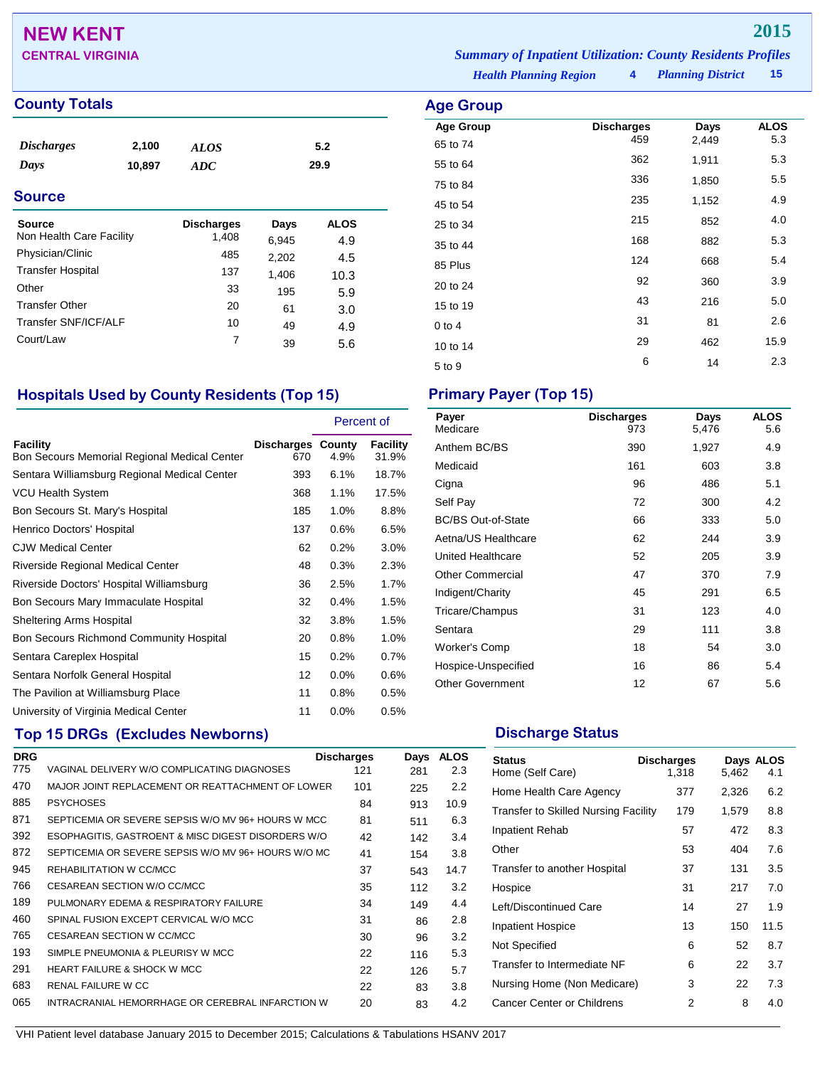## **NEW KENT 2015**

## **County Totals Age Group**

| <i><b>Discharges</b></i><br>Days<br><b>Source</b> | 2,100<br>10,897 | <b>ALOS</b><br>ADC | 5.2<br>29.9 |             |  |
|---------------------------------------------------|-----------------|--------------------|-------------|-------------|--|
|                                                   |                 |                    |             |             |  |
| Source                                            |                 | <b>Discharges</b>  | Days        | <b>ALOS</b> |  |
| Non Health Care Facility                          |                 | 1,408              | 6,945       | 4.9         |  |
| Physician/Clinic                                  |                 | 485                | 2,202       | 4.5         |  |
| <b>Transfer Hospital</b>                          |                 | 137                |             |             |  |
|                                                   |                 |                    | 1,406       | 10.3        |  |
| Other                                             |                 | 33                 | 195         | 5.9         |  |
| <b>Transfer Other</b>                             |                 | 20                 | 61          | 3.0         |  |
| Transfer SNF/ICF/ALF                              |                 | 10                 | 49          | 4.9         |  |
|                                                   |                 |                    |             |             |  |

### *Planning District* **15 CENTRAL VIRGINIA** *Summary of Inpatient Utilization: County Residents Profiles*

*Health Planning Region* **4**

| Age Group        |                          |               |                    |
|------------------|--------------------------|---------------|--------------------|
| <b>Age Group</b> | <b>Discharges</b><br>459 | Days<br>2,449 | <b>ALOS</b><br>5.3 |
| 65 to 74         |                          |               |                    |
| 55 to 64         | 362                      | 1,911         | 5.3                |
| 75 to 84         | 336                      | 1,850         | 5.5                |
| 45 to 54         | 235                      | 1,152         | 4.9                |
| 25 to 34         | 215                      | 852           | 4.0                |
| 35 to 44         | 168                      | 882           | 5.3                |
| 85 Plus          | 124                      | 668           | 5.4                |
| 20 to 24         | 92                       | 360           | 3.9                |
| 15 to 19         | 43                       | 216           | 5.0                |
| $0$ to 4         | 31                       | 81            | 2.6                |
| 10 to 14         | 29                       | 462           | 15.9               |
| 5 to 9           | 6                        | 14            | 2.3                |
|                  |                          |               |                    |

### **Hospitals Used by County Residents (Top 15) Primary Payer (Top 15)**

Court/Law 7 39 5.6

|                                                          |                                 | Percent of |                   |
|----------------------------------------------------------|---------------------------------|------------|-------------------|
| Facility<br>Bon Secours Memorial Regional Medical Center | <b>Discharges County</b><br>670 | 4.9%       | Facility<br>31.9% |
| Sentara Williamsburg Regional Medical Center             | 393                             | 6.1%       | 18.7%             |
| <b>VCU Health System</b>                                 | 368                             | 1.1%       | 17.5%             |
| Bon Secours St. Mary's Hospital                          | 185                             | 1.0%       | 8.8%              |
| Henrico Doctors' Hospital                                | 137                             | 0.6%       | 6.5%              |
| <b>CJW Medical Center</b>                                | 62                              | 0.2%       | $3.0\%$           |
| Riverside Regional Medical Center                        | 48                              | 0.3%       | 2.3%              |
| Riverside Doctors' Hospital Williamsburg                 | 36                              | 2.5%       | 1.7%              |
| Bon Secours Mary Immaculate Hospital                     | 32                              | 0.4%       | 1.5%              |
| Sheltering Arms Hospital                                 | 32                              | 3.8%       | 1.5%              |
| Bon Secours Richmond Community Hospital                  | 20                              | 0.8%       | 1.0%              |
| Sentara Careplex Hospital                                | 15                              | 0.2%       | 0.7%              |
| Sentara Norfolk General Hospital                         | 12                              | $0.0\%$    | 0.6%              |
| The Pavilion at Williamsburg Place                       | 11                              | 0.8%       | 0.5%              |
| University of Virginia Medical Center                    | 11                              | 0.0%       | 0.5%              |

## **Top 15 DRGs (Excludes Newborns) Discharge Status Discharge Status**

| <b>DRG</b> |                                                     | <b>Discharges</b> | Days | <b>ALOS</b> |
|------------|-----------------------------------------------------|-------------------|------|-------------|
| 775        | VAGINAL DELIVERY W/O COMPLICATING DIAGNOSES         | 121               | 281  | 2.3         |
| 470        | MAJOR JOINT REPLACEMENT OR REATTACHMENT OF LOWER    | 101               | 225  | 2.2         |
| 885        | <b>PSYCHOSES</b>                                    | 84                | 913  | 10.9        |
| 871        | SEPTICEMIA OR SEVERE SEPSIS W/O MV 96+ HOURS W MCC  | 81                | 511  | 6.3         |
| 392        | ESOPHAGITIS, GASTROENT & MISC DIGEST DISORDERS W/O  | 42                | 142  | 3.4         |
| 872        | SEPTICEMIA OR SEVERE SEPSIS W/O MV 96+ HOURS W/O MC | 41                | 154  | 3.8         |
| 945        | REHABILITATION W CC/MCC                             | 37                | 543  | 14.7        |
| 766        | CESAREAN SECTION W/O CC/MCC                         | 35                | 112  | 3.2         |
| 189        | PULMONARY EDEMA & RESPIRATORY FAILURE               | 34                | 149  | 4.4         |
| 460        | SPINAL FUSION EXCEPT CERVICAL W/O MCC               | 31                | 86   | 2.8         |
| 765        | CESAREAN SECTION W CC/MCC                           | 30                | 96   | 3.2         |
| 193        | SIMPLE PNEUMONIA & PLEURISY W MCC                   | 22                | 116  | 5.3         |
| 291        | <b>HEART FAILURE &amp; SHOCK W MCC</b>              | 22                | 126  | 5.7         |
| 683        | RENAL FAILURE W CC                                  | 22                | 83   | 3.8         |
| 065        | INTRACRANIAL HEMORRHAGE OR CEREBRAL INFARCTION W    | 20                | 83   | 4.2         |

| <b>Discharges</b><br>973 | Days<br>5,476 | <b>ALOS</b><br>5.6 |
|--------------------------|---------------|--------------------|
| 390                      | 1,927         | 4.9                |
| 161                      | 603           | 3.8                |
| 96                       | 486           | 5.1                |
| 72                       | 300           | 4.2                |
| 66                       | 333           | 5.0                |
| 62                       | 244           | 3.9                |
| 52                       | 205           | 3.9                |
| 47                       | 370           | 7.9                |
| 45                       | 291           | 6.5                |
| 31                       | 123           | 4.0                |
| 29                       | 111           | 3.8                |
| 18                       | 54            | 3.0                |
| 16                       | 86            | 5.4                |
| 12                       | 67            | 5.6                |
|                          |               |                    |

| <b>Status</b><br>Home (Self Care)           | <b>Discharges</b><br>1,318 | 5,462 | Days ALOS<br>4.1 |
|---------------------------------------------|----------------------------|-------|------------------|
| Home Health Care Agency                     | 377                        | 2,326 | 6.2              |
| <b>Transfer to Skilled Nursing Facility</b> | 179                        | 1,579 | 8.8              |
| Inpatient Rehab                             | 57                         | 472   | 8.3              |
| Other                                       | 53                         | 404   | 7.6              |
| Transfer to another Hospital                | 37                         | 131   | 3.5              |
| Hospice                                     | 31                         | 217   | 7.0              |
| Left/Discontinued Care                      | 14                         | 27    | 1.9              |
| <b>Inpatient Hospice</b>                    | 13                         | 150   | 11.5             |
| Not Specified                               | 6                          | 52    | 8.7              |
| Transfer to Intermediate NF                 | 6                          | 22    | 3.7              |
| Nursing Home (Non Medicare)                 | 3                          | 22    | 7.3              |
| Cancer Center or Childrens                  | 2                          | 8     | 4.0              |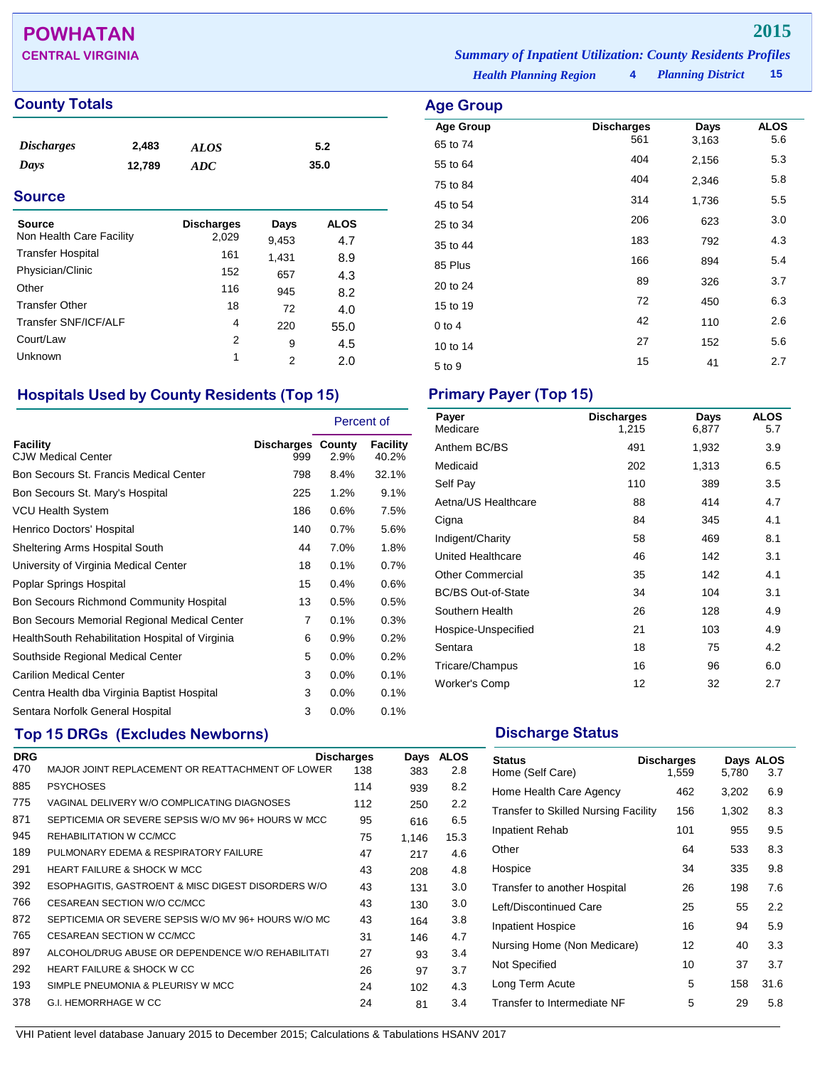## **POWHATAN 2015**

### **County Totals Age Group Age Group Age Group**

| <i><b>Discharges</b></i> | 2,483  | <b>ALOS</b> | 5.2  |
|--------------------------|--------|-------------|------|
| Days                     | 12,789 | ADC         | 35.0 |
|                          |        |             |      |

### **Source**

| <b>Source</b><br>Non Health Care Facility | <b>Discharges</b><br>2,029 | Days<br>9,453 | <b>ALOS</b><br>4.7 |
|-------------------------------------------|----------------------------|---------------|--------------------|
| <b>Transfer Hospital</b>                  | 161                        | 1,431         | 8.9                |
| Physician/Clinic                          | 152                        | 657           | 4.3                |
| Other                                     | 116                        | 945           | 8.2                |
| <b>Transfer Other</b>                     | 18                         | 72            | 4.0                |
| Transfer SNF/ICF/ALF                      | 4                          | 220           | 55.0               |
| Court/Law                                 | 2                          | 9             | 4.5                |
| Unknown                                   | 1                          | 2             | 2.0                |

### **Hospitals Used by County Residents (Top 15) Primary Payer (Top 15)**

|                                                  |                                 | Percent of |                   |
|--------------------------------------------------|---------------------------------|------------|-------------------|
| <b>Facility</b><br><b>CJW Medical Center</b>     | <b>Discharges County</b><br>999 | 2.9%       | Facility<br>40.2% |
| Bon Secours St. Francis Medical Center           | 798                             | 8.4%       | 32.1%             |
| Bon Secours St. Mary's Hospital                  | 225                             | 1.2%       | 9.1%              |
| <b>VCU Health System</b>                         | 186                             | 0.6%       | 7.5%              |
| Henrico Doctors' Hospital                        | 140                             | 0.7%       | 5.6%              |
| Sheltering Arms Hospital South                   | 44                              | $7.0\%$    | 1.8%              |
| University of Virginia Medical Center            | 18                              | 0.1%       | 0.7%              |
| Poplar Springs Hospital                          | 15                              | 0.4%       | 0.6%              |
| <b>Bon Secours Richmond Community Hospital</b>   | 13                              | 0.5%       | 0.5%              |
| Bon Secours Memorial Regional Medical Center     | 7                               | 0.1%       | 0.3%              |
| Health South Rehabilitation Hospital of Virginia | 6                               | 0.9%       | 0.2%              |
| Southside Regional Medical Center                | 5                               | 0.0%       | 0.2%              |
| <b>Carilion Medical Center</b>                   | 3                               | 0.0%       | 0.1%              |
| Centra Health dba Virginia Baptist Hospital      | 3                               | $0.0\%$    | 0.1%              |
| Sentara Norfolk General Hospital                 | 3                               | $0.0\%$    | 0.1%              |

## **Top 15 DRGs (Excludes Newborns) Discharge Status Discharge Status**

| <b>DRG</b> |                                                     | <b>Discharges</b> | Days  | <b>ALOS</b> |
|------------|-----------------------------------------------------|-------------------|-------|-------------|
| 470        | MAJOR JOINT REPLACEMENT OR REATTACHMENT OF LOWER    | 138               | 383   | 2.8         |
| 885        | <b>PSYCHOSES</b>                                    | 114               | 939   | 8.2         |
| 775        | VAGINAL DELIVERY W/O COMPLICATING DIAGNOSES         | 112               | 250   | 2.2         |
| 871        | SEPTICEMIA OR SEVERE SEPSIS W/O MV 96+ HOURS W MCC  | 95                | 616   | 6.5         |
| 945        | REHABILITATION W CC/MCC                             | 75                | 1.146 | 15.3        |
| 189        | PULMONARY EDEMA & RESPIRATORY FAILURE               | 47                | 217   | 4.6         |
| 291        | <b>HEART FAILURE &amp; SHOCK W MCC</b>              | 43                | 208   | 4.8         |
| 392        | ESOPHAGITIS, GASTROENT & MISC DIGEST DISORDERS W/O  | 43                | 131   | 3.0         |
| 766        | CESAREAN SECTION W/O CC/MCC                         | 43                | 130   | 3.0         |
| 872        | SEPTICEMIA OR SEVERE SEPSIS W/O MV 96+ HOURS W/O MC | 43                | 164   | 3.8         |
| 765        | CESAREAN SECTION W CC/MCC                           | 31                | 146   | 4.7         |
| 897        | ALCOHOL/DRUG ABUSE OR DEPENDENCE W/O REHABILITATI   | 27                | 93    | 3.4         |
| 292        | <b>HEART FAILURE &amp; SHOCK W CC</b>               | 26                | 97    | 3.7         |
| 193        | SIMPLE PNEUMONIA & PLEURISY W MCC                   | 24                | 102   | 4.3         |
| 378        | G.I. HEMORRHAGE W CC                                | 24                | 81    | 3.4         |
|            |                                                     |                   |       |             |

*Health Planning Region* **4** *Planning District* **15 CENTRAL VIRGINIA** *Summary of Inpatient Utilization: County Residents Profiles*

| <b>ge Group</b>              |                          |               |                    |
|------------------------------|--------------------------|---------------|--------------------|
| <b>Age Group</b><br>65 to 74 | <b>Discharges</b><br>561 | Days<br>3,163 | <b>ALOS</b><br>5.6 |
| 55 to 64                     | 404                      | 2,156         | 5.3                |
| 75 to 84                     | 404                      | 2,346         | 5.8                |
| 45 to 54                     | 314                      | 1,736         | 5.5                |
| 25 to 34                     | 206                      | 623           | 3.0                |
| 35 to 44                     | 183                      | 792           | 4.3                |
| 85 Plus                      | 166                      | 894           | 5.4                |
| 20 to 24                     | 89                       | 326           | 3.7                |
| 15 to 19                     | 72                       | 450           | 6.3                |
| $0$ to 4                     | 42                       | 110           | 2.6                |
| 10 to 14                     | 27                       | 152           | 5.6                |
| 5 to 9                       | 15                       | 41            | 2.7                |

| Payer<br>Medicare         | <b>Discharges</b><br>1,215 | Days<br>6,877 | <b>ALOS</b><br>5.7 |
|---------------------------|----------------------------|---------------|--------------------|
| Anthem BC/BS              | 491                        | 1,932         | 3.9                |
| Medicaid                  | 202                        | 1,313         | 6.5                |
| Self Pay                  | 110                        | 389           | 3.5                |
| Aetna/US Healthcare       | 88                         | 414           | 4.7                |
| Cigna                     | 84                         | 345           | 4.1                |
| Indigent/Charity          | 58                         | 469           | 8.1                |
| United Healthcare         | 46                         | 142           | 3.1                |
| <b>Other Commercial</b>   | 35                         | 142           | 4.1                |
| <b>BC/BS Out-of-State</b> | 34                         | 104           | 3.1                |
| Southern Health           | 26                         | 128           | 4.9                |
| Hospice-Unspecified       | 21                         | 103           | 4.9                |
| Sentara                   | 18                         | 75            | 4.2                |
| Tricare/Champus           | 16                         | 96            | 6.0                |
| Worker's Comp             | 12                         | 32            | 2.7                |

| <b>Status</b><br>Home (Self Care)           | <b>Discharges</b><br>1,559 | 5.780 | Days ALOS<br>3.7 |
|---------------------------------------------|----------------------------|-------|------------------|
| Home Health Care Agency                     | 462                        | 3,202 | 6.9              |
| <b>Transfer to Skilled Nursing Facility</b> | 156                        | 1,302 | 8.3              |
| <b>Inpatient Rehab</b>                      | 101                        | 955   | 9.5              |
| Other                                       | 64                         | 533   | 8.3              |
| Hospice                                     | 34                         | 335   | 9.8              |
| Transfer to another Hospital                | 26                         | 198   | 7.6              |
| Left/Discontinued Care                      | 25                         | 55    | 2.2              |
| <b>Inpatient Hospice</b>                    | 16                         | 94    | 5.9              |
| Nursing Home (Non Medicare)                 | 12                         | 40    | 3.3              |
| Not Specified                               | 10                         | 37    | 3.7              |
| Long Term Acute                             | 5                          | 158   | 31.6             |
| Transfer to Intermediate NF                 | 5                          | 29    | 5.8              |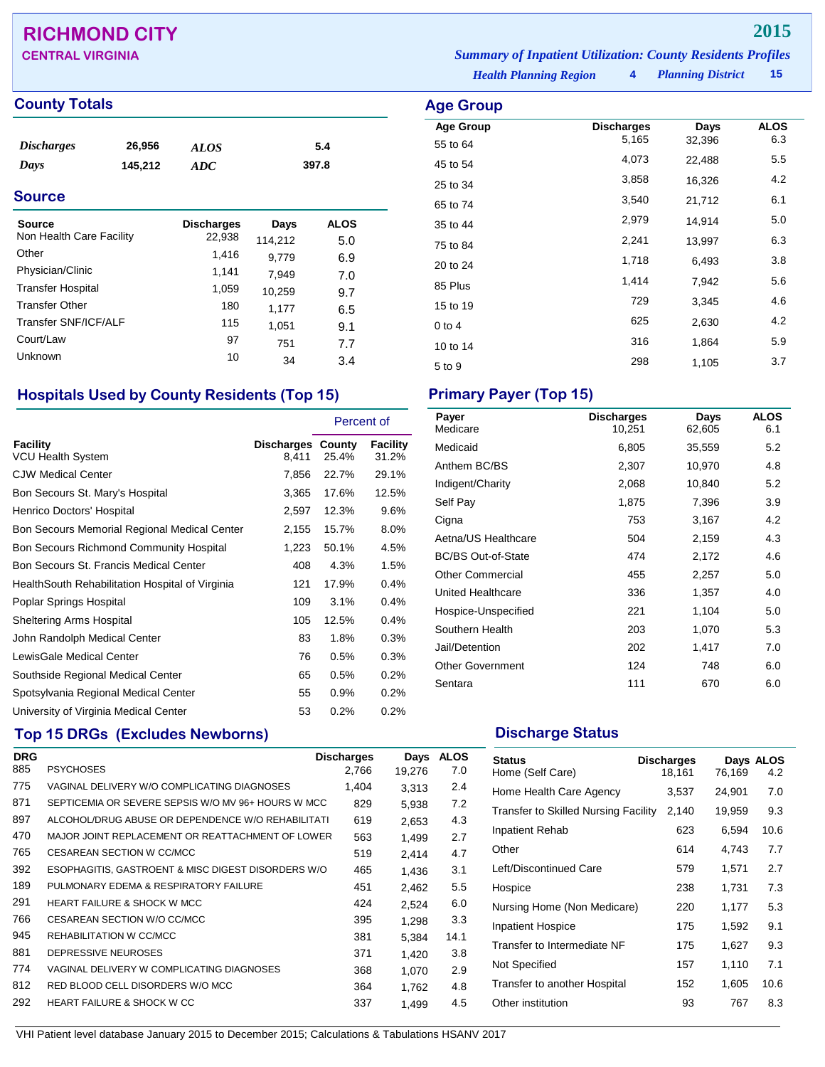## **RICHMOND CITY 2015**

**CENTRAL VIRGINIA** *Summary of Inpatient Utilization: County Residents Profiles*

### **County Totals Age Group**

| <i>Discharges</i> | 26,956  | <b>ALOS</b> | 5.4   |
|-------------------|---------|-------------|-------|
| Days              | 145,212 | ADC         | 397.8 |

### **Source**

| <b>Source</b><br>Non Health Care Facility | <b>Discharges</b><br>22,938 | Days<br>114,212 | <b>ALOS</b><br>5.0 |
|-------------------------------------------|-----------------------------|-----------------|--------------------|
| Other                                     | 1,416                       | 9,779           | 6.9                |
| Physician/Clinic                          | 1,141                       | 7,949           | 7.0                |
| <b>Transfer Hospital</b>                  | 1,059                       | 10,259          | 9.7                |
| <b>Transfer Other</b>                     | 180                         | 1,177           | 6.5                |
| Transfer SNF/ICF/ALF                      | 115                         | 1,051           | 9.1                |
| Court/Law                                 | 97                          | 751             | 7.7                |
| <b>Unknown</b>                            | 10                          | 34              | 3.4                |

### **Hospitals Used by County Residents (Top 15) Primary Payer (Top 15)**

|                                                  |                                   | Percent of |                   |
|--------------------------------------------------|-----------------------------------|------------|-------------------|
| Facility<br><b>VCU Health System</b>             | <b>Discharges County</b><br>8,411 | 25.4%      | Facility<br>31.2% |
| <b>CJW Medical Center</b>                        | 7,856                             | 22.7%      | 29.1%             |
| Bon Secours St. Mary's Hospital                  | 3,365                             | 17.6%      | 12.5%             |
| Henrico Doctors' Hospital                        | 2,597                             | 12.3%      | 9.6%              |
| Bon Secours Memorial Regional Medical Center     | 2,155                             | 15.7%      | 8.0%              |
| <b>Bon Secours Richmond Community Hospital</b>   | 1,223                             | 50.1%      | 4.5%              |
| Bon Secours St. Francis Medical Center           | 408                               | 4.3%       | 1.5%              |
| Health South Rehabilitation Hospital of Virginia | 121                               | 17.9%      | 0.4%              |
| Poplar Springs Hospital                          | 109                               | 3.1%       | 0.4%              |
| <b>Sheltering Arms Hospital</b>                  | 105                               | 12.5%      | $0.4\%$           |
| John Randolph Medical Center                     | 83                                | 1.8%       | 0.3%              |
| LewisGale Medical Center                         | 76                                | 0.5%       | 0.3%              |
| Southside Regional Medical Center                | 65                                | 0.5%       | 0.2%              |
| Spotsylvania Regional Medical Center             | 55                                | 0.9%       | 0.2%              |
| University of Virginia Medical Center            | 53                                | 0.2%       | 0.2%              |

## **Top 15 DRGs (Excludes Newborns) Discharge Status Discharge Status**

| <b>DRG</b> |                                                    | <b>Discharges</b> | Days   | <b>ALOS</b> |
|------------|----------------------------------------------------|-------------------|--------|-------------|
| 885        | <b>PSYCHOSES</b>                                   | 2,766             | 19,276 | 7.0         |
| 775        | VAGINAL DELIVERY W/O COMPLICATING DIAGNOSES        | 1,404             | 3.313  | 2.4         |
| 871        | SEPTICEMIA OR SEVERE SEPSIS W/O MV 96+ HOURS W MCC | 829               | 5,938  | 7.2         |
| 897        | ALCOHOL/DRUG ABUSE OR DEPENDENCE W/O REHABILITATI  | 619               | 2.653  | 4.3         |
| 470        | MAJOR JOINT REPLACEMENT OR REATTACHMENT OF LOWER   | 563               | 1,499  | 2.7         |
| 765        | CESAREAN SECTION W CC/MCC                          | 519               | 2.414  | 4.7         |
| 392        | ESOPHAGITIS, GASTROENT & MISC DIGEST DISORDERS W/O | 465               | 1.436  | 3.1         |
| 189        | PULMONARY EDEMA & RESPIRATORY FAILURE              | 451               | 2.462  | 5.5         |
| 291        | <b>HEART FAILURE &amp; SHOCK W MCC</b>             | 424               | 2,524  | 6.0         |
| 766        | CESAREAN SECTION W/O CC/MCC                        | 395               | 1.298  | 3.3         |
| 945        | REHABILITATION W CC/MCC                            | 381               | 5.384  | 14.1        |
| 881        | DEPRESSIVE NEUROSES                                | 371               | 1,420  | 3.8         |
| 774        | VAGINAL DELIVERY W COMPLICATING DIAGNOSES          | 368               | 1.070  | 2.9         |
| 812        | RED BLOOD CELL DISORDERS W/O MCC                   | 364               | 1.762  | 4.8         |
| 292        | <b>HEART FAILURE &amp; SHOCK W CC</b>              | 337               | 1.499  | 4.5         |

| Payer<br>Medicare         | <b>Discharges</b><br>10,251 | Days<br>62,605 | <b>ALOS</b><br>6.1 |
|---------------------------|-----------------------------|----------------|--------------------|
| Medicaid                  | 6,805                       | 35,559         | 5.2                |
| Anthem BC/BS              | 2,307                       | 10,970         | 4.8                |
| Indigent/Charity          | 2,068                       | 10,840         | 5.2                |
| Self Pay                  | 1,875                       | 7,396          | 3.9                |
| Cigna                     | 753                         | 3,167          | 4.2                |
| Aetna/US Healthcare       | 504                         | 2,159          | 4.3                |
| <b>BC/BS Out-of-State</b> | 474                         | 2,172          | 4.6                |
| <b>Other Commercial</b>   | 455                         | 2,257          | 5.0                |
| United Healthcare         | 336                         | 1,357          | 4.0                |
| Hospice-Unspecified       | 221                         | 1,104          | 5.0                |
| Southern Health           | 203                         | 1,070          | 5.3                |
| Jail/Detention            | 202                         | 1,417          | 7.0                |
| <b>Other Government</b>   | 124                         | 748            | 6.0                |
| Sentara                   | 111                         | 670            | 6.0                |

| <b>Status</b><br>Home (Self Care)           | <b>Discharges</b><br>18,161 | 76,169 | Days ALOS<br>4.2 |
|---------------------------------------------|-----------------------------|--------|------------------|
| Home Health Care Agency                     | 3,537                       | 24,901 | 7.0              |
| <b>Transfer to Skilled Nursing Facility</b> | 2,140                       | 19,959 | 9.3              |
| <b>Inpatient Rehab</b>                      | 623                         | 6,594  | 10.6             |
| Other                                       | 614                         | 4,743  | 7.7              |
| Left/Discontinued Care                      | 579                         | 1,571  | 2.7              |
| Hospice                                     | 238                         | 1,731  | 7.3              |
| Nursing Home (Non Medicare)                 | 220                         | 1,177  | 5.3              |
| <b>Inpatient Hospice</b>                    | 175                         | 1,592  | 9.1              |
| Transfer to Intermediate NF                 | 175                         | 1,627  | 9.3              |
| Not Specified                               | 157                         | 1,110  | 7.1              |
| Transfer to another Hospital                | 152                         | 1,605  | 10.6             |
| Other institution                           | 93                          | 767    | 8.3              |

*Health Planning Region* **4**

*Planning District* **15**

| <b>Age Group</b> |                   |        |             |
|------------------|-------------------|--------|-------------|
| <b>Age Group</b> | <b>Discharges</b> | Days   | <b>ALOS</b> |
| 55 to 64         | 5,165             | 32,396 | 6.3         |
| 45 to 54         | 4,073             | 22,488 | 5.5         |
| 25 to 34         | 3,858             | 16,326 | 4.2         |
| 65 to 74         | 3,540             | 21,712 | 6.1         |
| 35 to 44         | 2,979             | 14,914 | 5.0         |
| 75 to 84         | 2,241             | 13,997 | 6.3         |
| 20 to 24         | 1,718             | 6,493  | 3.8         |
| 85 Plus          | 1,414             | 7,942  | 5.6         |
| 15 to 19         | 729               | 3,345  | 4.6         |
| $0$ to 4         | 625               | 2,630  | 4.2         |
| 10 to 14         | 316               | 1,864  | 5.9         |
| 5 to 9           | 298               | 1,105  | 3.7         |
|                  |                   |        |             |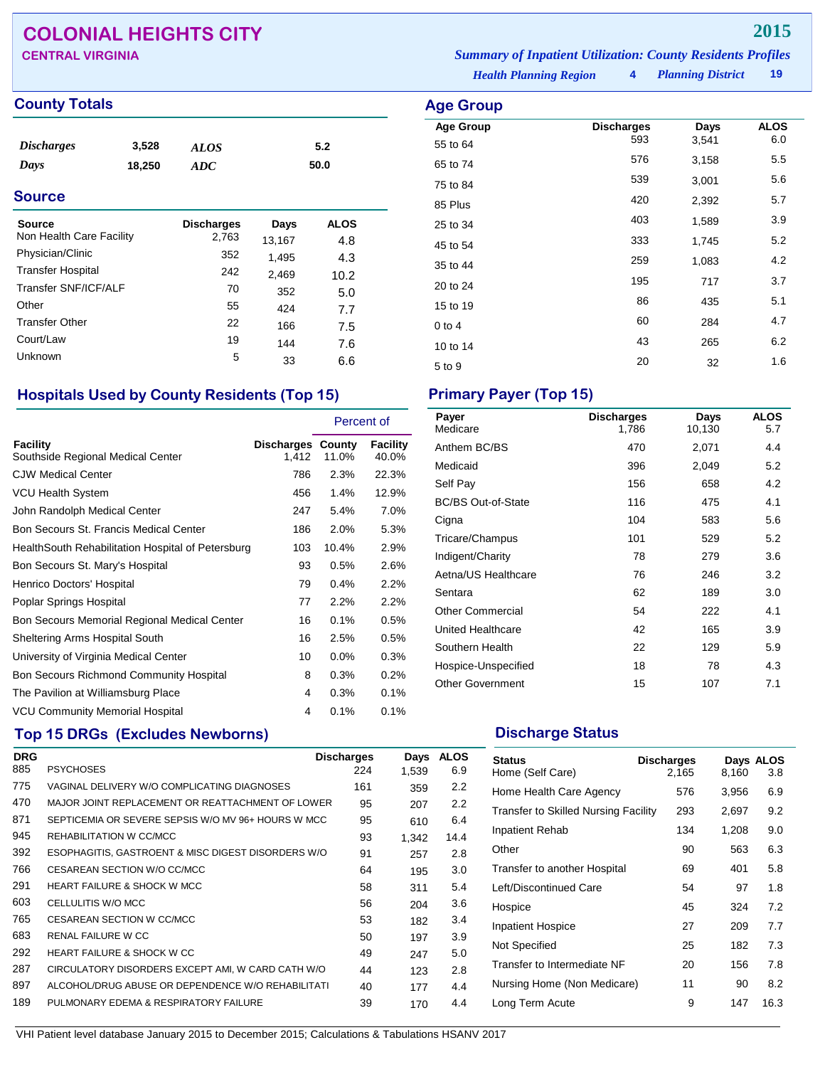## **COLONIAL HEIGHTS CITY 2015**

### **County Totals Age Group Age Group Age Group**

| <b>Discharges</b> | 3,528  | <b>ALOS</b> | 5.2  |
|-------------------|--------|-------------|------|
| Days              | 18,250 | ADC         | 50.0 |
|                   |        |             |      |

### **Source**

| Source<br>Non Health Care Facility | <b>Discharges</b><br>2,763 | Days<br>13,167 | ALOS<br>4.8 |
|------------------------------------|----------------------------|----------------|-------------|
| Physician/Clinic                   | 352                        | 1,495          | 4.3         |
| <b>Transfer Hospital</b>           | 242                        | 2,469          | 10.2        |
| Transfer SNF/ICF/ALF               | 70                         | 352            | 5.0         |
| Other                              | 55                         | 424            | 7.7         |
| <b>Transfer Other</b>              | 22                         | 166            | 7.5         |
| Court/Law                          | 19                         | 144            | 7.6         |
| <b>Unknown</b>                     | 5                          | 33             | 6.6         |

### **Hospitals Used by County Residents (Top 15) Primary Payer (Top 15)**

|                                                   |                            | Percent of |                   |
|---------------------------------------------------|----------------------------|------------|-------------------|
| Facility<br>Southside Regional Medical Center     | Discharges County<br>1.412 | 11.0%      | Facility<br>40.0% |
| <b>CJW Medical Center</b>                         | 786                        | 2.3%       | 22.3%             |
| <b>VCU Health System</b>                          | 456                        | 1.4%       | 12.9%             |
| John Randolph Medical Center                      | 247                        | 5.4%       | 7.0%              |
| Bon Secours St. Francis Medical Center            | 186                        | 2.0%       | 5.3%              |
| HealthSouth Rehabilitation Hospital of Petersburg | 103                        | 10.4%      | 2.9%              |
| Bon Secours St. Mary's Hospital                   | 93                         | 0.5%       | 2.6%              |
| Henrico Doctors' Hospital                         | 79                         | 0.4%       | 2.2%              |
| Poplar Springs Hospital                           | 77                         | 2.2%       | 2.2%              |
| Bon Secours Memorial Regional Medical Center      | 16                         | 0.1%       | 0.5%              |
| Sheltering Arms Hospital South                    | 16                         | 2.5%       | 0.5%              |
| University of Virginia Medical Center             | 10                         | 0.0%       | 0.3%              |
| Bon Secours Richmond Community Hospital           | 8                          | 0.3%       | 0.2%              |
| The Pavilion at Williamsburg Place                | 4                          | 0.3%       | 0.1%              |
| <b>VCU Community Memorial Hospital</b>            | 4                          | 0.1%       | 0.1%              |

## **Top 15 DRGs (Excludes Newborns) Discharge Status Discharge Status**

| <b>DRG</b> |                                                    | <b>Discharges</b> | Days  | <b>ALOS</b> |
|------------|----------------------------------------------------|-------------------|-------|-------------|
| 885        | <b>PSYCHOSES</b>                                   | 224               | 1,539 | 6.9         |
| 775        | VAGINAL DELIVERY W/O COMPLICATING DIAGNOSES        | 161               | 359   | 2.2         |
| 470        | MAJOR JOINT REPLACEMENT OR REATTACHMENT OF LOWER   | 95                | 207   | 2.2         |
| 871        | SEPTICEMIA OR SEVERE SEPSIS W/O MV 96+ HOURS W MCC | 95                | 610   | 6.4         |
| 945        | REHABILITATION W CC/MCC                            | 93                | 1.342 | 14.4        |
| 392        | ESOPHAGITIS, GASTROENT & MISC DIGEST DISORDERS W/O | 91                | 257   | 2.8         |
| 766        | CESAREAN SECTION W/O CC/MCC                        | 64                | 195   | 3.0         |
| 291        | <b>HEART FAILURE &amp; SHOCK W MCC</b>             | 58                | 311   | 5.4         |
| 603        | CELLULITIS W/O MCC                                 | 56                | 204   | 3.6         |
| 765        | CESAREAN SECTION W CC/MCC                          | 53                | 182   | 3.4         |
| 683        | <b>RENAL FAILURE W CC</b>                          | 50                | 197   | 3.9         |
| 292        | <b>HEART FAILURE &amp; SHOCK W CC</b>              | 49                | 247   | 5.0         |
| 287        | CIRCULATORY DISORDERS EXCEPT AMI, W CARD CATH W/O  | 44                | 123   | 2.8         |
| 897        | ALCOHOL/DRUG ABUSE OR DEPENDENCE W/O REHABILITATI  | 40                | 177   | 4.4         |
| 189        | PULMONARY EDEMA & RESPIRATORY FAILURE              | 39                | 170   | 4.4         |

**CENTRAL VIRGINIA** *Summary of Inpatient Utilization: County Residents Profiles*

*Health Planning Region* **4**

| Age Group        |                   |       |             |
|------------------|-------------------|-------|-------------|
| <b>Age Group</b> | <b>Discharges</b> | Days  | <b>ALOS</b> |
| 55 to 64         | 593               | 3,541 | 6.0         |
| 65 to 74         | 576               | 3,158 | 5.5         |
| 75 to 84         | 539               | 3,001 | 5.6         |
| 85 Plus          | 420               | 2,392 | 5.7         |
| 25 to 34         | 403               | 1,589 | 3.9         |
| 45 to 54         | 333               | 1,745 | 5.2         |
| 35 to 44         | 259               | 1,083 | 4.2         |
| 20 to 24         | 195               | 717   | 3.7         |
| 15 to 19         | 86                | 435   | 5.1         |
| $0$ to $4$       | 60                | 284   | 4.7         |
| 10 to 14         | 43                | 265   | 6.2         |
| 5 to 9           | 20                | 32    | 1.6         |

| Payer<br>Medicare         | <b>Discharges</b><br>1,786 | Days<br>10,130 | <b>ALOS</b><br>5.7 |
|---------------------------|----------------------------|----------------|--------------------|
| Anthem BC/BS              | 470                        | 2,071          | 4.4                |
| Medicaid                  | 396                        | 2,049          | 5.2                |
| Self Pay                  | 156                        | 658            | 4.2                |
| <b>BC/BS Out-of-State</b> | 116                        | 475            | 4.1                |
| Cigna                     | 104                        | 583            | 5.6                |
| Tricare/Champus           | 101                        | 529            | 5.2                |
| Indigent/Charity          | 78                         | 279            | 3.6                |
| Aetna/US Healthcare       | 76                         | 246            | 3.2                |
| Sentara                   | 62                         | 189            | 3.0                |
| <b>Other Commercial</b>   | 54                         | 222            | 4.1                |
| United Healthcare         | 42                         | 165            | 3.9                |
| Southern Health           | 22                         | 129            | 5.9                |
| Hospice-Unspecified       | 18                         | 78             | 4.3                |
| <b>Other Government</b>   | 15                         | 107            | 7.1                |

| <b>Status</b><br>Home (Self Care)           | <b>Discharges</b><br>2,165 | 8,160 | Days ALOS<br>3.8 |
|---------------------------------------------|----------------------------|-------|------------------|
| Home Health Care Agency                     | 576                        | 3,956 | 6.9              |
| <b>Transfer to Skilled Nursing Facility</b> | 293                        | 2,697 | 9.2              |
| Inpatient Rehab                             | 134                        | 1,208 | 9.0              |
| Other                                       | 90                         | 563   | 6.3              |
| Transfer to another Hospital                | 69                         | 401   | 5.8              |
| Left/Discontinued Care                      | 54                         | 97    | 1.8              |
| Hospice                                     | 45                         | 324   | 7.2              |
| <b>Inpatient Hospice</b>                    | 27                         | 209   | 7.7              |
| Not Specified                               | 25                         | 182   | 7.3              |
| Transfer to Intermediate NF                 | 20                         | 156   | 7.8              |
| Nursing Home (Non Medicare)                 | 11                         | 90    | 8.2              |
| Long Term Acute                             | 9                          | 147   | 16.3             |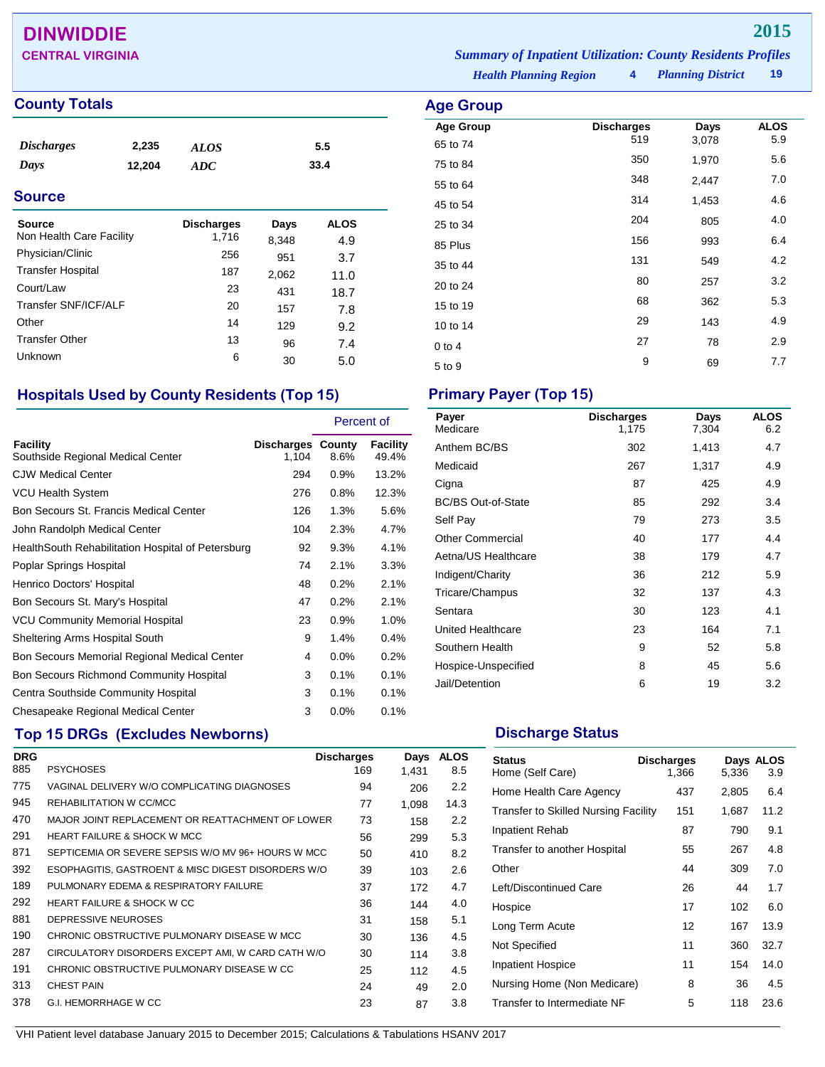## **DINWIDDIE 2015**

### **County Totals Age Group**

| <i>Discharges</i> | 2,235  | <b>ALOS</b> | 5.5  |
|-------------------|--------|-------------|------|
| Days              | 12,204 | ADC         | 33.4 |
|                   |        |             |      |

### **Source**

| Source<br>Non Health Care Facility | <b>Discharges</b><br>1,716 | Days<br>8,348 | ALOS<br>4.9 |
|------------------------------------|----------------------------|---------------|-------------|
| Physician/Clinic                   | 256                        | 951           | 3.7         |
| <b>Transfer Hospital</b>           | 187                        | 2,062         | 11.0        |
| Court/Law                          | 23                         | 431           | 18.7        |
| Transfer SNF/ICF/ALF               | 20                         | 157           | 7.8         |
| Other                              | 14                         | 129           | 9.2         |
| <b>Transfer Other</b>              | 13                         | 96            | 7.4         |
| Unknown                            | 6                          | 30            | 5.0         |

### **Hospitals Used by County Residents (Top 15) Primary Payer (Top 15)**

|                                                      |                                   | Percent of |                   |
|------------------------------------------------------|-----------------------------------|------------|-------------------|
| <b>Facility</b><br>Southside Regional Medical Center | <b>Discharges County</b><br>1,104 | 8.6%       | Facility<br>49.4% |
| <b>CJW Medical Center</b>                            | 294                               | 0.9%       | 13.2%             |
| <b>VCU Health System</b>                             | 276                               | 0.8%       | 12.3%             |
| Bon Secours St. Francis Medical Center               | 126                               | 1.3%       | 5.6%              |
| John Randolph Medical Center                         | 104                               | 2.3%       | 4.7%              |
| HealthSouth Rehabilitation Hospital of Petersburg    | 92                                | 9.3%       | 4.1%              |
| Poplar Springs Hospital                              | 74                                | 2.1%       | 3.3%              |
| Henrico Doctors' Hospital                            | 48                                | 0.2%       | 2.1%              |
| Bon Secours St. Mary's Hospital                      | 47                                | 0.2%       | 2.1%              |
| <b>VCU Community Memorial Hospital</b>               | 23                                | 0.9%       | 1.0%              |
| Sheltering Arms Hospital South                       | 9                                 | 1.4%       | 0.4%              |
| Bon Secours Memorial Regional Medical Center         | 4                                 | 0.0%       | 0.2%              |
| Bon Secours Richmond Community Hospital              | 3                                 | 0.1%       | 0.1%              |
| Centra Southside Community Hospital                  | 3                                 | 0.1%       | 0.1%              |
| Chesapeake Regional Medical Center                   | 3                                 | 0.0%       | 0.1%              |

## **Top 15 DRGs (Excludes Newborns) Discharge Status Discharge Status**

| <b>DRG</b> |                                                    | <b>Discharges</b> | Days  | <b>ALOS</b> |
|------------|----------------------------------------------------|-------------------|-------|-------------|
| 885        | <b>PSYCHOSES</b>                                   | 169               | 1.431 | 8.5         |
| 775        | VAGINAL DELIVERY W/O COMPLICATING DIAGNOSES        | 94                | 206   | 2.2         |
| 945        | REHABILITATION W CC/MCC                            | 77                | 1.098 | 14.3        |
| 470        | MAJOR JOINT REPLACEMENT OR REATTACHMENT OF LOWER   | 73                | 158   | 2.2         |
| 291        | <b>HEART FAILURE &amp; SHOCK W MCC</b>             | 56                | 299   | 5.3         |
| 871        | SEPTICEMIA OR SEVERE SEPSIS W/O MV 96+ HOURS W MCC | 50                | 410   | 8.2         |
| 392        | ESOPHAGITIS, GASTROENT & MISC DIGEST DISORDERS W/O | 39                | 103   | 2.6         |
| 189        | PULMONARY EDEMA & RESPIRATORY FAILURE              | 37                | 172   | 4.7         |
| 292        | <b>HEART FAILURE &amp; SHOCK W CC</b>              | 36                | 144   | 4.0         |
| 881        | DEPRESSIVE NEUROSES                                | 31                | 158   | 5.1         |
| 190        | CHRONIC OBSTRUCTIVE PULMONARY DISEASE W MCC        | 30                | 136   | 4.5         |
| 287        | CIRCULATORY DISORDERS EXCEPT AMI, W CARD CATH W/O  | 30                | 114   | 3.8         |
| 191        | CHRONIC OBSTRUCTIVE PULMONARY DISEASE W CC         | 25                | 112   | 4.5         |
| 313        | <b>CHEST PAIN</b>                                  | 24                | 49    | 2.0         |
| 378        | <b>G.I. HEMORRHAGE W CC</b>                        | 23                | 87    | 3.8         |

*Planning District* **19 CENTRAL VIRGINIA** *Summary of Inpatient Utilization: County Residents Profiles*

# *Health Planning Region* **4**

| nye Gruup        |                   |       |             |
|------------------|-------------------|-------|-------------|
| <b>Age Group</b> | <b>Discharges</b> | Days  | <b>ALOS</b> |
| 65 to 74         | 519               | 3,078 | 5.9         |
| 75 to 84         | 350               | 1,970 | 5.6         |
| 55 to 64         | 348               | 2,447 | 7.0         |
| 45 to 54         | 314               | 1,453 | 4.6         |
| 25 to 34         | 204               | 805   | 4.0         |
| 85 Plus          | 156               | 993   | 6.4         |
| 35 to 44         | 131               | 549   | 4.2         |
| 20 to 24         | 80                | 257   | 3.2         |
| 15 to 19         | 68                | 362   | 5.3         |
| 10 to 14         | 29                | 143   | 4.9         |
| $0$ to 4         | 27                | 78    | 2.9         |
| 5 to 9           | 9                 | 69    | 7.7         |
|                  |                   |       |             |

| Payer<br>Medicare         | <b>Discharges</b><br>1,175 | Days<br>7,304 | <b>ALOS</b><br>6.2 |
|---------------------------|----------------------------|---------------|--------------------|
| Anthem BC/BS              | 302                        | 1,413         | 4.7                |
| Medicaid                  | 267                        | 1,317         | 4.9                |
| Cigna                     | 87                         | 425           | 4.9                |
| <b>BC/BS Out-of-State</b> | 85                         | 292           | 3.4                |
| Self Pay                  | 79                         | 273           | 3.5                |
| Other Commercial          | 40                         | 177           | 4.4                |
| Aetna/US Healthcare       | 38                         | 179           | 4.7                |
| Indigent/Charity          | 36                         | 212           | 5.9                |
| Tricare/Champus           | 32                         | 137           | 4.3                |
| Sentara                   | 30                         | 123           | 4.1                |
| United Healthcare         | 23                         | 164           | 7.1                |
| Southern Health           | 9                          | 52            | 5.8                |
| Hospice-Unspecified       | 8                          | 45            | 5.6                |
| Jail/Detention            | 6                          | 19            | 3.2                |

| <b>Status</b><br>Home (Self Care)           | <b>Discharges</b><br>1,366 | 5,336 | Days ALOS<br>3.9 |
|---------------------------------------------|----------------------------|-------|------------------|
| Home Health Care Agency                     | 437                        | 2,805 | 6.4              |
| <b>Transfer to Skilled Nursing Facility</b> | 151                        | 1,687 | 11.2             |
| Inpatient Rehab                             | 87                         | 790   | 9.1              |
| Transfer to another Hospital                | 55                         | 267   | 4.8              |
| Other                                       | 44                         | 309   | 7.0              |
| Left/Discontinued Care                      | 26                         | 44    | 1.7              |
| Hospice                                     | 17                         | 102   | 6.0              |
| Long Term Acute                             | 12                         | 167   | 13.9             |
| Not Specified                               | 11                         | 360   | 32.7             |
| <b>Inpatient Hospice</b>                    | 11                         | 154   | 14.0             |
| Nursing Home (Non Medicare)                 | 8                          | 36    | 4.5              |
| Transfer to Intermediate NF                 | 5                          | 118   | 23.6             |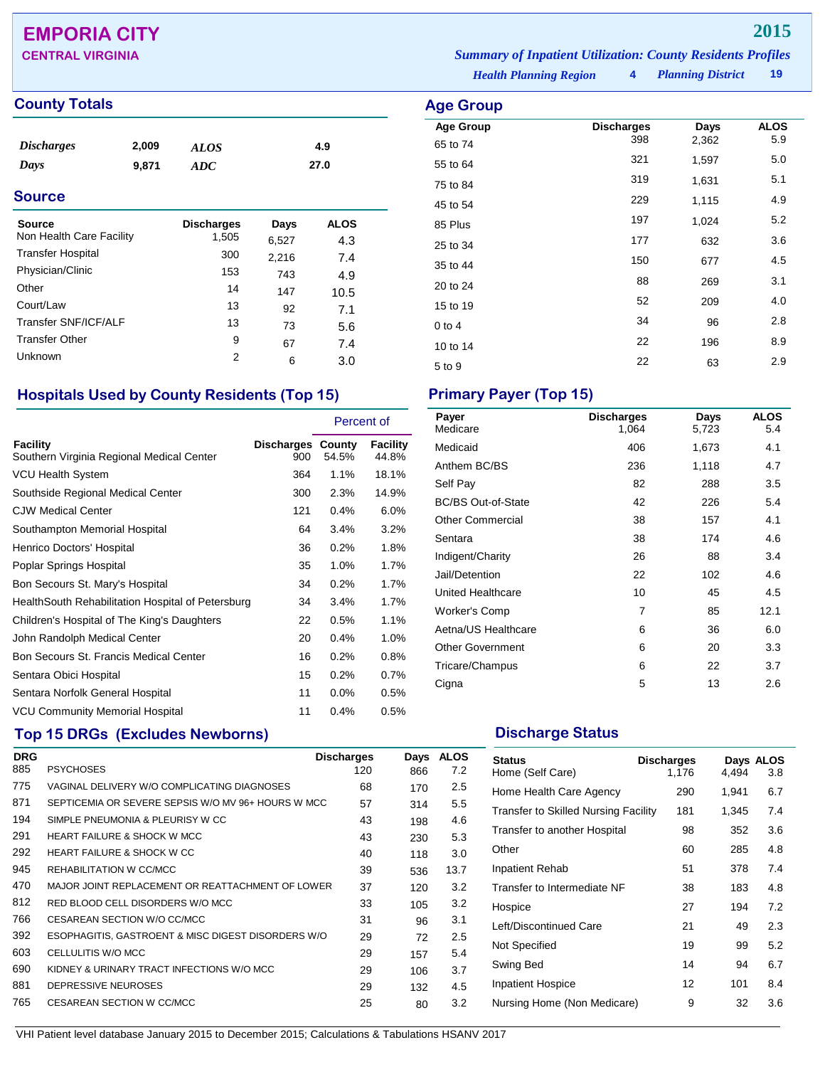## **EMPORIA CITY 2015**

### **County Totals Age Group**

| <i>Discharges</i> | 2,009 | <b>ALOS</b> | 4.9  |
|-------------------|-------|-------------|------|
| Days              | 9.871 | ADC         | 27.0 |
|                   |       |             |      |

### **Source**

| Source<br>Non Health Care Facility | <b>Discharges</b><br>1,505 | Days  | <b>ALOS</b> |
|------------------------------------|----------------------------|-------|-------------|
| <b>Transfer Hospital</b>           | 300                        | 6,527 | 4.3         |
| Physician/Clinic                   |                            | 2,216 | 7.4         |
|                                    | 153                        | 743   | 4.9         |
| Other                              | 14                         | 147   | 10.5        |
| Court/Law                          | 13                         | 92    | 7.1         |
| Transfer SNF/ICF/ALF               | 13                         | 73    | 5.6         |
| <b>Transfer Other</b>              | 9                          | 67    | 7.4         |
| Unknown                            | 2                          | 6     | 3.0         |

## **Hospitals Used by County Residents (Top 15) Primary Payer (Top 15)**

|                                                       |                                 | Percent of |                   |
|-------------------------------------------------------|---------------------------------|------------|-------------------|
| Facility<br>Southern Virginia Regional Medical Center | <b>Discharges County</b><br>900 | 54.5%      | Facility<br>44.8% |
| <b>VCU Health System</b>                              | 364                             | 1.1%       | 18.1%             |
| Southside Regional Medical Center                     | 300                             | 2.3%       | 14.9%             |
| <b>CJW Medical Center</b>                             | 121                             | 0.4%       | 6.0%              |
| Southampton Memorial Hospital                         | 64                              | 3.4%       | 3.2%              |
| Henrico Doctors' Hospital                             | 36                              | 0.2%       | 1.8%              |
| Poplar Springs Hospital                               | 35                              | 1.0%       | 1.7%              |
| Bon Secours St. Mary's Hospital                       | 34                              | 0.2%       | 1.7%              |
| HealthSouth Rehabilitation Hospital of Petersburg     | 34                              | 3.4%       | 1.7%              |
| Children's Hospital of The King's Daughters           | 22                              | 0.5%       | 1.1%              |
| John Randolph Medical Center                          | 20                              | 0.4%       | 1.0%              |
| Bon Secours St. Francis Medical Center                | 16                              | 0.2%       | 0.8%              |
| Sentara Obici Hospital                                | 15                              | 0.2%       | 0.7%              |
| Sentara Norfolk General Hospital                      | 11                              | $0.0\%$    | 0.5%              |
| <b>VCU Community Memorial Hospital</b>                | 11                              | 0.4%       | 0.5%              |

## **Top 15 DRGs (Excludes Newborns) Discharge Status Discharge Status**

| <b>DRG</b> |                                                    | <b>Discharges</b> | Days | <b>ALOS</b> |
|------------|----------------------------------------------------|-------------------|------|-------------|
| 885        | <b>PSYCHOSES</b>                                   | 120               | 866  | 7.2         |
| 775        | VAGINAL DELIVERY W/O COMPLICATING DIAGNOSES        | 68                | 170  | $2.5\,$     |
| 871        | SEPTICEMIA OR SEVERE SEPSIS W/O MV 96+ HOURS W MCC | 57                | 314  | 5.5         |
| 194        | SIMPLE PNEUMONIA & PLEURISY W CC                   | 43                | 198  | 4.6         |
| 291        | <b>HEART FAILURE &amp; SHOCK W MCC</b>             | 43                | 230  | 5.3         |
| 292        | <b>HEART FAILURE &amp; SHOCK W CC</b>              | 40                | 118  | 3.0         |
| 945        | REHABILITATION W CC/MCC                            | 39                | 536  | 13.7        |
| 470        | MAJOR JOINT REPLACEMENT OR REATTACHMENT OF LOWER   | 37                | 120  | 3.2         |
| 812        | RED BLOOD CELL DISORDERS W/O MCC                   | 33                | 105  | 3.2         |
| 766        | CESAREAN SECTION W/O CC/MCC                        | 31                | 96   | 3.1         |
| 392        | ESOPHAGITIS, GASTROENT & MISC DIGEST DISORDERS W/O | 29                | 72   | $2.5\,$     |
| 603        | CELLULITIS W/O MCC                                 | 29                | 157  | 5.4         |
| 690        | KIDNEY & URINARY TRACT INFECTIONS W/O MCC          | 29                | 106  | 3.7         |
| 881        | DEPRESSIVE NEUROSES                                | 29                | 132  | 4.5         |
| 765        | CESAREAN SECTION W CC/MCC                          | 25                | 80   | 3.2         |
|            |                                                    |                   |      |             |

*Health Planning Region* **4** *Planning District* **19 CENTRAL VIRGINIA** *Summary of Inpatient Utilization: County Residents Profiles*

|  | District |  |  |
|--|----------|--|--|

| Aye Group        |                   |       |                    |
|------------------|-------------------|-------|--------------------|
| <b>Age Group</b> | <b>Discharges</b> | Days  | <b>ALOS</b><br>5.9 |
| 65 to 74         | 398               | 2,362 |                    |
| 55 to 64         | 321               | 1,597 | 5.0                |
| 75 to 84         | 319               | 1,631 | 5.1                |
| 45 to 54         | 229               | 1,115 | 4.9                |
| 85 Plus          | 197               | 1,024 | 5.2                |
| 25 to 34         | 177               | 632   | 3.6                |
| 35 to 44         | 150               | 677   | 4.5                |
| 20 to 24         | 88                | 269   | 3.1                |
| 15 to 19         | 52                | 209   | 4.0                |
| $0$ to 4         | 34                | 96    | 2.8                |
| 10 to 14         | 22                | 196   | 8.9                |
| 5 to 9           | 22                | 63    | 2.9                |
|                  |                   |       |                    |

| Payer<br>Medicare         | <b>Discharges</b><br>1,064 | Days<br>5,723 | <b>ALOS</b><br>5.4 |
|---------------------------|----------------------------|---------------|--------------------|
| Medicaid                  | 406                        | 1,673         | 4.1                |
| Anthem BC/BS              | 236                        | 1,118         | 4.7                |
| Self Pay                  | 82                         | 288           | 3.5                |
| <b>BC/BS Out-of-State</b> | 42                         | 226           | 5.4                |
| <b>Other Commercial</b>   | 38                         | 157           | 4.1                |
| Sentara                   | 38                         | 174           | 4.6                |
| Indigent/Charity          | 26                         | 88            | 3.4                |
| Jail/Detention            | 22                         | 102           | 4.6                |
| <b>United Healthcare</b>  | 10                         | 45            | 4.5                |
| Worker's Comp             | $\overline{7}$             | 85            | 12.1               |
| Aetna/US Healthcare       | 6                          | 36            | 6.0                |
| <b>Other Government</b>   | 6                          | 20            | 3.3                |
| Tricare/Champus           | 6                          | 22            | 3.7                |
| Cigna                     | 5                          | 13            | 2.6                |

| <b>Status</b><br>Home (Self Care)           | <b>Discharges</b><br>1,176 | 4,494 | Days ALOS<br>3.8 |
|---------------------------------------------|----------------------------|-------|------------------|
| Home Health Care Agency                     | 290                        | 1,941 | 6.7              |
| <b>Transfer to Skilled Nursing Facility</b> | 181                        | 1,345 | 7.4              |
| Transfer to another Hospital                | 98                         | 352   | 3.6              |
| Other                                       | 60                         | 285   | 4.8              |
| <b>Inpatient Rehab</b>                      | 51                         | 378   | 7.4              |
| Transfer to Intermediate NF                 | 38                         | 183   | 4.8              |
| Hospice                                     | 27                         | 194   | 7.2              |
| Left/Discontinued Care                      | 21                         | 49    | 2.3              |
| Not Specified                               | 19                         | 99    | 5.2              |
| Swing Bed                                   | 14                         | 94    | 6.7              |
| <b>Inpatient Hospice</b>                    | 12                         | 101   | 8.4              |
| Nursing Home (Non Medicare)                 | 9                          | 32    | 3.6              |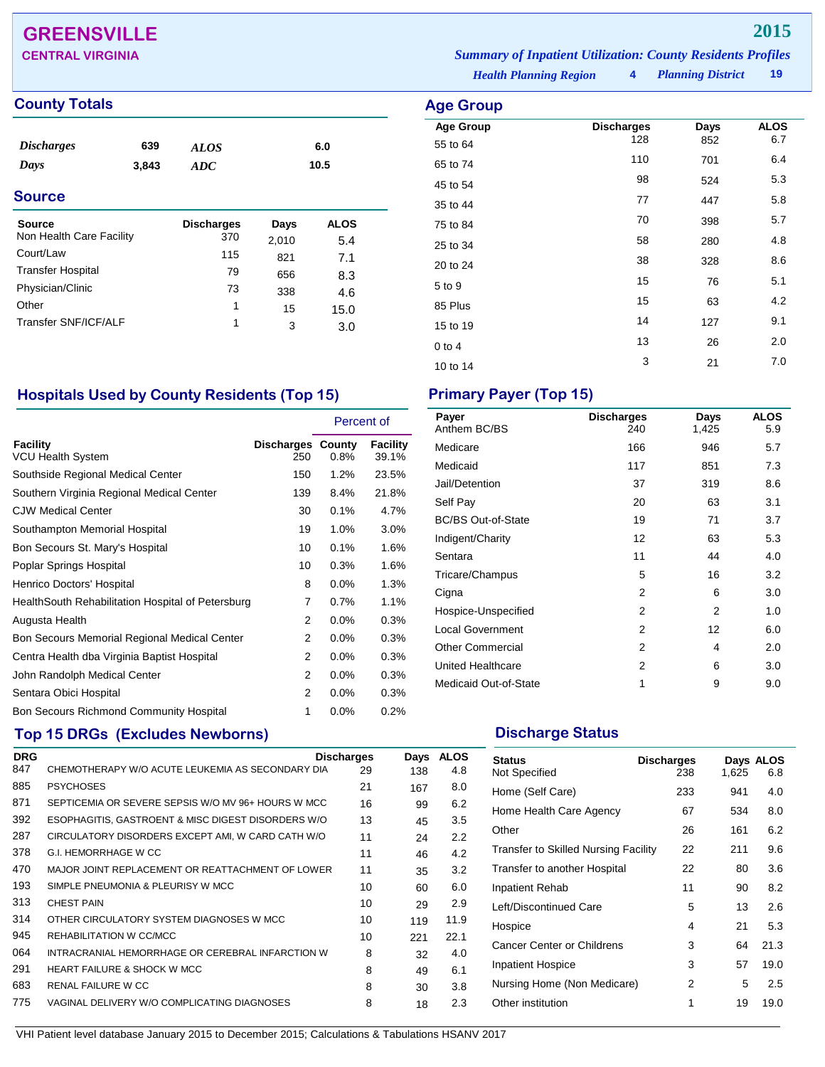## **GREENSVILLE 2015**

### **County Totals Age Group Age Group Age Group**

| <i><b>Discharges</b></i><br>Days | 639<br>3,843 | <b>ALOS</b><br><b>ADC</b> |       | 6.0<br>10.5 |
|----------------------------------|--------------|---------------------------|-------|-------------|
| <b>Source</b>                    |              |                           |       |             |
| Source                           |              | <b>Discharges</b>         | Days  | <b>ALOS</b> |
| Non Health Care Facility         |              | 370                       | 2,010 | 5.4         |
| Court/Law                        |              | 115                       | 821   | 7.1         |
| <b>Transfer Hospital</b>         |              | 79                        | 656   | 8.3         |
| Physician/Clinic                 |              | 73                        | 338   | 4.6         |
| Other                            |              | 1                         | 15    | 15.0        |
| Transfer SNF/ICF/ALF             |              | 1                         | 3     | 3.0         |

### *Planning District* **19 CENTRAL VIRGINIA** *Summary of Inpatient Utilization: County Residents Profiles*

*Health Planning Region* **4**

| <b>Age Group</b> |                          |      |                    |
|------------------|--------------------------|------|--------------------|
| <b>Age Group</b> | <b>Discharges</b><br>128 | Days | <b>ALOS</b><br>6.7 |
| 55 to 64         |                          | 852  |                    |
| 65 to 74         | 110                      | 701  | 6.4                |
| 45 to 54         | 98                       | 524  | 5.3                |
| 35 to 44         | 77                       | 447  | 5.8                |
| 75 to 84         | 70                       | 398  | 5.7                |
| 25 to 34         | 58                       | 280  | 4.8                |
| 20 to 24         | 38                       | 328  | 8.6                |
| 5 to 9           | 15                       | 76   | 5.1                |
| 85 Plus          | 15                       | 63   | 4.2                |
| 15 to 19         | 14                       | 127  | 9.1                |
| $0$ to $4$       | 13                       | 26   | 2.0                |
| 10 to 14         | 3                        | 21   | 7.0                |

### **Hospitals Used by County Residents (Top 15) Primary Payer (Top 15)**

|                                                   |                                 | Percent of |                   |
|---------------------------------------------------|---------------------------------|------------|-------------------|
| Facility<br><b>VCU Health System</b>              | <b>Discharges County</b><br>250 | 0.8%       | Facility<br>39.1% |
| Southside Regional Medical Center                 | 150                             | $1.2\%$    | 23.5%             |
| Southern Virginia Regional Medical Center         | 139                             | 8.4%       | 21.8%             |
| <b>CJW Medical Center</b>                         | 30                              | 0.1%       | 4.7%              |
| Southampton Memorial Hospital                     | 19                              | 1.0%       | 3.0%              |
| Bon Secours St. Mary's Hospital                   | 10                              | 0.1%       | 1.6%              |
| Poplar Springs Hospital                           | 10                              | 0.3%       | 1.6%              |
| Henrico Doctors' Hospital                         | 8                               | $0.0\%$    | 1.3%              |
| HealthSouth Rehabilitation Hospital of Petersburg | 7                               | 0.7%       | 1.1%              |
| Augusta Health                                    | 2                               | 0.0%       | 0.3%              |
| Bon Secours Memorial Regional Medical Center      | 2                               | 0.0%       | 0.3%              |
| Centra Health dba Virginia Baptist Hospital       | 2                               | $0.0\%$    | 0.3%              |
| John Randolph Medical Center                      | 2                               | $0.0\%$    | 0.3%              |
| Sentara Obici Hospital                            | 2                               | 0.0%       | 0.3%              |
| Bon Secours Richmond Community Hospital           | 1                               | 0.0%       | 0.2%              |

## **Top 15 DRGs (Excludes Newborns) Discharge Status Discharge Status**

|                                                    |    | Days                                                                  | <b>ALOS</b> |
|----------------------------------------------------|----|-----------------------------------------------------------------------|-------------|
| CHEMOTHERAPY W/O ACUTE LEUKEMIA AS SECONDARY DIA   | 29 | 138                                                                   | 4.8         |
| <b>PSYCHOSES</b>                                   | 21 | 167                                                                   | 8.0         |
| SEPTICEMIA OR SEVERE SEPSIS W/O MV 96+ HOURS W MCC | 16 | 99                                                                    | 6.2         |
| ESOPHAGITIS, GASTROENT & MISC DIGEST DISORDERS W/O | 13 | 45                                                                    | 3.5         |
| CIRCULATORY DISORDERS EXCEPT AMI, W CARD CATH W/O  | 11 | 24                                                                    | 2.2         |
| G.I. HEMORRHAGE W CC                               | 11 | 46                                                                    | 4.2         |
|                                                    | 11 | 35                                                                    | 3.2         |
| SIMPLE PNEUMONIA & PLEURISY W MCC                  | 10 | 60                                                                    | 6.0         |
| <b>CHEST PAIN</b>                                  | 10 | 29                                                                    | 2.9         |
| OTHER CIRCULATORY SYSTEM DIAGNOSES W MCC           | 10 | 119                                                                   | 11.9        |
| REHABILITATION W CC/MCC                            | 10 | 221                                                                   | 22.1        |
| INTRACRANIAL HEMORRHAGE OR CEREBRAL INFARCTION W   | 8  | 32                                                                    | 4.0         |
| <b>HEART FAILURE &amp; SHOCK W MCC</b>             | 8  | 49                                                                    | 6.1         |
| <b>RENAL FAILURE W CC</b>                          | 8  | 30                                                                    | 3.8         |
| VAGINAL DELIVERY W/O COMPLICATING DIAGNOSES        | 8  | 18                                                                    | 2.3         |
|                                                    |    | <b>Discharges</b><br>MAJOR JOINT REPLACEMENT OR REATTACHMENT OF LOWER |             |

| Payer<br>Anthem BC/BS     | <b>Discharges</b><br>240 | Days<br>1,425 | <b>ALOS</b><br>5.9 |
|---------------------------|--------------------------|---------------|--------------------|
| Medicare                  | 166                      | 946           | 5.7                |
| Medicaid                  | 117                      | 851           | 7.3                |
| Jail/Detention            | 37                       | 319           | 8.6                |
| Self Pay                  | 20                       | 63            | 3.1                |
| <b>BC/BS Out-of-State</b> | 19                       | 71            | 3.7                |
| Indigent/Charity          | 12                       | 63            | 5.3                |
| Sentara                   | 11                       | 44            | 4.0                |
| Tricare/Champus           | 5                        | 16            | 3.2                |
| Cigna                     | 2                        | 6             | 3.0                |
| Hospice-Unspecified       | 2                        | 2             | 1.0                |
| <b>Local Government</b>   | 2                        | 12            | 6.0                |
| <b>Other Commercial</b>   | 2                        | 4             | 2.0                |
| United Healthcare         | 2                        | 6             | 3.0                |
| Medicaid Out-of-State     | 1                        | 9             | 9.0                |

| <b>Status</b><br>Not Specified              | <b>Discharges</b><br>238 | 1,625 | Days ALOS<br>6.8 |
|---------------------------------------------|--------------------------|-------|------------------|
| Home (Self Care)                            | 233                      | 941   | 4.0              |
| Home Health Care Agency                     | 67                       | 534   | 8.0              |
| Other                                       | 26                       | 161   | 6.2              |
| <b>Transfer to Skilled Nursing Facility</b> | 22                       | 211   | 9.6              |
| Transfer to another Hospital                | 22                       | 80    | 3.6              |
| <b>Inpatient Rehab</b>                      | 11                       | 90    | 8.2              |
| Left/Discontinued Care                      | 5                        | 13    | 2.6              |
| Hospice                                     | 4                        | 21    | 5.3              |
| Cancer Center or Childrens                  | 3                        | 64    | 21.3             |
| Inpatient Hospice                           | 3                        | 57    | 19.0             |
| Nursing Home (Non Medicare)                 | 2                        | 5     | 2.5              |
| Other institution                           | 1                        | 19    | 19.0             |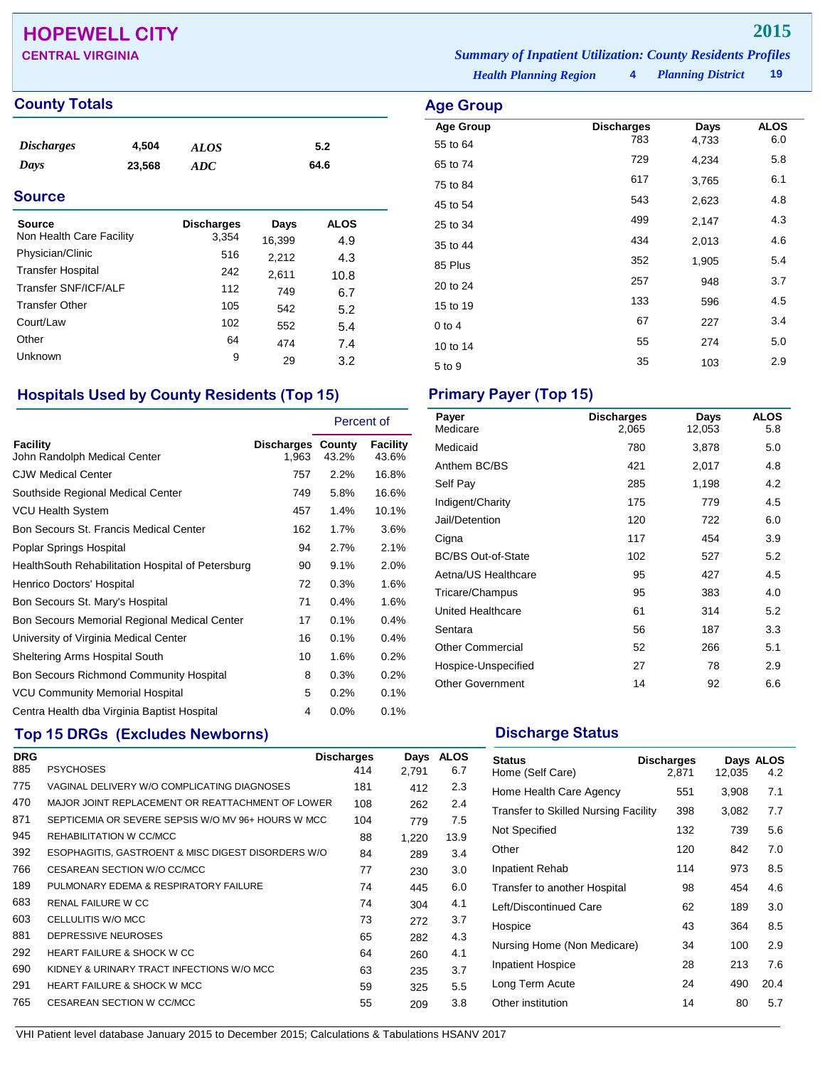## **HOPEWELL CITY 2015**

### **County Totals Age Group**

| <i>Discharges</i> | 4,504  | ALOS | 5.2  |
|-------------------|--------|------|------|
| Days              | 23,568 | ADC  | 64.6 |
|                   |        |      |      |

### **Source**

| Source                   | <b>Discharges</b> | Days   | <b>ALOS</b> |
|--------------------------|-------------------|--------|-------------|
| Non Health Care Facility | 3,354             | 16,399 | 4.9         |
| Physician/Clinic         | 516               | 2,212  | 4.3         |
| <b>Transfer Hospital</b> | 242               | 2,611  | 10.8        |
| Transfer SNF/ICF/ALF     | 112               | 749    | 6.7         |
| <b>Transfer Other</b>    | 105               | 542    | 5.2         |
| Court/Law                | 102               | 552    | 5.4         |
| Other                    | 64                | 474    | 7.4         |
| Unknown                  | 9                 | 29     | 3.2         |

### **Hospitals Used by County Residents (Top 15) Primary Payer (Top 15)**

|                                                    |                                   | Percent of |                   |
|----------------------------------------------------|-----------------------------------|------------|-------------------|
| Facility<br>John Randolph Medical Center           | <b>Discharges County</b><br>1,963 | 43.2%      | Facility<br>43.6% |
| <b>CJW Medical Center</b>                          | 757                               | 2.2%       | 16.8%             |
| Southside Regional Medical Center                  | 749                               | 5.8%       | 16.6%             |
| <b>VCU Health System</b>                           | 457                               | 1.4%       | 10.1%             |
| Bon Secours St. Francis Medical Center             | 162                               | 1.7%       | 3.6%              |
| Poplar Springs Hospital                            | 94                                | 2.7%       | 2.1%              |
| Health South Rehabilitation Hospital of Petersburg | 90                                | 9.1%       | 2.0%              |
| Henrico Doctors' Hospital                          | 72                                | 0.3%       | 1.6%              |
| Bon Secours St. Mary's Hospital                    | 71                                | 0.4%       | 1.6%              |
| Bon Secours Memorial Regional Medical Center       | 17                                | 0.1%       | 0.4%              |
| University of Virginia Medical Center              | 16                                | 0.1%       | 0.4%              |
| Sheltering Arms Hospital South                     | 10                                | 1.6%       | 0.2%              |
| <b>Bon Secours Richmond Community Hospital</b>     | 8                                 | 0.3%       | 0.2%              |
| <b>VCU Community Memorial Hospital</b>             | 5                                 | 0.2%       | 0.1%              |
| Centra Health dba Virginia Baptist Hospital        | 4                                 | $0.0\%$    | 0.1%              |

## **Top 15 DRGs (Excludes Newborns) Discharge Status Discharge Status**

| <b>DRG</b> |                                                    | <b>Discharges</b> | Days  | <b>ALOS</b> |
|------------|----------------------------------------------------|-------------------|-------|-------------|
| 885        | <b>PSYCHOSES</b>                                   | 414               | 2.791 | 6.7         |
| 775        | VAGINAL DELIVERY W/O COMPLICATING DIAGNOSES        | 181               | 412   | 2.3         |
| 470        | MAJOR JOINT REPLACEMENT OR REATTACHMENT OF LOWER   | 108               | 262   | 2.4         |
| 871        | SEPTICEMIA OR SEVERE SEPSIS W/O MV 96+ HOURS W MCC | 104               | 779   | 7.5         |
| 945        | REHABILITATION W CC/MCC                            | 88                | 1,220 | 13.9        |
| 392        | ESOPHAGITIS, GASTROENT & MISC DIGEST DISORDERS W/O | 84                | 289   | 3.4         |
| 766        | CESAREAN SECTION W/O CC/MCC                        | 77                | 230   | 3.0         |
| 189        | PULMONARY EDEMA & RESPIRATORY FAILURE              | 74                | 445   | 6.0         |
| 683        | RENAL FAILURE W CC                                 | 74                | 304   | 4.1         |
| 603        | CELLULITIS W/O MCC                                 | 73                | 272   | 3.7         |
| 881        | DEPRESSIVE NEUROSES                                | 65                | 282   | 4.3         |
| 292        | HEART FAILURE & SHOCK W CC                         | 64                | 260   | 4.1         |
| 690        | KIDNEY & URINARY TRACT INFECTIONS W/O MCC          | 63                | 235   | 3.7         |
| 291        | <b>HEART FAILURE &amp; SHOCK W MCC</b>             | 59                | 325   | 5.5         |
| 765        | CESAREAN SECTION W CC/MCC                          | 55                | 209   | 3.8         |

*Planning District* **19 CENTRAL VIRGINIA** *Summary of Inpatient Utilization: County Residents Profiles*

*Health Planning Region* **4**

| 4              | <i>Funning District</i> | ıэ                 |
|----------------|-------------------------|--------------------|
|                |                         |                    |
| charges<br>783 | Days<br>4.733           | <b>ALOS</b><br>6.0 |

| <b>Age Group</b> | <b>Discharges</b> | Days  | <b>ALOS</b> |
|------------------|-------------------|-------|-------------|
| 55 to 64         | 783               | 4,733 | 6.0         |
| 65 to 74         | 729               | 4,234 | 5.8         |
| 75 to 84         | 617               | 3,765 | 6.1         |
| 45 to 54         | 543               | 2,623 | 4.8         |
| 25 to 34         | 499               | 2,147 | 4.3         |
| 35 to 44         | 434               | 2,013 | 4.6         |
| 85 Plus          | 352               | 1,905 | 5.4         |
| 20 to 24         | 257               | 948   | 3.7         |
| 15 to 19         | 133               | 596   | 4.5         |
| $0$ to 4         | 67                | 227   | 3.4         |
| 10 to 14         | 55                | 274   | 5.0         |
| 5 to 9           | 35                | 103   | 2.9         |
|                  |                   |       |             |

| Payer<br>Medicare         | <b>Discharges</b><br>2,065 | Days<br>12,053 | <b>ALOS</b><br>5.8 |
|---------------------------|----------------------------|----------------|--------------------|
| Medicaid                  | 780                        | 3,878          | 5.0                |
| Anthem BC/BS              | 421                        | 2,017          | 4.8                |
| Self Pay                  | 285                        | 1,198          | 4.2                |
| Indigent/Charity          | 175                        | 779            | 4.5                |
| Jail/Detention            | 120                        | 722            | 6.0                |
| Cigna                     | 117                        | 454            | 3.9                |
| <b>BC/BS Out-of-State</b> | 102                        | 527            | 5.2                |
| Aetna/US Healthcare       | 95                         | 427            | 4.5                |
| Tricare/Champus           | 95                         | 383            | 4.0                |
| United Healthcare         | 61                         | 314            | 5.2                |
| Sentara                   | 56                         | 187            | 3.3                |
| <b>Other Commercial</b>   | 52                         | 266            | 5.1                |
| Hospice-Unspecified       | 27                         | 78             | 2.9                |
| <b>Other Government</b>   | 14                         | 92             | 6.6                |

| <b>Status</b><br>Home (Self Care)           | <b>Discharges</b><br>2,871 | 12,035 | Days ALOS<br>4.2 |
|---------------------------------------------|----------------------------|--------|------------------|
| Home Health Care Agency                     | 551                        | 3,908  | 7.1              |
| <b>Transfer to Skilled Nursing Facility</b> | 398                        | 3,082  | 7.7              |
| Not Specified                               | 132                        | 739    | 5.6              |
| Other                                       | 120                        | 842    | 7.0              |
| Inpatient Rehab                             | 114                        | 973    | 8.5              |
| Transfer to another Hospital                | 98                         | 454    | 4.6              |
| Left/Discontinued Care                      | 62                         | 189    | 3.0              |
| Hospice                                     | 43                         | 364    | 8.5              |
| Nursing Home (Non Medicare)                 | 34                         | 100    | 2.9              |
| <b>Inpatient Hospice</b>                    | 28                         | 213    | 7.6              |
| Long Term Acute                             | 24                         | 490    | 20.4             |
| Other institution                           | 14                         | 80     | 5.7              |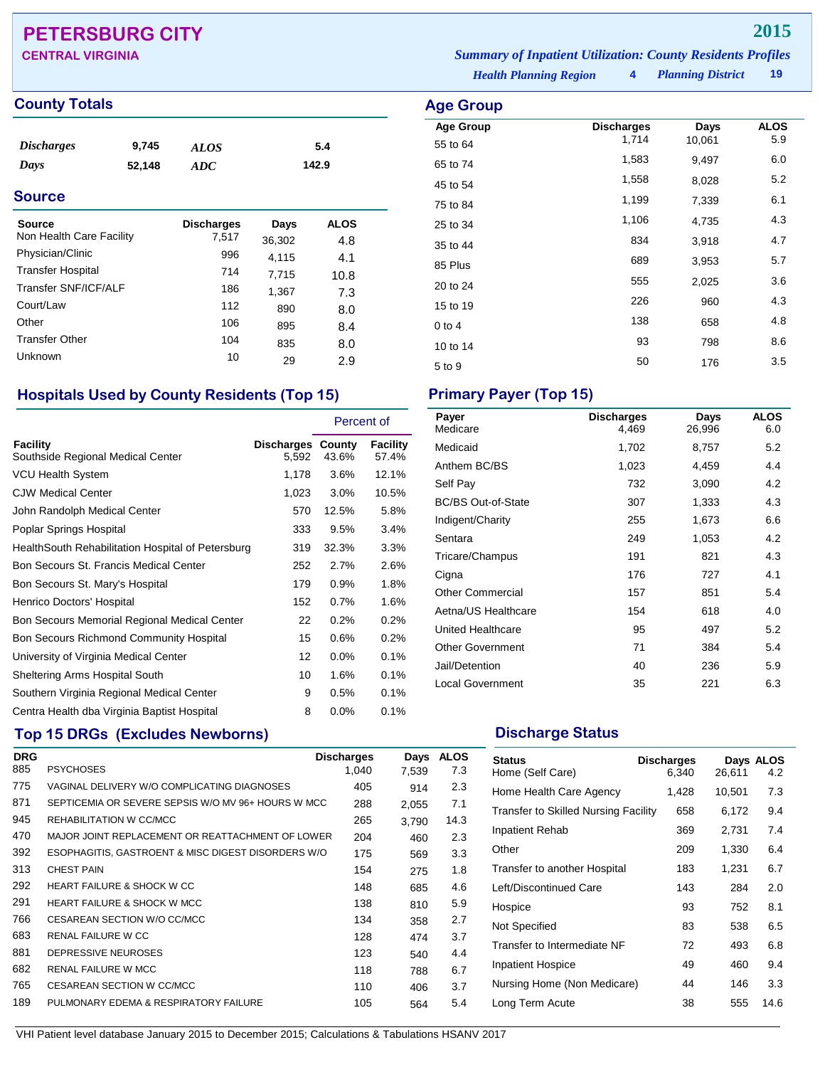## **PETERSBURG CITY 2015**

### **County Totals Age Group Age Group Age Group**

| <i><b>Discharges</b></i> | 9,745  | ALOS | 5.4   |  |
|--------------------------|--------|------|-------|--|
| Days                     | 52,148 | ADC  | 142.9 |  |

### **Source**

| Source<br>Non Health Care Facility | <b>Discharges</b><br>7,517 | Days<br>36,302 | <b>ALOS</b> |  |
|------------------------------------|----------------------------|----------------|-------------|--|
| Physician/Clinic                   | 996                        | 4,115          | 4.8<br>4.1  |  |
| <b>Transfer Hospital</b>           | 714                        | 7,715          | 10.8        |  |
| Transfer SNF/ICF/ALF               | 186                        | 1,367          | 7.3         |  |
| Court/Law                          | 112                        | 890            | 8.0         |  |
| Other                              | 106                        | 895            | 8.4         |  |
| <b>Transfer Other</b>              | 104                        | 835            | 8.0         |  |
| Unknown                            | 10                         | 29             | 2.9         |  |

### **Hospitals Used by County Residents (Top 15) Primary Payer (Top 15)**

|                                                    |                            | Percent of |                          |
|----------------------------------------------------|----------------------------|------------|--------------------------|
| Facility<br>Southside Regional Medical Center      | Discharges County<br>5,592 | 43.6%      | <b>Facility</b><br>57.4% |
| <b>VCU Health System</b>                           | 1,178                      | $3.6\%$    | 12.1%                    |
| <b>CJW Medical Center</b>                          | 1,023                      | $3.0\%$    | 10.5%                    |
| John Randolph Medical Center                       | 570                        | 12.5%      | 5.8%                     |
| Poplar Springs Hospital                            | 333                        | 9.5%       | 3.4%                     |
| Health South Rehabilitation Hospital of Petersburg | 319                        | 32.3%      | 3.3%                     |
| Bon Secours St. Francis Medical Center             | 252                        | 2.7%       | 2.6%                     |
| Bon Secours St. Mary's Hospital                    | 179                        | 0.9%       | 1.8%                     |
| Henrico Doctors' Hospital                          | 152                        | 0.7%       | 1.6%                     |
| Bon Secours Memorial Regional Medical Center       | 22                         | 0.2%       | 0.2%                     |
| Bon Secours Richmond Community Hospital            | 15                         | 0.6%       | 0.2%                     |
| University of Virginia Medical Center              | 12                         | $0.0\%$    | 0.1%                     |
| Sheltering Arms Hospital South                     | 10                         | 1.6%       | 0.1%                     |
| Southern Virginia Regional Medical Center          | 9                          | 0.5%       | 0.1%                     |
| Centra Health dba Virginia Baptist Hospital        | 8                          | $0.0\%$    | 0.1%                     |

## **Top 15 DRGs (Excludes Newborns) Discharge Status Discharge Status**

| <b>DRG</b> |                                                    | <b>Discharges</b> | Days  | <b>ALOS</b> |
|------------|----------------------------------------------------|-------------------|-------|-------------|
| 885        | <b>PSYCHOSES</b>                                   | 1.040             | 7,539 | 7.3         |
| 775        | VAGINAL DELIVERY W/O COMPLICATING DIAGNOSES        | 405               | 914   | 2.3         |
| 871        | SEPTICEMIA OR SEVERE SEPSIS W/O MV 96+ HOURS W MCC | 288               | 2,055 | 7.1         |
| 945        | REHABILITATION W CC/MCC                            | 265               | 3,790 | 14.3        |
| 470        | MAJOR JOINT REPLACEMENT OR REATTACHMENT OF LOWER   | 204               | 460   | 2.3         |
| 392        | ESOPHAGITIS, GASTROENT & MISC DIGEST DISORDERS W/O | 175               | 569   | 3.3         |
| 313        | <b>CHEST PAIN</b>                                  | 154               | 275   | 1.8         |
| 292        | HEART FAILURE & SHOCK W CC                         | 148               | 685   | 4.6         |
| 291        | <b>HEART FAILURE &amp; SHOCK W MCC</b>             | 138               | 810   | 5.9         |
| 766        | CESAREAN SECTION W/O CC/MCC                        | 134               | 358   | 2.7         |
| 683        | <b>RENAL FAILURE W CC</b>                          | 128               | 474   | 3.7         |
| 881        | DEPRESSIVE NEUROSES                                | 123               | 540   | 4.4         |
| 682        | <b>RENAL FAILURE W MCC</b>                         | 118               | 788   | 6.7         |
| 765        | <b>CESAREAN SECTION W CC/MCC</b>                   | 110               | 406   | 3.7         |
| 189        | PULMONARY EDEMA & RESPIRATORY FAILURE              | 105               | 564   | 5.4         |

*Health Planning Region* **4** *Planning District* **19 CENTRAL VIRGINIA** *Summary of Inpatient Utilization: County Residents Profiles*

| <b>ge Group</b>              |                            |                |                    |
|------------------------------|----------------------------|----------------|--------------------|
| <b>Age Group</b><br>55 to 64 | <b>Discharges</b><br>1,714 | Days<br>10,061 | <b>ALOS</b><br>5.9 |
| 65 to 74                     | 1,583                      | 9,497          | 6.0                |
| 45 to 54                     | 1,558                      | 8,028          | 5.2                |
| 75 to 84                     | 1,199                      | 7,339          | 6.1                |
| 25 to 34                     | 1,106                      | 4,735          | 4.3                |
| 35 to 44                     | 834                        | 3,918          | 4.7                |
| 85 Plus                      | 689                        | 3,953          | 5.7                |
| 20 to 24                     | 555                        | 2,025          | 3.6                |
| 15 to 19                     | 226                        | 960            | 4.3                |
| $0$ to 4                     | 138                        | 658            | 4.8                |
| 10 to 14                     | 93                         | 798            | 8.6                |
| 5 to 9                       | 50                         | 176            | 3.5                |

| Payer<br>Medicare         | <b>Discharges</b><br>4,469 | Days<br>26,996 | <b>ALOS</b><br>6.0 |
|---------------------------|----------------------------|----------------|--------------------|
| Medicaid                  | 1,702                      | 8,757          | 5.2                |
| Anthem BC/BS              | 1,023                      | 4,459          | 4.4                |
| Self Pay                  | 732                        | 3,090          | 4.2                |
| <b>BC/BS Out-of-State</b> | 307                        | 1,333          | 4.3                |
| Indigent/Charity          | 255                        | 1,673          | 6.6                |
| Sentara                   | 249                        | 1,053          | 4.2                |
| Tricare/Champus           | 191                        | 821            | 4.3                |
| Cigna                     | 176                        | 727            | 4.1                |
| <b>Other Commercial</b>   | 157                        | 851            | 5.4                |
| Aetna/US Healthcare       | 154                        | 618            | 4.0                |
| United Healthcare         | 95                         | 497            | 5.2                |
| <b>Other Government</b>   | 71                         | 384            | 5.4                |
| Jail/Detention            | 40                         | 236            | 5.9                |
| <b>Local Government</b>   | 35                         | 221            | 6.3                |

| <b>Status</b><br>Home (Self Care)           | <b>Discharges</b><br>6.340 | 26,611 | Days ALOS<br>4.2 |
|---------------------------------------------|----------------------------|--------|------------------|
| Home Health Care Agency                     | 1,428                      | 10,501 | 7.3              |
| <b>Transfer to Skilled Nursing Facility</b> | 658                        | 6,172  | 9.4              |
| Inpatient Rehab                             | 369                        | 2,731  | 7.4              |
| Other                                       | 209                        | 1,330  | 6.4              |
| Transfer to another Hospital                | 183                        | 1,231  | 6.7              |
| Left/Discontinued Care                      | 143                        | 284    | 2.0              |
| Hospice                                     | 93                         | 752    | 8.1              |
| Not Specified                               | 83                         | 538    | 6.5              |
| Transfer to Intermediate NF                 | 72                         | 493    | 6.8              |
| <b>Inpatient Hospice</b>                    | 49                         | 460    | 9.4              |
| Nursing Home (Non Medicare)                 | 44                         | 146    | 3.3              |
| Long Term Acute                             | 38                         | 555    | 14.6             |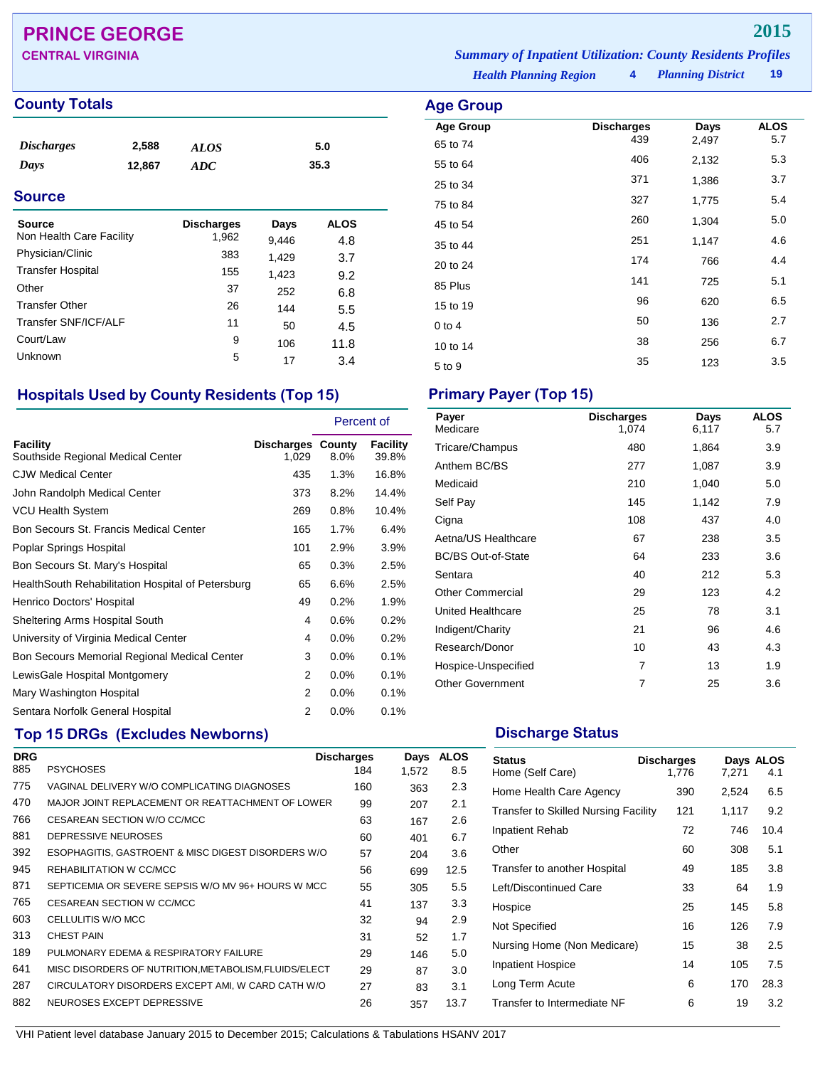## **PRINCE GEORGE 2015**

### **County Totals Age Group**

| <i><b>Discharges</b></i> | 2,588  | ALOS | 5.0  |
|--------------------------|--------|------|------|
| Days                     | 12,867 | ADC  | 35.3 |

### **Source**

| Source<br>Non Health Care Facility | <b>Discharges</b><br>1,962 | Days<br>9,446 | <b>ALOS</b><br>4.8 |
|------------------------------------|----------------------------|---------------|--------------------|
| Physician/Clinic                   | 383                        | 1,429         | 3.7                |
| <b>Transfer Hospital</b>           | 155                        | 1,423         | 9.2                |
| Other                              | 37                         | 252           | 6.8                |
| <b>Transfer Other</b>              | 26                         | 144           | 5.5                |
| Transfer SNF/ICF/ALF               | 11                         | 50            | 4.5                |
| Court/Law                          | 9                          | 106           | 11.8               |
| Unknown                            | 5                          | 17            | 3.4                |

### **Hospitals Used by County Residents (Top 15) Primary Payer (Top 15)**

|                                                   |                                   | Percent of |                   |
|---------------------------------------------------|-----------------------------------|------------|-------------------|
| Facility<br>Southside Regional Medical Center     | <b>Discharges County</b><br>1,029 | 8.0%       | Facility<br>39.8% |
| <b>CJW Medical Center</b>                         | 435                               | $1.3\%$    | 16.8%             |
| John Randolph Medical Center                      | 373                               | 8.2%       | 14.4%             |
| VCU Health System                                 | 269                               | 0.8%       | 10.4%             |
| Bon Secours St. Francis Medical Center            | 165                               | 1.7%       | 6.4%              |
| Poplar Springs Hospital                           | 101                               | 2.9%       | 3.9%              |
| Bon Secours St. Mary's Hospital                   | 65                                | 0.3%       | 2.5%              |
| HealthSouth Rehabilitation Hospital of Petersburg | 65                                | 6.6%       | 2.5%              |
| Henrico Doctors' Hospital                         | 49                                | 0.2%       | 1.9%              |
| Sheltering Arms Hospital South                    | 4                                 | 0.6%       | 0.2%              |
| University of Virginia Medical Center             | 4                                 | $0.0\%$    | 0.2%              |
| Bon Secours Memorial Regional Medical Center      | 3                                 | 0.0%       | 0.1%              |
| LewisGale Hospital Montgomery                     | 2                                 | 0.0%       | 0.1%              |
| Mary Washington Hospital                          | 2                                 | 0.0%       | 0.1%              |
| Sentara Norfolk General Hospital                  | 2                                 | 0.0%       | 0.1%              |

## **Top 15 DRGs (Excludes Newborns) Discharge Status Discharge Status**

| <b>DRG</b> |                                                       | <b>Discharges</b> | Days  | <b>ALOS</b> |
|------------|-------------------------------------------------------|-------------------|-------|-------------|
| 885        | <b>PSYCHOSES</b>                                      | 184               | 1.572 | 8.5         |
| 775        | VAGINAL DELIVERY W/O COMPLICATING DIAGNOSES           | 160               | 363   | 2.3         |
| 470        | MAJOR JOINT REPLACEMENT OR REATTACHMENT OF LOWER      | 99                | 207   | 2.1         |
| 766        | CESAREAN SECTION W/O CC/MCC                           | 63                | 167   | 2.6         |
| 881        | DEPRESSIVE NEUROSES                                   | 60                | 401   | 6.7         |
| 392        | ESOPHAGITIS, GASTROENT & MISC DIGEST DISORDERS W/O    | 57                | 204   | 3.6         |
| 945        | REHABILITATION W CC/MCC                               | 56                | 699   | 12.5        |
| 871        | SEPTICEMIA OR SEVERE SEPSIS W/O MV 96+ HOURS W MCC    | 55                | 305   | 5.5         |
| 765        | CESAREAN SECTION W CC/MCC                             | 41                | 137   | 3.3         |
| 603        | CELLULITIS W/O MCC                                    | 32                | 94    | 2.9         |
| 313        | <b>CHEST PAIN</b>                                     | 31                | 52    | 1.7         |
| 189        | PULMONARY EDEMA & RESPIRATORY FAILURE                 | 29                | 146   | 5.0         |
| 641        | MISC DISORDERS OF NUTRITION, METABOLISM, FLUIDS/ELECT | 29                | 87    | 3.0         |
| 287        | CIRCULATORY DISORDERS EXCEPT AMI, W CARD CATH W/O     | 27                | 83    | 3.1         |
| 882        | NEUROSES EXCEPT DEPRESSIVE                            | 26                | 357   | 13.7        |

*Health Planning Region* **4** *Planning District* **19 CENTRAL VIRGINIA** *Summary of Inpatient Utilization: County Residents Profiles*

| Age Group        |                          |               |                    |
|------------------|--------------------------|---------------|--------------------|
| <b>Age Group</b> | <b>Discharges</b><br>439 | Days<br>2,497 | <b>ALOS</b><br>5.7 |
| 65 to 74         |                          |               |                    |
| 55 to 64         | 406                      | 2,132         | 5.3                |
| 25 to 34         | 371                      | 1,386         | 3.7                |
| 75 to 84         | 327                      | 1,775         | 5.4                |
| 45 to 54         | 260                      | 1,304         | 5.0                |
| 35 to 44         | 251                      | 1,147         | 4.6                |
| 20 to 24         | 174                      | 766           | 4.4                |
| 85 Plus          | 141                      | 725           | 5.1                |
| 15 to 19         | 96                       | 620           | 6.5                |
| $0$ to 4         | 50                       | 136           | 2.7                |
| 10 to 14         | 38                       | 256           | 6.7                |
| 5 to 9           | 35                       | 123           | 3.5                |

| Payer<br>Medicare         | <b>Discharges</b><br>1,074 | Days<br>6,117 | <b>ALOS</b><br>5.7 |
|---------------------------|----------------------------|---------------|--------------------|
| Tricare/Champus           | 480                        | 1,864         | 3.9                |
| Anthem BC/BS              | 277                        | 1,087         | 3.9                |
| Medicaid                  | 210                        | 1,040         | 5.0                |
| Self Pay                  | 145                        | 1,142         | 7.9                |
| Cigna                     | 108                        | 437           | 4.0                |
| Aetna/US Healthcare       | 67                         | 238           | 3.5                |
| <b>BC/BS Out-of-State</b> | 64                         | 233           | 3.6                |
| Sentara                   | 40                         | 212           | 5.3                |
| <b>Other Commercial</b>   | 29                         | 123           | 4.2                |
| United Healthcare         | 25                         | 78            | 3.1                |
| Indigent/Charity          | 21                         | 96            | 4.6                |
| Research/Donor            | 10                         | 43            | 4.3                |
| Hospice-Unspecified       | 7                          | 13            | 1.9                |
| <b>Other Government</b>   | 7                          | 25            | 3.6                |

| <b>Status</b><br>Home (Self Care)           | <b>Discharges</b><br>1.776 | 7.271 | Days ALOS<br>4.1 |
|---------------------------------------------|----------------------------|-------|------------------|
| Home Health Care Agency                     | 390                        | 2,524 | 6.5              |
| <b>Transfer to Skilled Nursing Facility</b> | 121                        | 1,117 | 9.2              |
| <b>Inpatient Rehab</b>                      | 72                         | 746   | 10.4             |
| Other                                       | 60                         | 308   | 5.1              |
| Transfer to another Hospital                | 49                         | 185   | 3.8              |
| Left/Discontinued Care                      | 33                         | 64    | 1.9              |
| Hospice                                     | 25                         | 145   | 5.8              |
| Not Specified                               | 16                         | 126   | 7.9              |
| Nursing Home (Non Medicare)                 | 15                         | 38    | 2.5              |
| <b>Inpatient Hospice</b>                    | 14                         | 105   | 7.5              |
| Long Term Acute                             | 6                          | 170   | 28.3             |
| Transfer to Intermediate NF                 | 6                          | 19    | 3.2              |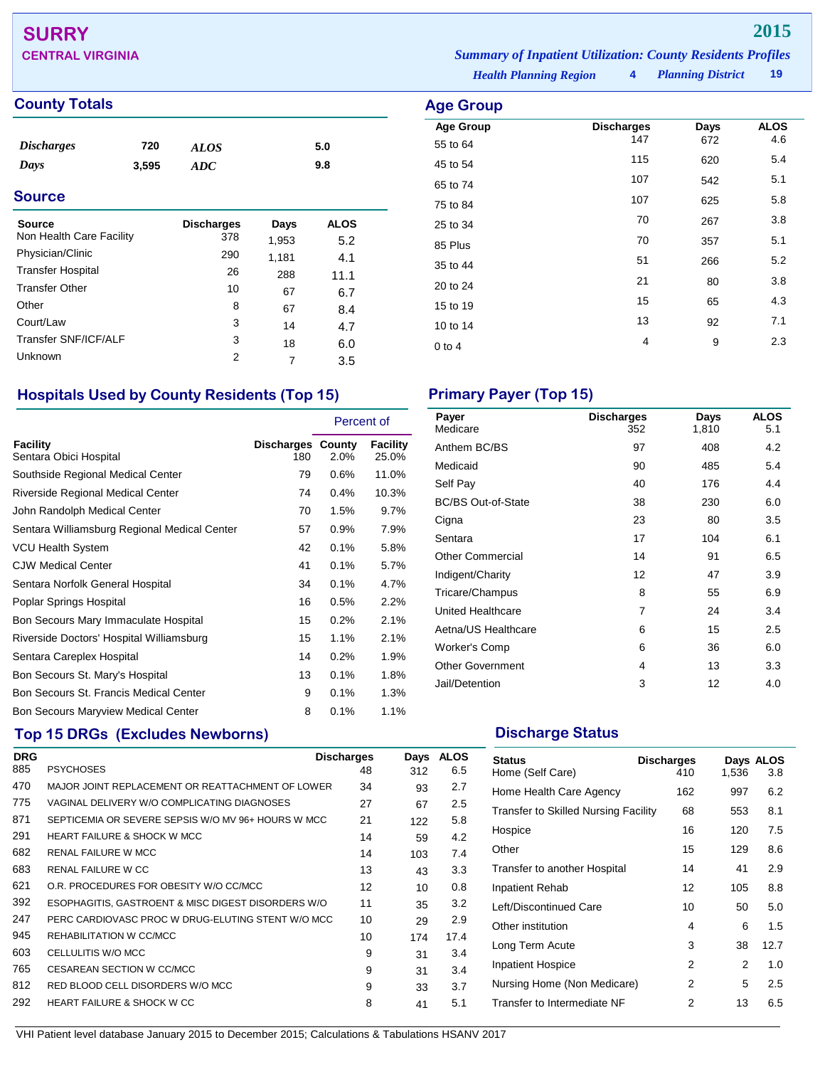## **SURRY 2015**

### **County Totals Age Group**

| <i>Discharges</i> | 720   | <b>ALOS</b> | 5.0 |  |
|-------------------|-------|-------------|-----|--|
| Days              | 3,595 | ADC         | 9.8 |  |
| <b>Source</b>     |       |             |     |  |

| <b>Source</b>            | <b>Discharges</b> | Days  | <b>ALOS</b> |  |
|--------------------------|-------------------|-------|-------------|--|
| Non Health Care Facility | 378               | 1,953 | 5.2         |  |
| Physician/Clinic         | 290               | 1,181 | 4.1         |  |
| <b>Transfer Hospital</b> | 26                | 288   | 11.1        |  |
| <b>Transfer Other</b>    | 10                | 67    | 6.7         |  |
| Other                    | 8                 | 67    | 8.4         |  |
| Court/Law                | 3                 | 14    | 4.7         |  |
| Transfer SNF/ICF/ALF     | 3                 | 18    | 6.0         |  |
| Unknown                  | 2                 |       | 3.5         |  |

### **Hospitals Used by County Residents (Top 15) Primary Payer (Top 15)**

|                                              |                                 | Percent of |                          |
|----------------------------------------------|---------------------------------|------------|--------------------------|
| Facility<br>Sentara Obici Hospital           | <b>Discharges County</b><br>180 | 2.0%       | <b>Facility</b><br>25.0% |
| Southside Regional Medical Center            | 79                              | 0.6%       | 11.0%                    |
| Riverside Regional Medical Center            | 74                              | 0.4%       | 10.3%                    |
| John Randolph Medical Center                 | 70                              | 1.5%       | 9.7%                     |
| Sentara Williamsburg Regional Medical Center | 57                              | 0.9%       | 7.9%                     |
| <b>VCU Health System</b>                     | 42                              | 0.1%       | 5.8%                     |
| <b>CJW Medical Center</b>                    | 41                              | 0.1%       | 5.7%                     |
| Sentara Norfolk General Hospital             | 34                              | 0.1%       | 4.7%                     |
| Poplar Springs Hospital                      | 16                              | 0.5%       | 2.2%                     |
| Bon Secours Mary Immaculate Hospital         | 15                              | 0.2%       | 2.1%                     |
| Riverside Doctors' Hospital Williamsburg     | 15                              | 1.1%       | 2.1%                     |
| Sentara Careplex Hospital                    | 14                              | 0.2%       | 1.9%                     |
| Bon Secours St. Mary's Hospital              | 13                              | 0.1%       | 1.8%                     |
| Bon Secours St. Francis Medical Center       | 9                               | 0.1%       | 1.3%                     |
| <b>Bon Secours Maryview Medical Center</b>   | 8                               | 0.1%       | 1.1%                     |

## **Top 15 DRGs (Excludes Newborns) Discharge Status Discharge Status**

| <b>DRG</b> |                                                    | <b>Discharges</b> | Days | <b>ALOS</b> |
|------------|----------------------------------------------------|-------------------|------|-------------|
| 885        | <b>PSYCHOSES</b>                                   | 48                | 312  | 6.5         |
| 470        | MAJOR JOINT REPLACEMENT OR REATTACHMENT OF LOWER   | 34                | 93   | 2.7         |
| 775        | VAGINAL DELIVERY W/O COMPLICATING DIAGNOSES        | 27                | 67   | $2.5\,$     |
| 871        | SEPTICEMIA OR SEVERE SEPSIS W/O MV 96+ HOURS W MCC | 21                | 122  | 5.8         |
| 291        | <b>HEART FAILURE &amp; SHOCK W MCC</b>             | 14                | 59   | 4.2         |
| 682        | <b>RENAL FAILURE W MCC</b>                         | 14                | 103  | 7.4         |
| 683        | <b>RENAL FAILURE W CC</b>                          | 13                | 43   | 3.3         |
| 621        | O.R. PROCEDURES FOR OBESITY W/O CC/MCC             | 12                | 10   | 0.8         |
| 392        | ESOPHAGITIS, GASTROENT & MISC DIGEST DISORDERS W/O | 11                | 35   | 3.2         |
| 247        | PERC CARDIOVASC PROC W DRUG-ELUTING STENT W/O MCC  | 10                | 29   | 2.9         |
| 945        | REHABILITATION W CC/MCC                            | 10                | 174  | 17.4        |
| 603        | CELLULITIS W/O MCC                                 | 9                 | 31   | 3.4         |
| 765        | CESAREAN SECTION W CC/MCC                          | 9                 | 31   | 3.4         |
| 812        | RED BLOOD CELL DISORDERS W/O MCC                   | 9                 | 33   | 3.7         |
| 292        | <b>HEART FAILURE &amp; SHOCK W CC</b>              | 8                 | 41   | 5.1         |
|            |                                                    |                   |      |             |

*Health Planning Region* **4** *Planning District* **19 CENTRAL VIRGINIA** *Summary of Inpatient Utilization: County Residents Profiles*

**Age Group Discharges Days ALOS**<br>55 to 64 147 672 4.6 55 to 64 45 to 54 <sup>115</sup> <sup>620</sup> 5.4 65 to 74 <sup>107</sup> <sup>542</sup> 5.1

| 65 to 74   | 107 | 542 | 5.1 |
|------------|-----|-----|-----|
| 75 to 84   | 107 | 625 | 5.8 |
| 25 to 34   | 70  | 267 | 3.8 |
| 85 Plus    | 70  | 357 | 5.1 |
| 35 to 44   | 51  | 266 | 5.2 |
| 20 to 24   | 21  | 80  | 3.8 |
| 15 to 19   | 15  | 65  | 4.3 |
| 10 to 14   | 13  | 92  | 7.1 |
| $0$ to $4$ | 4   | 9   | 2.3 |
|            |     |     |     |

| Payer<br>Medicare         | <b>Discharges</b><br>352 | Days<br>1,810 | <b>ALOS</b><br>5.1 |
|---------------------------|--------------------------|---------------|--------------------|
| Anthem BC/BS              | 97                       | 408           | 4.2                |
| Medicaid                  | 90                       | 485           | 5.4                |
| Self Pay                  | 40                       | 176           | 4.4                |
| <b>BC/BS Out-of-State</b> | 38                       | 230           | 6.0                |
| Cigna                     | 23                       | 80            | 3.5                |
| Sentara                   | 17                       | 104           | 6.1                |
| <b>Other Commercial</b>   | 14                       | 91            | 6.5                |
| Indigent/Charity          | 12                       | 47            | 3.9                |
| Tricare/Champus           | 8                        | 55            | 6.9                |
| United Healthcare         | $\overline{7}$           | 24            | 3.4                |
| Aetna/US Healthcare       | 6                        | 15            | 2.5                |
| Worker's Comp             | 6                        | 36            | 6.0                |
| <b>Other Government</b>   | 4                        | 13            | 3.3                |
| Jail/Detention            | 3                        | 12            | 4.0                |

| <b>Status</b><br>Home (Self Care)           | <b>Discharges</b><br>410 | 1,536 | Days ALOS<br>3.8 |
|---------------------------------------------|--------------------------|-------|------------------|
| Home Health Care Agency                     | 162                      | 997   | 6.2              |
| <b>Transfer to Skilled Nursing Facility</b> | 68                       | 553   | 8.1              |
| Hospice                                     | 16                       | 120   | 7.5              |
| Other                                       | 15                       | 129   | 8.6              |
| Transfer to another Hospital                | 14                       | 41    | 2.9              |
| Inpatient Rehab                             | 12                       | 105   | 8.8              |
| Left/Discontinued Care                      | 10                       | 50    | 5.0              |
| Other institution                           | 4                        | 6     | 1.5              |
| Long Term Acute                             | 3                        | 38    | 12.7             |
| <b>Inpatient Hospice</b>                    | 2                        | 2     | 1.0              |
| Nursing Home (Non Medicare)                 | 2                        | 5     | 2.5              |
| Transfer to Intermediate NF                 | 2                        | 13    | 6.5              |